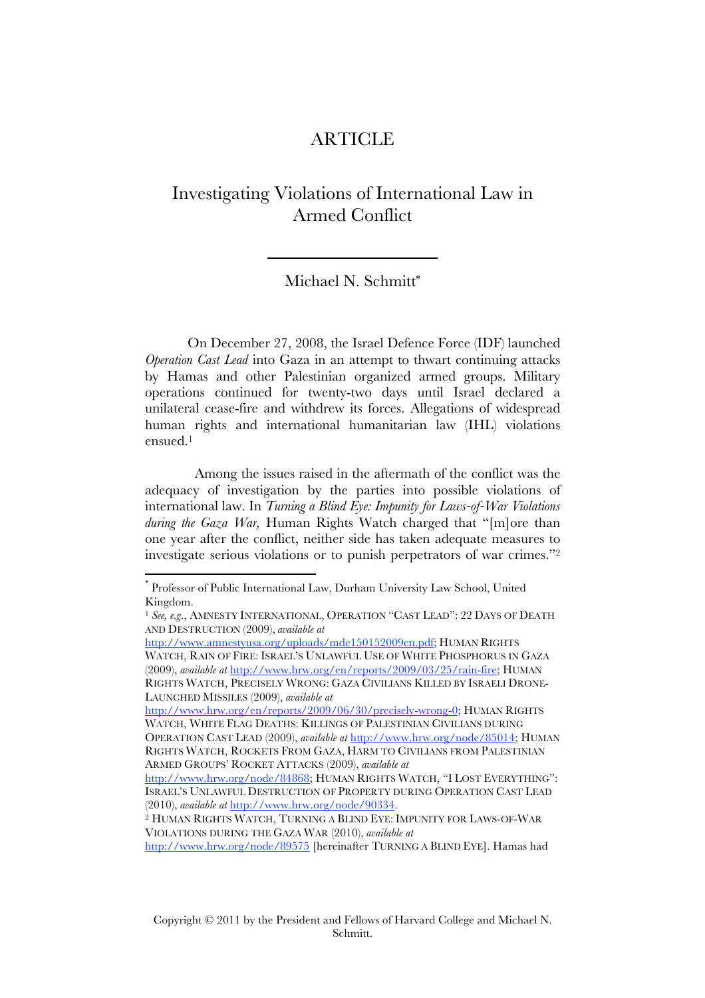## **ARTICLE**

# Investigating Violations of International Law in Armed Conflict

## Michael N. Schmitt\*

On December 27, 2008, the Israel Defence Force (IDF) launched *Operation Cast Lead* into Gaza in an attempt to thwart continuing attacks by Hamas and other Palestinian organized armed groups. Military operations continued for twenty-two days until Israel declared a unilateral cease-fire and withdrew its forces. Allegations of widespread human rights and international humanitarian law (IHL) violations ensued.1

 Among the issues raised in the aftermath of the conflict was the adequacy of investigation by the parties into possible violations of international law. In *Turning a Blind Eye: Impunity for Laws-of-War Violations during the Gaza War,* Human Rights Watch charged that "[m]ore than one year after the conflict, neither side has taken adequate measures to investigate serious violations or to punish perpetrators of war crimes."2

<u> 1989 - Johann Stein, mars et al. 1989 - Anna ann an t-Anna ann an t-Anna ann an t-Anna ann an t-Anna ann an t-</u>

http://www.amnestyusa.org/uploads/mde150152009en.pdf; HUMAN RIGHTS WATCH, RAIN OF FIRE: ISRAEL'S UNLAWFUL USE OF WHITE PHOSPHORUS IN GAZA (2009), *available at* http://www.hrw.org/en/reports/2009/03/25/rain-fire; HUMAN RIGHTS WATCH, PRECISELY WRONG: GAZA CIVILIANS KILLED BY ISRAELI DRONE-LAUNCHED MISSILES (2009), *available at*

http://www.hrw.org/en/reports/2009/06/30/precisely-wrong-0; HUMAN RIGHTS WATCH, WHITE FLAG DEATHS: KILLINGS OF PALESTINIAN CIVILIANS DURING OPERATION CAST LEAD (2009), *available at* http://www.hrw.org/node/85014; HUMAN RIGHTS WATCH, ROCKETS FROM GAZA, HARM TO CIVILIANS FROM PALESTINIAN ARMED GROUPS' ROCKET ATTACKS (2009), *available at*

<sup>\*</sup> Professor of Public International Law, Durham University Law School, United Kingdom.

<sup>&</sup>lt;sup>1</sup> See, e.g., AMNESTY INTERNATIONAL, OPERATION "CAST LEAD": 22 DAYS OF DEATH AND DESTRUCTION (2009), *available at*

http://www.hrw.org/node/84868; HUMAN RIGHTS WATCH, "I LOST EVERYTHING": ISRAEL'S UNLAWFUL DESTRUCTION OF PROPERTY DURING OPERATION CAST LEAD (2010), *available at* http://www.hrw.org/node/90334.

<sup>2</sup> HUMAN RIGHTS WATCH, TURNING A BLIND EYE: IMPUNITY FOR LAWS-OF-WAR VIOLATIONS DURING THE GAZA WAR (2010), *available at*

http://www.hrw.org/node/89575 [hereinafter TURNING A BLIND EYE]. Hamas had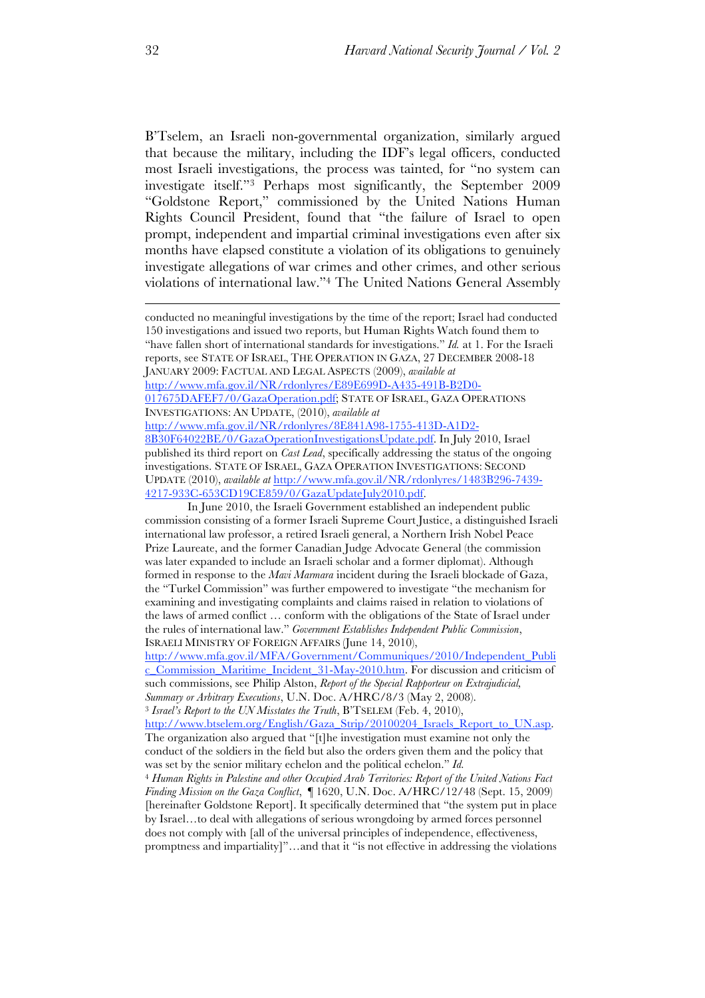B'Tselem, an Israeli non-governmental organization, similarly argued that because the military, including the IDF's legal officers, conducted most Israeli investigations, the process was tainted, for "no system can investigate itself."3 Perhaps most significantly, the September 2009 "Goldstone Report," commissioned by the United Nations Human Rights Council President, found that "the failure of Israel to open prompt, independent and impartial criminal investigations even after six months have elapsed constitute a violation of its obligations to genuinely investigate allegations of war crimes and other crimes, and other serious violations of international law."4 The United Nations General Assembly

<u> 1989 - Andrea Santa Alemania, amerikana amerikana amerikana amerikana amerikana amerikana amerikana amerikana</u>

conducted no meaningful investigations by the time of the report; Israel had conducted 150 investigations and issued two reports, but Human Rights Watch found them to "have fallen short of international standards for investigations." *Id.* at 1. For the Israeli reports, see STATE OF ISRAEL, THE OPERATION IN GAZA, 27 DECEMBER 2008-18 JANUARY 2009: FACTUAL AND LEGAL ASPECTS (2009), *available at* http://www.mfa.gov.il/NR/rdonlyres/E89E699D-A435-491B-B2D0- 017675DAFEF7/0/GazaOperation.pdf; STATE OF ISRAEL, GAZA OPERATIONS INVESTIGATIONS: AN UPDATE, (2010), *available at* http://www.mfa.gov.il/NR/rdonlyres/8E841A98-1755-413D-A1D2- 8B30F64022BE/0/GazaOperationInvestigationsUpdate.pdf. In July 2010, Israel published its third report on *Cast Lead*, specifically addressing the status of the ongoing investigations. STATE OF ISRAEL, GAZA OPERATION INVESTIGATIONS: SECOND UPDATE (2010), *available at* http://www.mfa.gov.il/NR/rdonlyres/1483B296-7439- 4217-933C-653CD19CE859/0/GazaUpdateJuly2010.pdf.

In June 2010, the Israeli Government established an independent public commission consisting of a former Israeli Supreme Court Justice, a distinguished Israeli international law professor, a retired Israeli general, a Northern Irish Nobel Peace Prize Laureate, and the former Canadian Judge Advocate General (the commission was later expanded to include an Israeli scholar and a former diplomat). Although formed in response to the *Mavi Marmara* incident during the Israeli blockade of Gaza, the "Turkel Commission" was further empowered to investigate "the mechanism for examining and investigating complaints and claims raised in relation to violations of the laws of armed conflict … conform with the obligations of the State of Israel under the rules of international law." *Government Establishes Independent Public Commission*, ISRAELI MINISTRY OF FOREIGN AFFAIRS (June 14, 2010),

<sup>3</sup> *Israel's Report to the UN Misstates the Truth*, B'TSELEM (Feb. 4, 2010),

http://www.btselem.org/English/Gaza\_Strip/20100204\_Israels\_Report\_to\_UN.asp. The organization also argued that "[t]he investigation must examine not only the conduct of the soldiers in the field but also the orders given them and the policy that was set by the senior military echelon and the political echelon." *Id.*

<sup>4</sup> *Human Rights in Palestine and other Occupied Arab Territories: Report of the United Nations Fact Finding Mission on the Gaza Conflict*, ¶ 1620, U.N. Doc. A/HRC/12/48 (Sept. 15, 2009) [hereinafter Goldstone Report]. It specifically determined that "the system put in place by Israel…to deal with allegations of serious wrongdoing by armed forces personnel does not comply with [all of the universal principles of independence, effectiveness, promptness and impartiality]"…and that it "is not effective in addressing the violations

http://www.mfa.gov.il/MFA/Government/Communiques/2010/Independent\_Publi c\_Commission\_Maritime\_Incident\_31-May-2010.htm. For discussion and criticism of such commissions, see Philip Alston, *Report of the Special Rapporteur on Extrajudicial, Summary or Arbitrary Executions*, U.N. Doc. A/HRC/8/3 (May 2, 2008).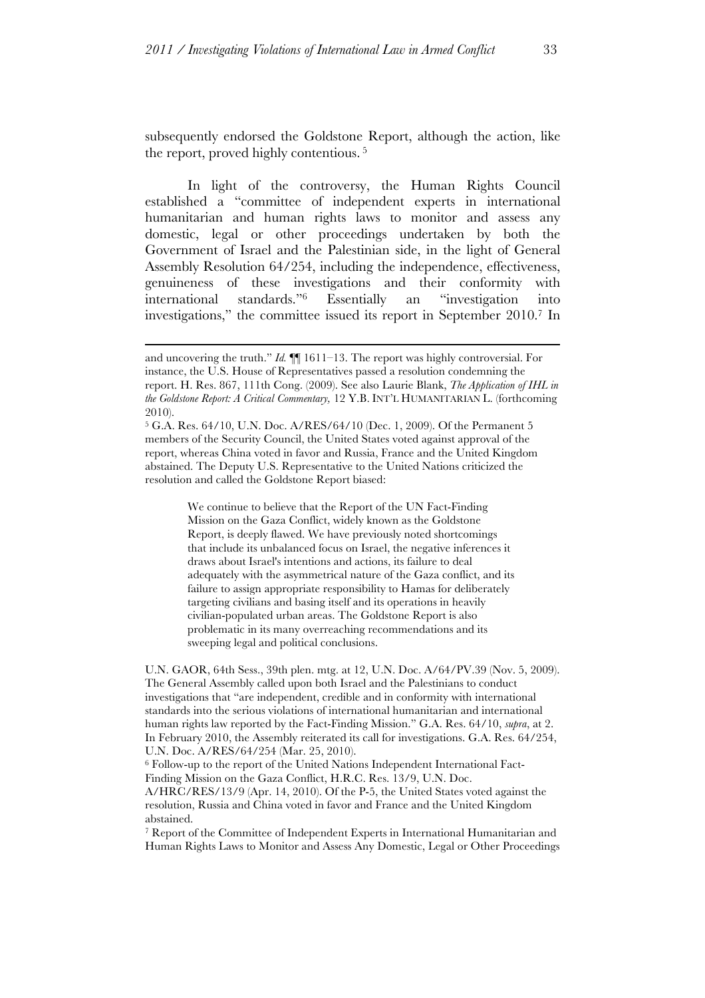subsequently endorsed the Goldstone Report, although the action, like the report, proved highly contentious. <sup>5</sup>

In light of the controversy, the Human Rights Council established a "committee of independent experts in international humanitarian and human rights laws to monitor and assess any domestic, legal or other proceedings undertaken by both the Government of Israel and the Palestinian side, in the light of General Assembly Resolution 64/254, including the independence, effectiveness, genuineness of these investigations and their conformity with international standards."6 Essentially an "investigation into investigations," the committee issued its report in September 2010.7 In

<u> 1989 - Andrea Santa Alemania, amerikana amerikana amerikana amerikana amerikana amerikana amerikana amerikana</u>

We continue to believe that the Report of the UN Fact-Finding Mission on the Gaza Conflict, widely known as the Goldstone Report, is deeply flawed. We have previously noted shortcomings that include its unbalanced focus on Israel, the negative inferences it draws about Israel's intentions and actions, its failure to deal adequately with the asymmetrical nature of the Gaza conflict, and its failure to assign appropriate responsibility to Hamas for deliberately targeting civilians and basing itself and its operations in heavily civilian-populated urban areas. The Goldstone Report is also problematic in its many overreaching recommendations and its sweeping legal and political conclusions.

U.N. GAOR, 64th Sess., 39th plen. mtg. at 12, U.N. Doc. A/64/PV.39 (Nov. 5, 2009). The General Assembly called upon both Israel and the Palestinians to conduct investigations that "are independent, credible and in conformity with international standards into the serious violations of international humanitarian and international human rights law reported by the Fact-Finding Mission." G.A. Res. 64/10, *supra*, at 2. In February 2010, the Assembly reiterated its call for investigations. G.A. Res. 64/254, U.N. Doc. A/RES/64/254 (Mar. 25, 2010).<br><sup>6</sup> Follow-up to the report of the United Nations Independent International Fact-

resolution, Russia and China voted in favor and France and the United Kingdom abstained. 7 Report of the Committee of Independent Experts in International Humanitarian and

Human Rights Laws to Monitor and Assess Any Domestic, Legal or Other Proceedings

and uncovering the truth." *Id.* ¶¶ 1611–13. The report was highly controversial. For instance, the U.S. House of Representatives passed a resolution condemning the report. H. Res. 867, 111th Cong. (2009). See also Laurie Blank, *The Application of IHL in the Goldstone Report: A Critical Commentary,* 12 Y.B. INT'L HUMANITARIAN L. (forthcoming 2010).

<sup>5</sup> G.A. Res. 64/10, U.N. Doc. A/RES/64/10 (Dec. 1, 2009). Of the Permanent 5 members of the Security Council, the United States voted against approval of the report, whereas China voted in favor and Russia, France and the United Kingdom abstained. The Deputy U.S. Representative to the United Nations criticized the resolution and called the Goldstone Report biased:

Finding Mission on the Gaza Conflict, H.R.C. Res. 13/9, U.N. Doc. A/HRC/RES/13/9 (Apr. 14, 2010). Of the P-5, the United States voted against the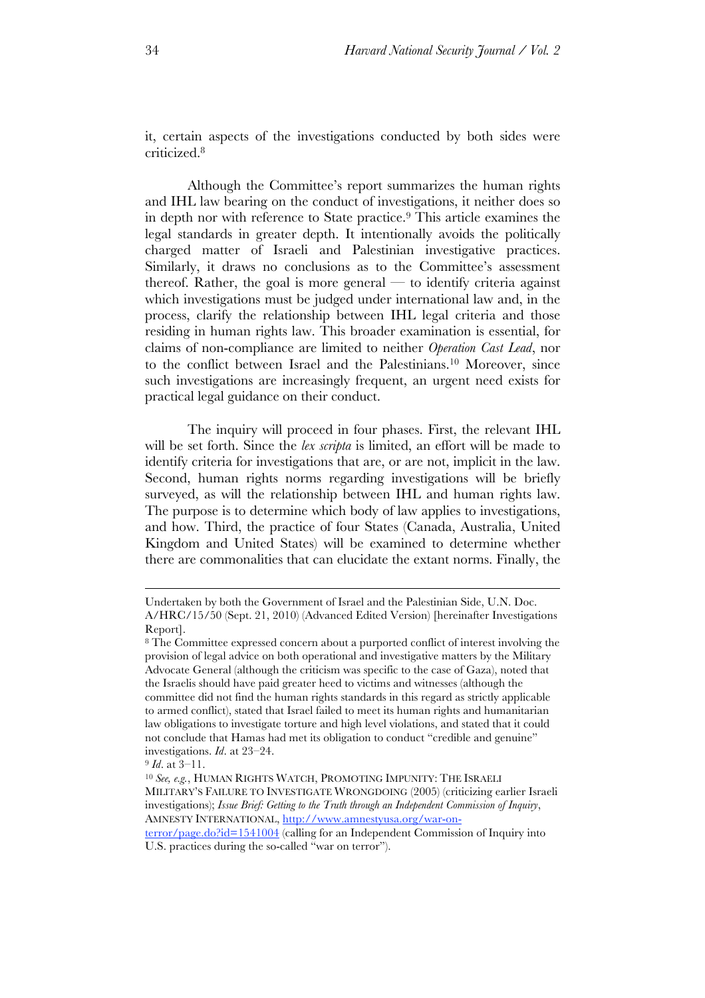it, certain aspects of the investigations conducted by both sides were criticized.8

Although the Committee's report summarizes the human rights and IHL law bearing on the conduct of investigations, it neither does so in depth nor with reference to State practice.9 This article examines the legal standards in greater depth. It intentionally avoids the politically charged matter of Israeli and Palestinian investigative practices. Similarly, it draws no conclusions as to the Committee's assessment thereof. Rather, the goal is more general  $-$  to identify criteria against which investigations must be judged under international law and, in the process, clarify the relationship between IHL legal criteria and those residing in human rights law. This broader examination is essential, for claims of non-compliance are limited to neither *Operation Cast Lead*, nor to the conflict between Israel and the Palestinians.10 Moreover, since such investigations are increasingly frequent, an urgent need exists for practical legal guidance on their conduct.

The inquiry will proceed in four phases. First, the relevant IHL will be set forth. Since the *lex scripta* is limited, an effort will be made to identify criteria for investigations that are, or are not, implicit in the law. Second, human rights norms regarding investigations will be briefly surveyed, as will the relationship between IHL and human rights law. The purpose is to determine which body of law applies to investigations, and how. Third, the practice of four States (Canada, Australia, United Kingdom and United States) will be examined to determine whether there are commonalities that can elucidate the extant norms. Finally, the

<u> 1989 - Andrea Santa Alemania, amerikana amerikana amerikana amerikana amerikana amerikana amerikana amerikana</u>

Undertaken by both the Government of Israel and the Palestinian Side, U.N. Doc. A/HRC/15/50 (Sept. 21, 2010) (Advanced Edited Version) [hereinafter Investigations Report].

<sup>&</sup>lt;sup>8</sup> The Committee expressed concern about a purported conflict of interest involving the provision of legal advice on both operational and investigative matters by the Military Advocate General (although the criticism was specific to the case of Gaza), noted that the Israelis should have paid greater heed to victims and witnesses (although the committee did not find the human rights standards in this regard as strictly applicable to armed conflict), stated that Israel failed to meet its human rights and humanitarian law obligations to investigate torture and high level violations, and stated that it could not conclude that Hamas had met its obligation to conduct "credible and genuine" investigations. *Id*. at 23–24.

<sup>9</sup> *Id*. at 3–11.

<sup>10</sup> *See, e.g.*, HUMAN RIGHTS WATCH, PROMOTING IMPUNITY: THE ISRAELI MILITARY'S FAILURE TO INVESTIGATE WRONGDOING (2005) (criticizing earlier Israeli investigations); *Issue Brief: Getting to the Truth through an Independent Commission of Inquiry*, AMNESTY INTERNATIONAL, http://www.amnestyusa.org/war-on-

terror/page.do?id=1541004 (calling for an Independent Commission of Inquiry into U.S. practices during the so-called "war on terror").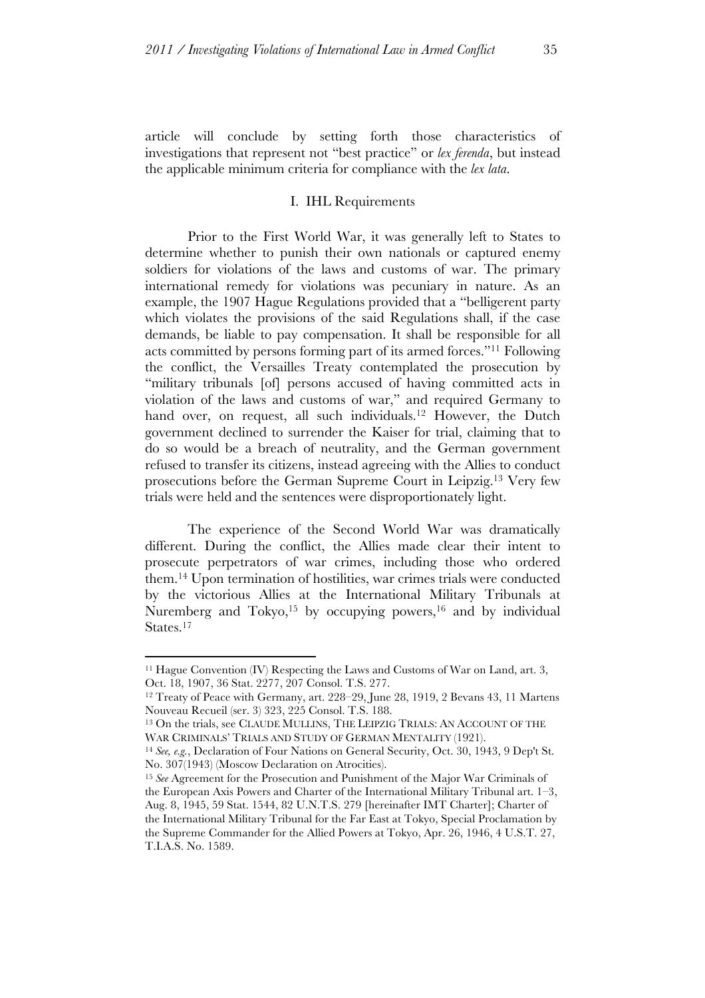article will conclude by setting forth those characteristics of investigations that represent not "best practice" or *lex ferenda*, but instead the applicable minimum criteria for compliance with the *lex lata*.

## I. IHL Requirements

Prior to the First World War, it was generally left to States to determine whether to punish their own nationals or captured enemy soldiers for violations of the laws and customs of war. The primary international remedy for violations was pecuniary in nature. As an example, the 1907 Hague Regulations provided that a "belligerent party which violates the provisions of the said Regulations shall, if the case demands, be liable to pay compensation. It shall be responsible for all acts committed by persons forming part of its armed forces."11 Following the conflict, the Versailles Treaty contemplated the prosecution by "military tribunals [of] persons accused of having committed acts in violation of the laws and customs of war," and required Germany to hand over, on request, all such individuals.<sup>12</sup> However, the Dutch government declined to surrender the Kaiser for trial, claiming that to do so would be a breach of neutrality, and the German government refused to transfer its citizens, instead agreeing with the Allies to conduct prosecutions before the German Supreme Court in Leipzig.13 Very few trials were held and the sentences were disproportionately light.

The experience of the Second World War was dramatically different. During the conflict, the Allies made clear their intent to prosecute perpetrators of war crimes, including those who ordered them.14 Upon termination of hostilities, war crimes trials were conducted by the victorious Allies at the International Military Tribunals at Nuremberg and Tokyo,<sup>15</sup> by occupying powers,<sup>16</sup> and by individual States.<sup>17</sup>

<sup>11</sup> Hague Convention (IV) Respecting the Laws and Customs of War on Land, art. 3, Oct. 18, 1907, 36 Stat. 2277, 207 Consol. T.S. 277.

<sup>12</sup> Treaty of Peace with Germany, art. 228–29, June 28, 1919, 2 Bevans 43, 11 Martens Nouveau Recueil (ser. 3) 323, 225 Consol. T.S. 188.

<sup>13</sup> On the trials, see CLAUDE MULLINS, THE LEIPZIG TRIALS: AN ACCOUNT OF THE WAR CRIMINALS' TRIALS AND STUDY OF GERMAN MENTALITY (1921).

<sup>14</sup> *See, e.g.*, Declaration of Four Nations on General Security, Oct. 30, 1943, 9 Dep't St. No. 307(1943) (Moscow Declaration on Atrocities).

<sup>15</sup> *See* Agreement for the Prosecution and Punishment of the Major War Criminals of the European Axis Powers and Charter of the International Military Tribunal art. 1–3, Aug. 8, 1945, 59 Stat. 1544, 82 U.N.T.S. 279 [hereinafter IMT Charter]; Charter of the International Military Tribunal for the Far East at Tokyo, Special Proclamation by the Supreme Commander for the Allied Powers at Tokyo, Apr. 26, 1946, 4 U.S.T. 27, T.I.A.S. No. 1589.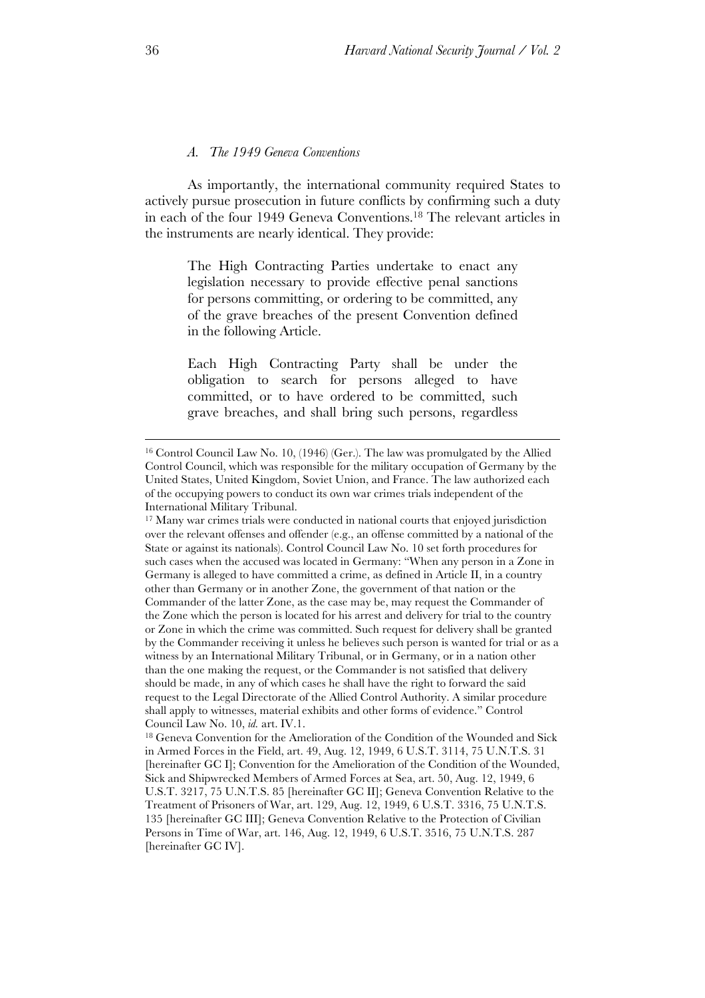## *A. The 1949 Geneva Conventions*

As importantly, the international community required States to actively pursue prosecution in future conflicts by confirming such a duty in each of the four 1949 Geneva Conventions.18 The relevant articles in the instruments are nearly identical. They provide:

The High Contracting Parties undertake to enact any legislation necessary to provide effective penal sanctions for persons committing, or ordering to be committed, any of the grave breaches of the present Convention defined in the following Article.

Each High Contracting Party shall be under the obligation to search for persons alleged to have committed, or to have ordered to be committed, such grave breaches, and shall bring such persons, regardless

<u> 1989 - Andrea Santa Alemania, poeta esperanto-poeta esperanto-poeta esperanto-poeta esperanto-poeta esperanto-</u>

<sup>16</sup> Control Council Law No. 10, (1946) (Ger.). The law was promulgated by the Allied Control Council, which was responsible for the military occupation of Germany by the United States, United Kingdom, Soviet Union, and France. The law authorized each of the occupying powers to conduct its own war crimes trials independent of the International Military Tribunal.

<sup>&</sup>lt;sup>17</sup> Many war crimes trials were conducted in national courts that enjoyed jurisdiction over the relevant offenses and offender (e.g., an offense committed by a national of the State or against its nationals). Control Council Law No. 10 set forth procedures for such cases when the accused was located in Germany: "When any person in a Zone in Germany is alleged to have committed a crime, as defined in Article II, in a country other than Germany or in another Zone, the government of that nation or the Commander of the latter Zone, as the case may be, may request the Commander of the Zone which the person is located for his arrest and delivery for trial to the country or Zone in which the crime was committed. Such request for delivery shall be granted by the Commander receiving it unless he believes such person is wanted for trial or as a witness by an International Military Tribunal, or in Germany, or in a nation other than the one making the request, or the Commander is not satisfied that delivery should be made, in any of which cases he shall have the right to forward the said request to the Legal Directorate of the Allied Control Authority. A similar procedure shall apply to witnesses, material exhibits and other forms of evidence." Control Council Law No. 10, *id.* art. IV.1.

<sup>18</sup> Geneva Convention for the Amelioration of the Condition of the Wounded and Sick in Armed Forces in the Field, art. 49, Aug. 12, 1949, 6 U.S.T. 3114, 75 U.N.T.S. 31 [hereinafter GC I]; Convention for the Amelioration of the Condition of the Wounded, Sick and Shipwrecked Members of Armed Forces at Sea, art. 50, Aug. 12, 1949, 6 U.S.T. 3217, 75 U.N.T.S. 85 [hereinafter GC II]; Geneva Convention Relative to the Treatment of Prisoners of War, art. 129, Aug. 12, 1949, 6 U.S.T. 3316, 75 U.N.T.S. 135 [hereinafter GC III]; Geneva Convention Relative to the Protection of Civilian Persons in Time of War, art. 146, Aug. 12, 1949, 6 U.S.T. 3516, 75 U.N.T.S. 287 [hereinafter GC IV].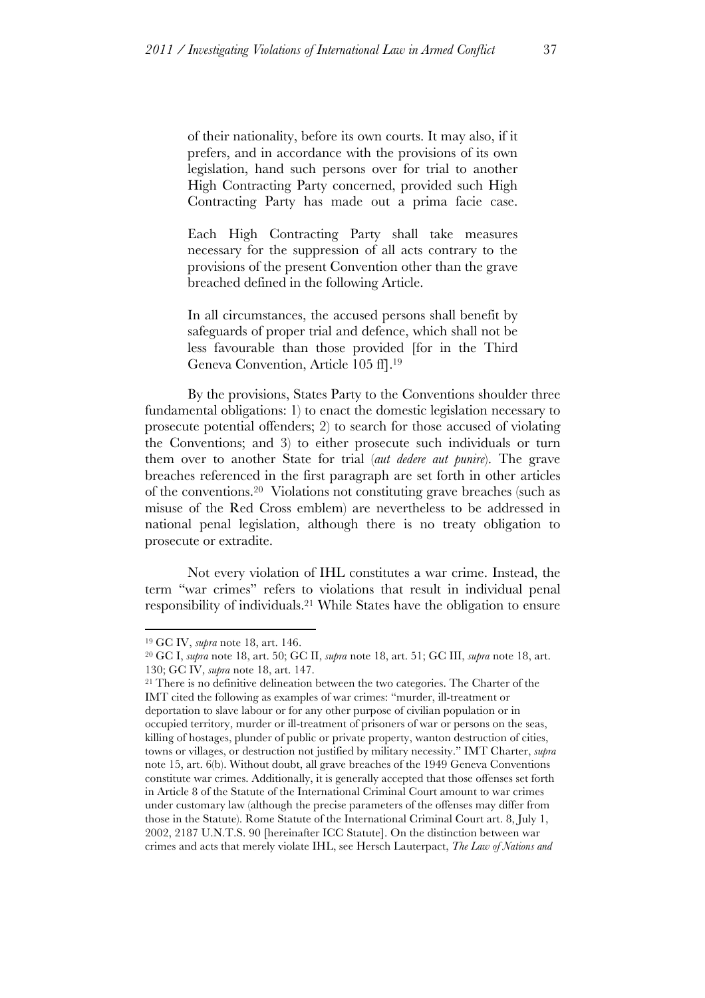of their nationality, before its own courts. It may also, if it prefers, and in accordance with the provisions of its own legislation, hand such persons over for trial to another High Contracting Party concerned, provided such High Contracting Party has made out a prima facie case.

Each High Contracting Party shall take measures necessary for the suppression of all acts contrary to the provisions of the present Convention other than the grave breached defined in the following Article.

In all circumstances, the accused persons shall benefit by safeguards of proper trial and defence, which shall not be less favourable than those provided [for in the Third Geneva Convention, Article 105 ff].19

By the provisions, States Party to the Conventions shoulder three fundamental obligations: 1) to enact the domestic legislation necessary to prosecute potential offenders; 2) to search for those accused of violating the Conventions; and 3) to either prosecute such individuals or turn them over to another State for trial (*aut dedere aut punire*). The grave breaches referenced in the first paragraph are set forth in other articles of the conventions.20 Violations not constituting grave breaches (such as misuse of the Red Cross emblem) are nevertheless to be addressed in national penal legislation, although there is no treaty obligation to prosecute or extradite.

Not every violation of IHL constitutes a war crime. Instead, the term "war crimes" refers to violations that result in individual penal responsibility of individuals.21 While States have the obligation to ensure

 19 GC IV, *supra* note 18, art. 146.

<sup>20</sup> GC I, *supra* note 18, art. 50; GC II, *supra* note 18, art. 51; GC III, *supra* note 18, art. 130; GC IV, *supra* note 18, art. 147.

<sup>&</sup>lt;sup>21</sup> There is no definitive delineation between the two categories. The Charter of the IMT cited the following as examples of war crimes: "murder, ill-treatment or deportation to slave labour or for any other purpose of civilian population or in occupied territory, murder or ill-treatment of prisoners of war or persons on the seas, killing of hostages, plunder of public or private property, wanton destruction of cities, towns or villages, or destruction not justified by military necessity." IMT Charter, *supra*  note 15, art. 6(b). Without doubt, all grave breaches of the 1949 Geneva Conventions constitute war crimes. Additionally, it is generally accepted that those offenses set forth in Article 8 of the Statute of the International Criminal Court amount to war crimes under customary law (although the precise parameters of the offenses may differ from those in the Statute). Rome Statute of the International Criminal Court art. 8, July 1, 2002, 2187 U.N.T.S. 90 [hereinafter ICC Statute]. On the distinction between war crimes and acts that merely violate IHL, see Hersch Lauterpact, *The Law of Nations and*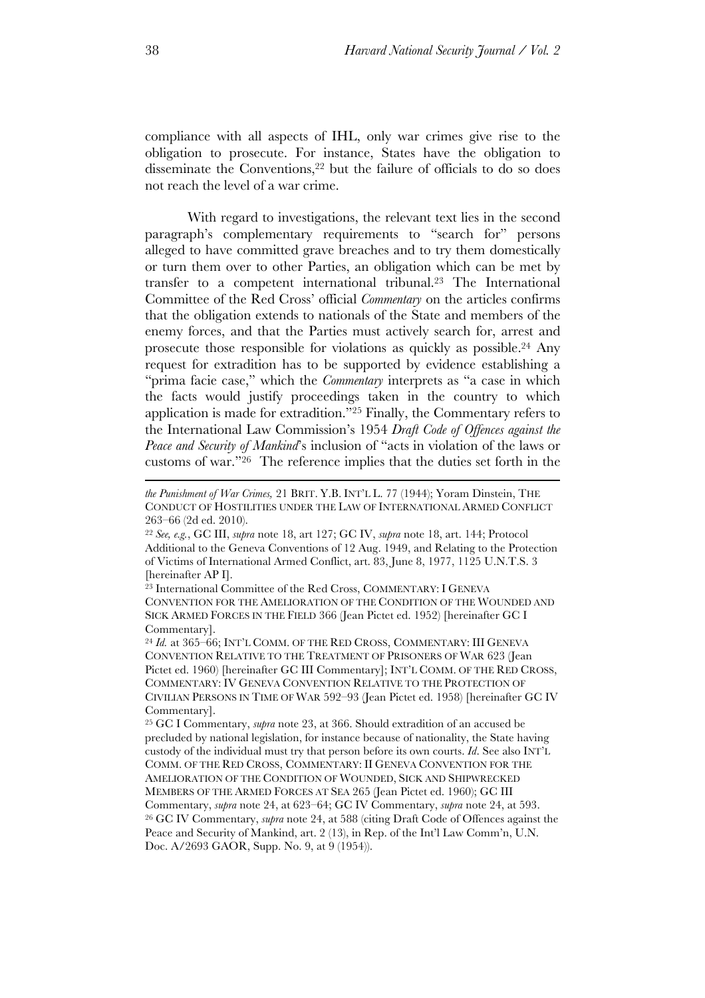compliance with all aspects of IHL, only war crimes give rise to the obligation to prosecute. For instance, States have the obligation to disseminate the Conventions,<sup>22</sup> but the failure of officials to do so does not reach the level of a war crime.

With regard to investigations, the relevant text lies in the second paragraph's complementary requirements to "search for" persons alleged to have committed grave breaches and to try them domestically or turn them over to other Parties, an obligation which can be met by transfer to a competent international tribunal.23 The International Committee of the Red Cross' official *Commentary* on the articles confirms that the obligation extends to nationals of the State and members of the enemy forces, and that the Parties must actively search for, arrest and prosecute those responsible for violations as quickly as possible.24 Any request for extradition has to be supported by evidence establishing a "prima facie case," which the *Commentary* interprets as "a case in which the facts would justify proceedings taken in the country to which application is made for extradition."25 Finally, the Commentary refers to the International Law Commission's 1954 *Draft Code of Offences against the Peace and Security of Mankind*'s inclusion of "acts in violation of the laws or customs of war."26 The reference implies that the duties set forth in the

<u> 1989 - Andrea Santa Alemania, amerikana amerikana amerikana amerikana amerikana amerikana amerikana amerikana</u>

*the Punishment of War Crimes,* 21 BRIT. Y.B. INT'L L. 77 (1944); Yoram Dinstein, THE CONDUCT OF HOSTILITIES UNDER THE LAW OF INTERNATIONAL ARMED CONFLICT 263–66 (2d ed. 2010).

<sup>22</sup> *See, e.g.*, GC III, *supra* note 18, art 127; GC IV, *supra* note 18, art. 144; Protocol Additional to the Geneva Conventions of 12 Aug. 1949, and Relating to the Protection of Victims of International Armed Conflict, art. 83, June 8, 1977, 1125 U.N.T.S. 3 [hereinafter AP I].

<sup>23</sup> International Committee of the Red Cross, COMMENTARY: I GENEVA CONVENTION FOR THE AMELIORATION OF THE CONDITION OF THE WOUNDED AND SICK ARMED FORCES IN THE FIELD 366 (Jean Pictet ed. 1952) [hereinafter GC I Commentary].

<sup>24</sup> *Id.* at 365–66; INT'L COMM. OF THE RED CROSS, COMMENTARY: III GENEVA CONVENTION RELATIVE TO THE TREATMENT OF PRISONERS OF WAR 623 (Jean Pictet ed. 1960) [hereinafter GC III Commentary]; INT'L COMM. OF THE RED CROSS, COMMENTARY: IV GENEVA CONVENTION RELATIVE TO THE PROTECTION OF CIVILIAN PERSONS IN TIME OF WAR 592–93 (Jean Pictet ed. 1958) [hereinafter GC IV Commentary].

<sup>25</sup> GC I Commentary, *supra* note 23, at 366. Should extradition of an accused be precluded by national legislation, for instance because of nationality, the State having custody of the individual must try that person before its own courts. *Id*. See also INT'L COMM. OF THE RED CROSS, COMMENTARY: II GENEVA CONVENTION FOR THE AMELIORATION OF THE CONDITION OF WOUNDED, SICK AND SHIPWRECKED MEMBERS OF THE ARMED FORCES AT SEA 265 (Jean Pictet ed. 1960); GC III Commentary, *supra* note 24, at 623–64; GC IV Commentary, *supra* note 24, at 593. 26 GC IV Commentary, *supra* note 24, at 588 (citing Draft Code of Offences against the Peace and Security of Mankind, art. 2 (13), in Rep. of the Int'l Law Comm'n, U.N. Doc. A/2693 GAOR, Supp. No. 9, at 9 (1954)).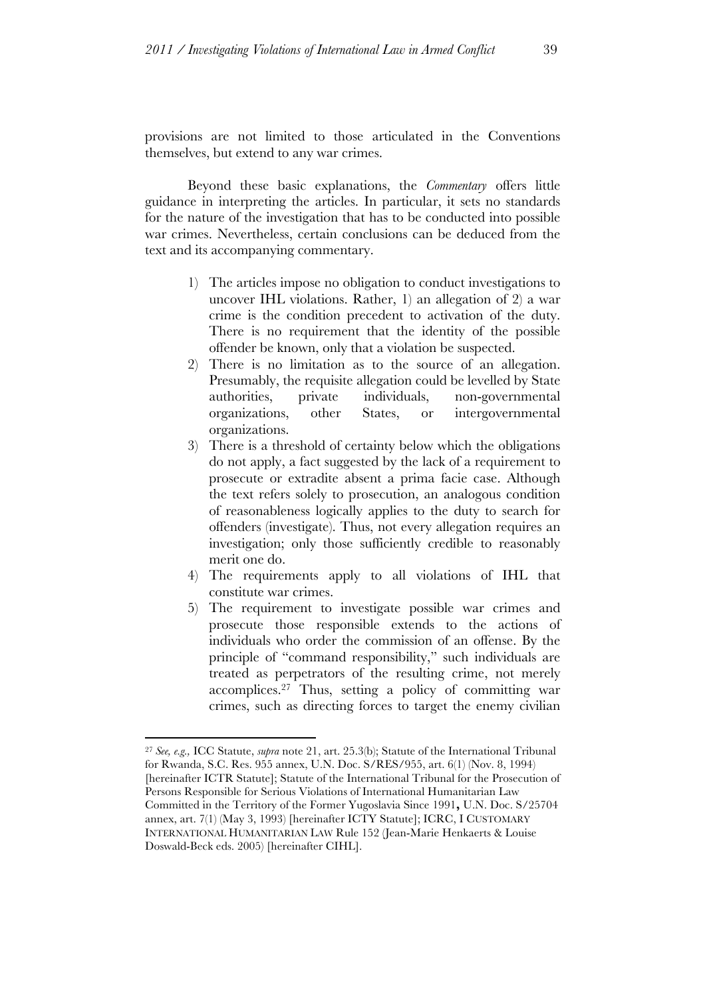provisions are not limited to those articulated in the Conventions themselves, but extend to any war crimes.

Beyond these basic explanations, the *Commentary* offers little guidance in interpreting the articles. In particular, it sets no standards for the nature of the investigation that has to be conducted into possible war crimes. Nevertheless, certain conclusions can be deduced from the text and its accompanying commentary.

- 1) The articles impose no obligation to conduct investigations to uncover IHL violations. Rather, 1) an allegation of 2) a war crime is the condition precedent to activation of the duty. There is no requirement that the identity of the possible offender be known, only that a violation be suspected.
- 2) There is no limitation as to the source of an allegation. Presumably, the requisite allegation could be levelled by State authorities, private individuals, non-governmental organizations, other States, or intergovernmental organizations.
- 3) There is a threshold of certainty below which the obligations do not apply, a fact suggested by the lack of a requirement to prosecute or extradite absent a prima facie case. Although the text refers solely to prosecution, an analogous condition of reasonableness logically applies to the duty to search for offenders (investigate). Thus, not every allegation requires an investigation; only those sufficiently credible to reasonably merit one do.
- 4) The requirements apply to all violations of IHL that constitute war crimes.
- 5) The requirement to investigate possible war crimes and prosecute those responsible extends to the actions of individuals who order the commission of an offense. By the principle of "command responsibility," such individuals are treated as perpetrators of the resulting crime, not merely accomplices.27 Thus, setting a policy of committing war crimes, such as directing forces to target the enemy civilian

<sup>27</sup> *See, e.g.,* ICC Statute, *supra* note 21, art. 25.3(b); Statute of the International Tribunal for Rwanda, S.C. Res. 955 annex, U.N. Doc. S/RES/955, art. 6(1) (Nov. 8, 1994) [hereinafter ICTR Statute]; Statute of the International Tribunal for the Prosecution of Persons Responsible for Serious Violations of International Humanitarian Law Committed in the Territory of the Former Yugoslavia Since 1991**,** U.N. Doc. S/25704 annex, art. 7(1) (May 3, 1993) [hereinafter ICTY Statute]; ICRC, I CUSTOMARY INTERNATIONAL HUMANITARIAN LAW Rule 152 (Jean-Marie Henkaerts & Louise Doswald-Beck eds. 2005) [hereinafter CIHL].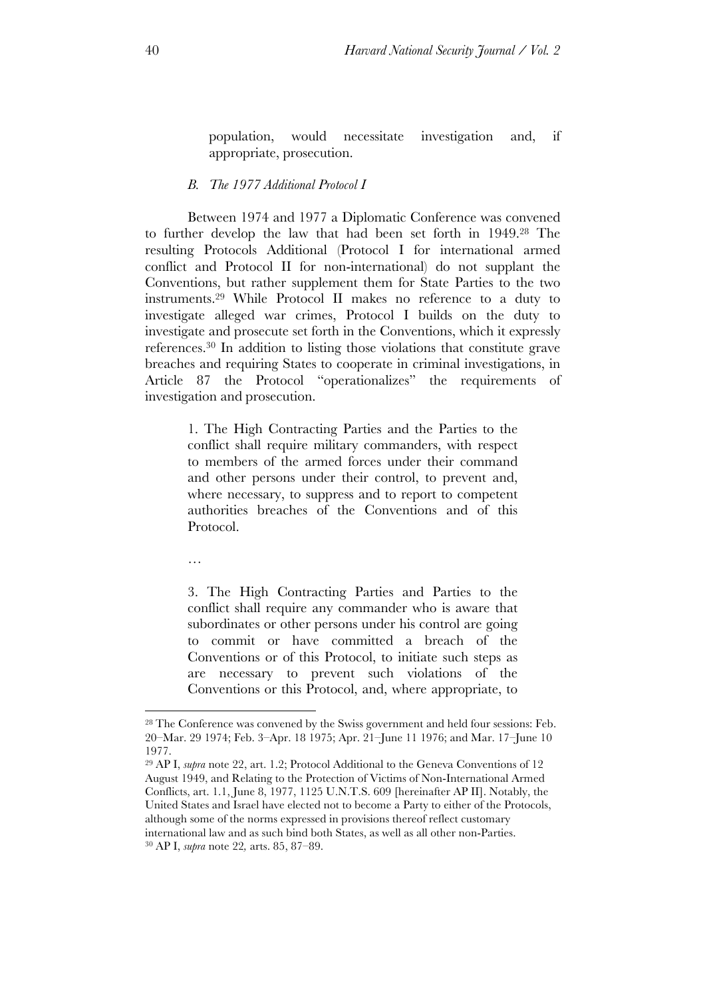population, would necessitate investigation and, if appropriate, prosecution.

#### *B. The 1977 Additional Protocol I*

Between 1974 and 1977 a Diplomatic Conference was convened to further develop the law that had been set forth in 1949.28 The resulting Protocols Additional (Protocol I for international armed conflict and Protocol II for non-international) do not supplant the Conventions, but rather supplement them for State Parties to the two instruments.29 While Protocol II makes no reference to a duty to investigate alleged war crimes, Protocol I builds on the duty to investigate and prosecute set forth in the Conventions, which it expressly references.30 In addition to listing those violations that constitute grave breaches and requiring States to cooperate in criminal investigations, in Article 87 the Protocol "operationalizes" the requirements of investigation and prosecution.

> 1. The High Contracting Parties and the Parties to the conflict shall require military commanders, with respect to members of the armed forces under their command and other persons under their control, to prevent and, where necessary, to suppress and to report to competent authorities breaches of the Conventions and of this Protocol.

…

3. The High Contracting Parties and Parties to the conflict shall require any commander who is aware that subordinates or other persons under his control are going to commit or have committed a breach of the Conventions or of this Protocol, to initiate such steps as are necessary to prevent such violations of the Conventions or this Protocol, and, where appropriate, to

<sup>28</sup> The Conference was convened by the Swiss government and held four sessions: Feb. 20–Mar. 29 1974; Feb. 3–Apr. 18 1975; Apr. 21–June 11 1976; and Mar. 17–June 10 1977.

<sup>29</sup> AP I, *supra* note 22, art. 1.2; Protocol Additional to the Geneva Conventions of 12 August 1949, and Relating to the Protection of Victims of Non-International Armed Conflicts, art. 1.1, June 8, 1977, 1125 U.N.T.S. 609 [hereinafter AP II]. Notably, the United States and Israel have elected not to become a Party to either of the Protocols, although some of the norms expressed in provisions thereof reflect customary international law and as such bind both States, as well as all other non-Parties. 30 AP I, *supra* note 22*,* arts. 85, 87–89.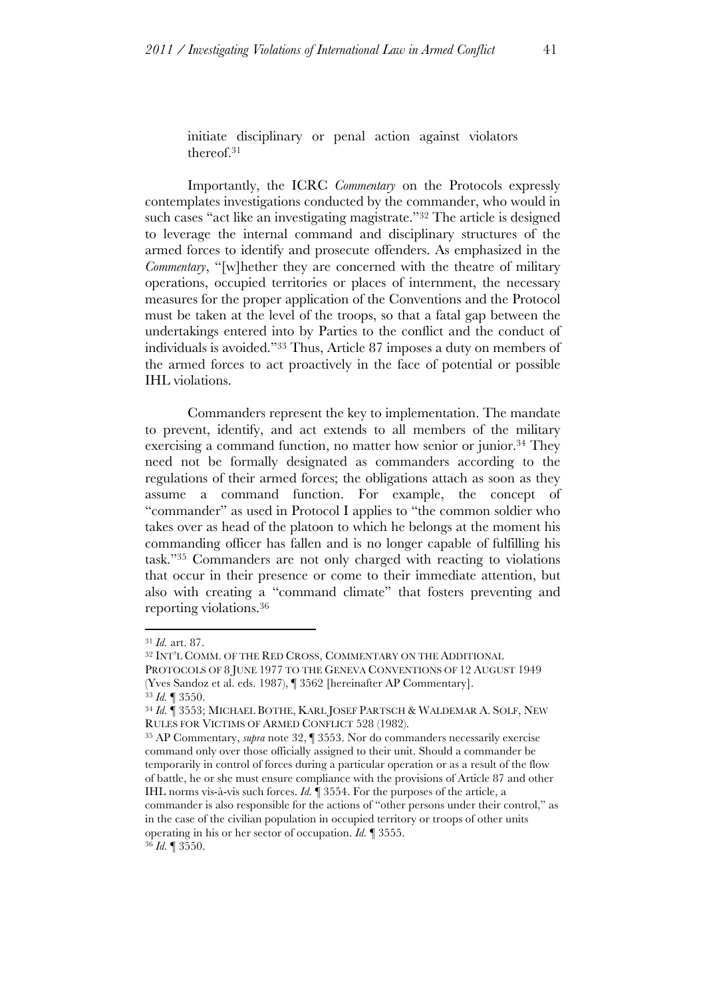initiate disciplinary or penal action against violators thereof.31

Importantly, the ICRC *Commentary* on the Protocols expressly contemplates investigations conducted by the commander, who would in such cases "act like an investigating magistrate."32 The article is designed to leverage the internal command and disciplinary structures of the armed forces to identify and prosecute offenders. As emphasized in the *Commentary*, "[w]hether they are concerned with the theatre of military operations, occupied territories or places of internment, the necessary measures for the proper application of the Conventions and the Protocol must be taken at the level of the troops, so that a fatal gap between the undertakings entered into by Parties to the conflict and the conduct of individuals is avoided."33 Thus, Article 87 imposes a duty on members of the armed forces to act proactively in the face of potential or possible IHL violations.

Commanders represent the key to implementation. The mandate to prevent, identify, and act extends to all members of the military exercising a command function, no matter how senior or junior.<sup>34</sup> They need not be formally designated as commanders according to the regulations of their armed forces; the obligations attach as soon as they assume a command function. For example, the concept of "commander" as used in Protocol I applies to "the common soldier who takes over as head of the platoon to which he belongs at the moment his commanding officer has fallen and is no longer capable of fulfilling his task."35 Commanders are not only charged with reacting to violations that occur in their presence or come to their immediate attention, but also with creating a "command climate" that fosters preventing and reporting violations.36

<sup>31</sup> *Id.* art. 87.

<sup>32</sup> INT'L COMM. OF THE RED CROSS, COMMENTARY ON THE ADDITIONAL PROTOCOLS OF 8 JUNE 1977 TO THE GENEVA CONVENTIONS OF 12 AUGUST 1949 (Yves Sandoz et al. eds. 1987), ¶ 3562 [hereinafter AP Commentary]. <sup>33</sup> *Id.* ¶ 3550.

<sup>34</sup> *Id.* ¶ 3553; MICHAEL BOTHE, KARL JOSEF PARTSCH & WALDEMAR A. SOLF, NEW RULES FOR VICTIMS OF ARMED CONFLICT 528 (1982).

<sup>35</sup> AP Commentary, *supra* note 32, ¶ 3553. Nor do commanders necessarily exercise command only over those officially assigned to their unit. Should a commander be temporarily in control of forces during a particular operation or as a result of the flow of battle, he or she must ensure compliance with the provisions of Article 87 and other IHL norms vis-à-vis such forces. *Id.* ¶ 3554. For the purposes of the article, a commander is also responsible for the actions of "other persons under their control," as in the case of the civilian population in occupied territory or troops of other units operating in his or her sector of occupation. *Id.* ¶ 3555. <sup>36</sup> *Id.* ¶ 3550.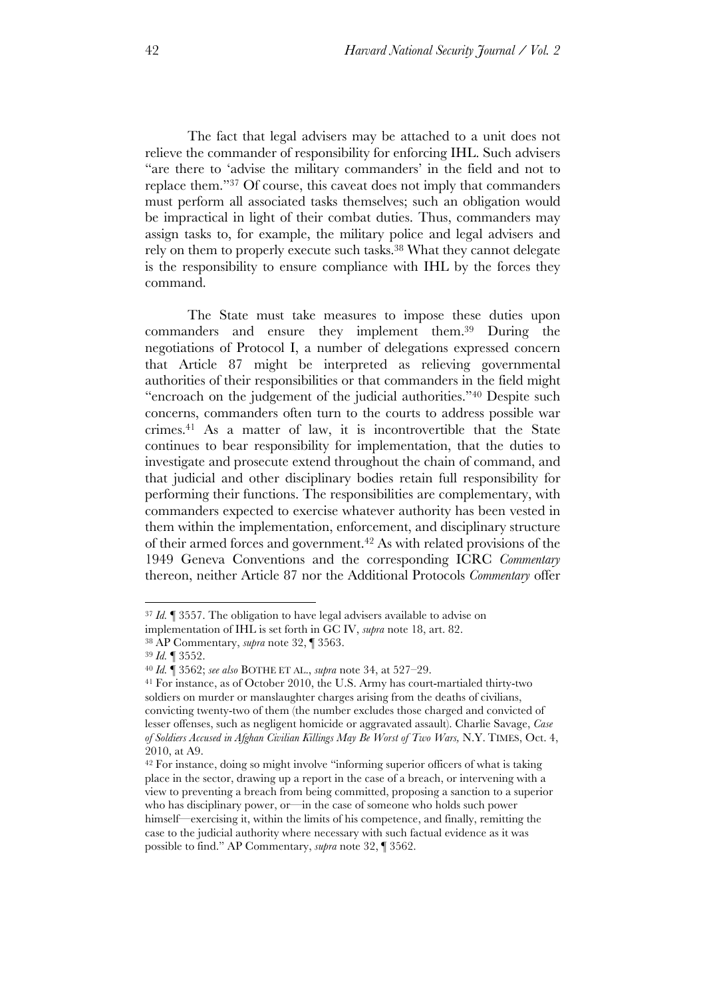The fact that legal advisers may be attached to a unit does not relieve the commander of responsibility for enforcing IHL. Such advisers "are there to 'advise the military commanders' in the field and not to replace them."37 Of course, this caveat does not imply that commanders must perform all associated tasks themselves; such an obligation would be impractical in light of their combat duties. Thus, commanders may assign tasks to, for example, the military police and legal advisers and rely on them to properly execute such tasks.38 What they cannot delegate is the responsibility to ensure compliance with IHL by the forces they command.

The State must take measures to impose these duties upon commanders and ensure they implement them.39 During the negotiations of Protocol I, a number of delegations expressed concern that Article 87 might be interpreted as relieving governmental authorities of their responsibilities or that commanders in the field might "encroach on the judgement of the judicial authorities."40 Despite such concerns, commanders often turn to the courts to address possible war crimes.41 As a matter of law, it is incontrovertible that the State continues to bear responsibility for implementation, that the duties to investigate and prosecute extend throughout the chain of command, and that judicial and other disciplinary bodies retain full responsibility for performing their functions. The responsibilities are complementary, with commanders expected to exercise whatever authority has been vested in them within the implementation, enforcement, and disciplinary structure of their armed forces and government.42 As with related provisions of the 1949 Geneva Conventions and the corresponding ICRC *Commentary* thereon, neither Article 87 nor the Additional Protocols *Commentary* offer

<sup>37</sup> *Id.* ¶ 3557. The obligation to have legal advisers available to advise on

implementation of IHL is set forth in GC IV, *supra* note 18, art. 82.

<sup>38</sup> AP Commentary, *supra* note 32, ¶ 3563.

<sup>39</sup> *Id.* ¶ 3552.

<sup>40</sup> *Id.* ¶ 3562; *see also* BOTHE ET AL., *supra* note 34, at 527–29.

<sup>41</sup> For instance, as of October 2010, the U.S. Army has court-martialed thirty-two soldiers on murder or manslaughter charges arising from the deaths of civilians, convicting twenty-two of them (the number excludes those charged and convicted of lesser offenses, such as negligent homicide or aggravated assault). Charlie Savage, *Case of Soldiers Accused in Afghan Civilian Killings May Be Worst of Two Wars,* N.Y. TIMES, Oct. 4, 2010, at A9.

<sup>42</sup> For instance, doing so might involve "informing superior officers of what is taking place in the sector, drawing up a report in the case of a breach, or intervening with a view to preventing a breach from being committed, proposing a sanction to a superior who has disciplinary power, or—in the case of someone who holds such power himself—exercising it, within the limits of his competence, and finally, remitting the case to the judicial authority where necessary with such factual evidence as it was possible to find." AP Commentary, *supra* note 32, ¶ 3562.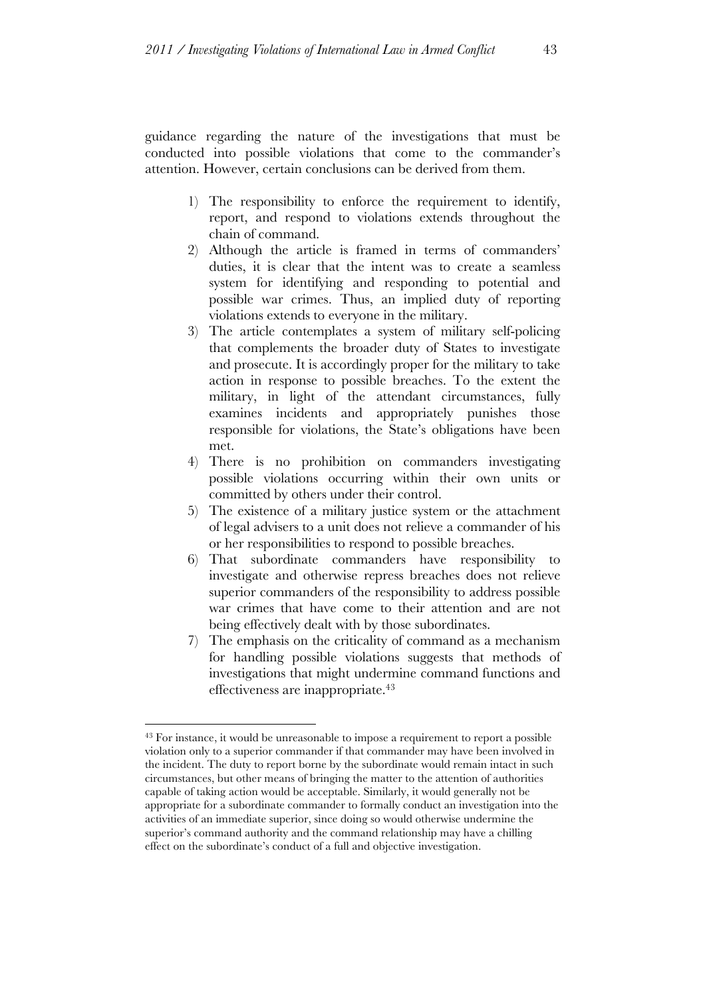guidance regarding the nature of the investigations that must be conducted into possible violations that come to the commander's attention. However, certain conclusions can be derived from them.

- 1) The responsibility to enforce the requirement to identify, report, and respond to violations extends throughout the chain of command.
- 2) Although the article is framed in terms of commanders' duties, it is clear that the intent was to create a seamless system for identifying and responding to potential and possible war crimes. Thus, an implied duty of reporting violations extends to everyone in the military.
- 3) The article contemplates a system of military self-policing that complements the broader duty of States to investigate and prosecute. It is accordingly proper for the military to take action in response to possible breaches. To the extent the military, in light of the attendant circumstances, fully examines incidents and appropriately punishes those responsible for violations, the State's obligations have been met.
- 4) There is no prohibition on commanders investigating possible violations occurring within their own units or committed by others under their control.
- 5) The existence of a military justice system or the attachment of legal advisers to a unit does not relieve a commander of his or her responsibilities to respond to possible breaches.
- 6) That subordinate commanders have responsibility to investigate and otherwise repress breaches does not relieve superior commanders of the responsibility to address possible war crimes that have come to their attention and are not being effectively dealt with by those subordinates.
- 7) The emphasis on the criticality of command as a mechanism for handling possible violations suggests that methods of investigations that might undermine command functions and effectiveness are inappropriate.43

<sup>43</sup> For instance, it would be unreasonable to impose a requirement to report a possible violation only to a superior commander if that commander may have been involved in the incident. The duty to report borne by the subordinate would remain intact in such circumstances, but other means of bringing the matter to the attention of authorities capable of taking action would be acceptable. Similarly, it would generally not be appropriate for a subordinate commander to formally conduct an investigation into the activities of an immediate superior, since doing so would otherwise undermine the superior's command authority and the command relationship may have a chilling effect on the subordinate's conduct of a full and objective investigation.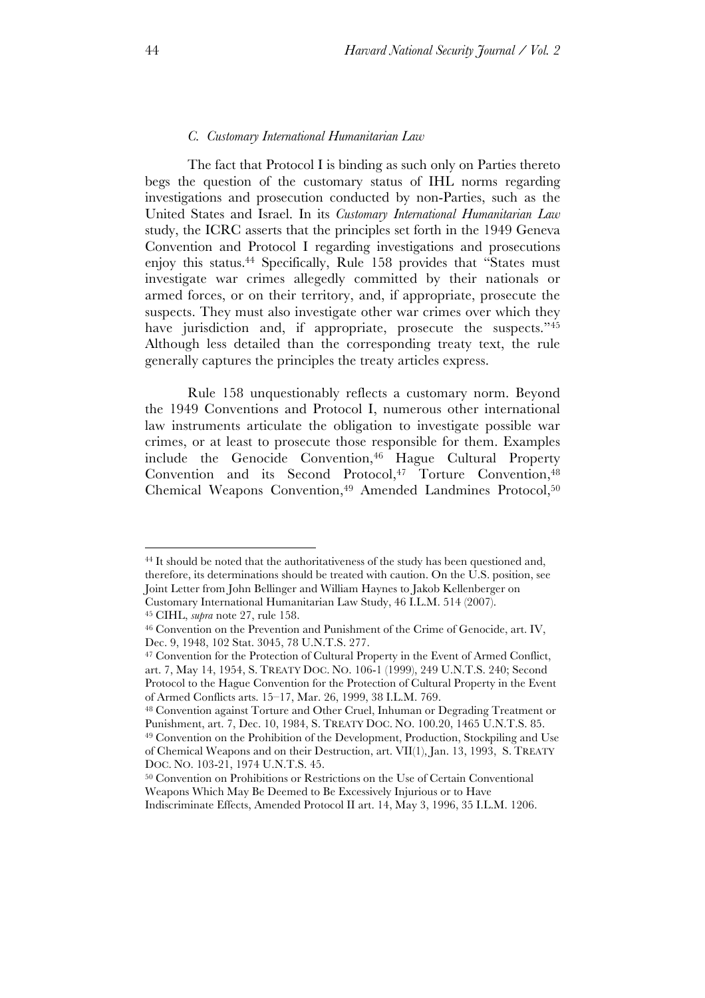#### *C. Customary International Humanitarian Law*

The fact that Protocol I is binding as such only on Parties thereto begs the question of the customary status of IHL norms regarding investigations and prosecution conducted by non-Parties, such as the United States and Israel. In its *Customary International Humanitarian Law* study, the ICRC asserts that the principles set forth in the 1949 Geneva Convention and Protocol I regarding investigations and prosecutions enjoy this status.44 Specifically, Rule 158 provides that "States must investigate war crimes allegedly committed by their nationals or armed forces, or on their territory, and, if appropriate, prosecute the suspects. They must also investigate other war crimes over which they have jurisdiction and, if appropriate, prosecute the suspects."<sup>45</sup> Although less detailed than the corresponding treaty text, the rule generally captures the principles the treaty articles express.

Rule 158 unquestionably reflects a customary norm. Beyond the 1949 Conventions and Protocol I, numerous other international law instruments articulate the obligation to investigate possible war crimes, or at least to prosecute those responsible for them. Examples include the Genocide Convention,<sup>46</sup> Hague Cultural Property Convention and its Second Protocol,47 Torture Convention,48 Chemical Weapons Convention,<sup>49</sup> Amended Landmines Protocol,<sup>50</sup>

<sup>44</sup> It should be noted that the authoritativeness of the study has been questioned and, therefore, its determinations should be treated with caution. On the U.S. position, see Joint Letter from John Bellinger and William Haynes to Jakob Kellenberger on Customary International Humanitarian Law Study, 46 I.L.M. 514 (2007). 45 CIHL, *supra* note 27, rule 158.

<sup>46</sup> Convention on the Prevention and Punishment of the Crime of Genocide, art. IV, Dec. 9, 1948, 102 Stat. 3045, 78 U.N.T.S. 277.

<sup>47</sup> Convention for the Protection of Cultural Property in the Event of Armed Conflict, art. 7, May 14, 1954, S. TREATY DOC. NO. 106-1 (1999), 249 U.N.T.S. 240; Second Protocol to the Hague Convention for the Protection of Cultural Property in the Event of Armed Conflicts arts. 15–17, Mar. 26, 1999, 38 I.L.M. 769.

<sup>48</sup> Convention against Torture and Other Cruel, Inhuman or Degrading Treatment or Punishment, art. 7, Dec. 10, 1984, S. TREATY DOC. NO. 100.20, 1465 U.N.T.S. 85. 49 Convention on the Prohibition of the Development, Production, Stockpiling and Use

of Chemical Weapons and on their Destruction, art. VII(1), Jan. 13, 1993, S. TREATY DOC. NO. 103-21, 1974 U.N.T.S. 45.

<sup>50</sup> Convention on Prohibitions or Restrictions on the Use of Certain Conventional Weapons Which May Be Deemed to Be Excessively Injurious or to Have Indiscriminate Effects, Amended Protocol II art. 14, May 3, 1996, 35 I.L.M. 1206.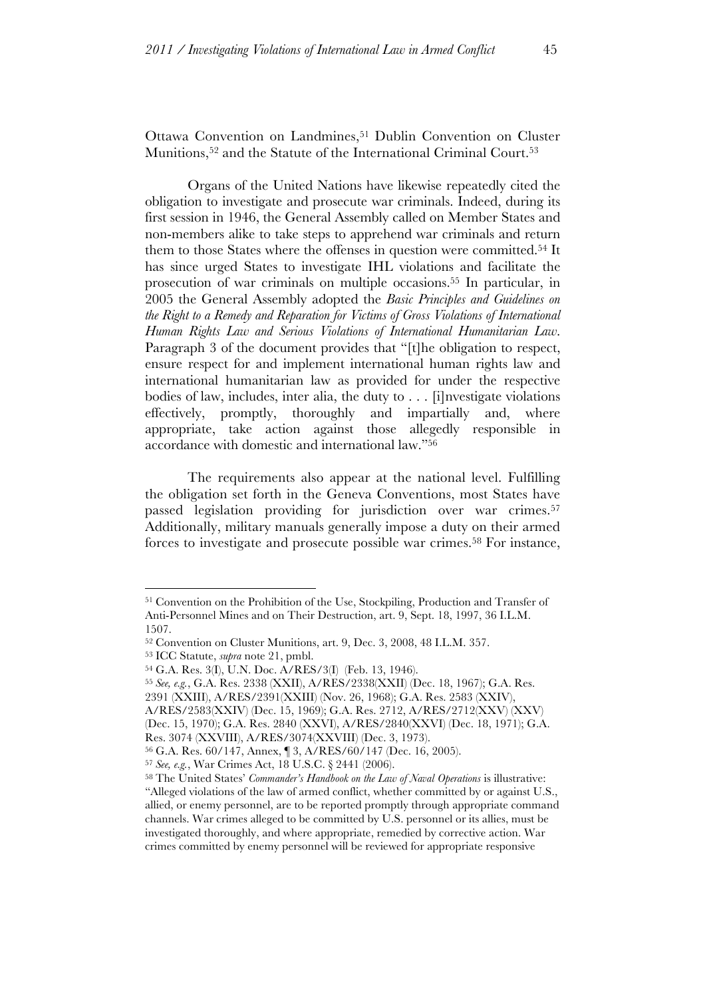Ottawa Convention on Landmines,<sup>51</sup> Dublin Convention on Cluster Munitions,<sup>52</sup> and the Statute of the International Criminal Court.<sup>53</sup>

Organs of the United Nations have likewise repeatedly cited the obligation to investigate and prosecute war criminals. Indeed, during its first session in 1946, the General Assembly called on Member States and non-members alike to take steps to apprehend war criminals and return them to those States where the offenses in question were committed.54 It has since urged States to investigate IHL violations and facilitate the prosecution of war criminals on multiple occasions.55 In particular, in 2005 the General Assembly adopted the *Basic Principles and Guidelines on the Right to a Remedy and Reparation for Victims of Gross Violations of International Human Rights Law and Serious Violations of International Humanitarian Law*. Paragraph 3 of the document provides that "[t]he obligation to respect, ensure respect for and implement international human rights law and international humanitarian law as provided for under the respective bodies of law, includes, inter alia, the duty to . . . [i]nvestigate violations effectively, promptly, thoroughly and impartially and, where appropriate, take action against those allegedly responsible in accordance with domestic and international law."56

The requirements also appear at the national level. Fulfilling the obligation set forth in the Geneva Conventions, most States have passed legislation providing for jurisdiction over war crimes.<sup>57</sup> Additionally, military manuals generally impose a duty on their armed forces to investigate and prosecute possible war crimes.58 For instance,

<sup>51</sup> Convention on the Prohibition of the Use, Stockpiling, Production and Transfer of Anti-Personnel Mines and on Their Destruction, art. 9, Sept. 18, 1997, 36 I.L.M. 1507.

<sup>52</sup> Convention on Cluster Munitions, art. 9, Dec. 3, 2008, 48 I.L.M. 357.

<sup>53</sup> ICC Statute, *supra* note 21, pmbl.

<sup>54</sup> G.A. Res. 3(I), U.N. Doc. A/RES/3(I) (Feb. 13, 1946).

<sup>55</sup> *See, e.g.*, G.A. Res. 2338 (XXII), A/RES/2338(XXII) (Dec. 18, 1967); G.A. Res.

<sup>2391 (</sup>XXIII), A/RES/2391(XXIII) (Nov. 26, 1968); G.A. Res. 2583 (XXIV),

A/RES/2583(XXIV) (Dec. 15, 1969); G.A. Res. 2712, A/RES/2712(XXV) (XXV) (Dec. 15, 1970); G.A. Res. 2840 (XXVI), A/RES/2840(XXVI) (Dec. 18, 1971); G.A.

Res. 3074 (XXVIII), A/RES/3074(XXVIII) (Dec. 3, 1973).

<sup>56</sup> G.A. Res. 60/147, Annex, ¶ 3, A/RES/60/147 (Dec. 16, 2005).

<sup>57</sup> *See, e.g.*, War Crimes Act, 18 U.S.C. § 2441 (2006).

<sup>58</sup> The United States' *Commander's Handbook on the Law of Naval Operations* is illustrative: "Alleged violations of the law of armed conflict, whether committed by or against U.S., allied, or enemy personnel, are to be reported promptly through appropriate command channels. War crimes alleged to be committed by U.S. personnel or its allies, must be investigated thoroughly, and where appropriate, remedied by corrective action. War crimes committed by enemy personnel will be reviewed for appropriate responsive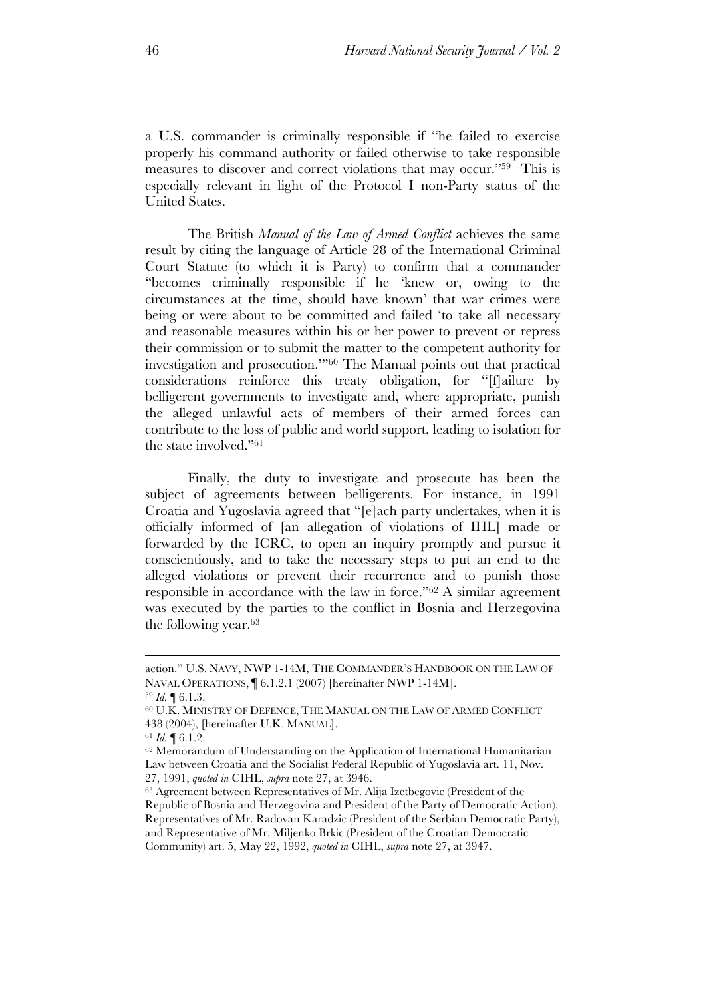a U.S. commander is criminally responsible if "he failed to exercise properly his command authority or failed otherwise to take responsible measures to discover and correct violations that may occur."59 This is especially relevant in light of the Protocol I non-Party status of the United States.

The British *Manual of the Law of Armed Conflict* achieves the same result by citing the language of Article 28 of the International Criminal Court Statute (to which it is Party) to confirm that a commander "becomes criminally responsible if he 'knew or, owing to the circumstances at the time, should have known' that war crimes were being or were about to be committed and failed 'to take all necessary and reasonable measures within his or her power to prevent or repress their commission or to submit the matter to the competent authority for investigation and prosecution.'"60 The Manual points out that practical considerations reinforce this treaty obligation, for "[f]ailure by belligerent governments to investigate and, where appropriate, punish the alleged unlawful acts of members of their armed forces can contribute to the loss of public and world support, leading to isolation for the state involved."61

Finally, the duty to investigate and prosecute has been the subject of agreements between belligerents. For instance, in 1991 Croatia and Yugoslavia agreed that "[e]ach party undertakes, when it is officially informed of [an allegation of violations of IHL] made or forwarded by the ICRC, to open an inquiry promptly and pursue it conscientiously, and to take the necessary steps to put an end to the alleged violations or prevent their recurrence and to punish those responsible in accordance with the law in force."62 A similar agreement was executed by the parties to the conflict in Bosnia and Herzegovina the following year.63

<sup>&</sup>lt;u> 1989 - Andrea Santa Alemania, amerikana amerikana amerikana amerikana amerikana amerikana amerikana amerikana</u> action." U.S. NAVY, NWP 1-14M, THE COMMANDER'S HANDBOOK ON THE LAW OF NAVAL OPERATIONS, ¶ 6.1.2.1 (2007) [hereinafter NWP 1-14M].

<sup>59</sup> *Id.* ¶ 6.1.3.

<sup>60</sup> U.K. MINISTRY OF DEFENCE, THE MANUAL ON THE LAW OF ARMED CONFLICT 438 (2004), [hereinafter U.K. MANUAL].

<sup>61</sup> *Id.* ¶ 6.1.2.

<sup>62</sup> Memorandum of Understanding on the Application of International Humanitarian Law between Croatia and the Socialist Federal Republic of Yugoslavia art. 11, Nov. 27, 1991, *quoted in* CIHL, *supra* note 27, at 3946.

<sup>63</sup> Agreement between Representatives of Mr. Alija Izetbegovic (President of the Republic of Bosnia and Herzegovina and President of the Party of Democratic Action), Representatives of Mr. Radovan Karadzic (President of the Serbian Democratic Party), and Representative of Mr. Miljenko Brkic (President of the Croatian Democratic Community) art. 5, May 22, 1992, *quoted in* CIHL, *supra* note 27, at 3947.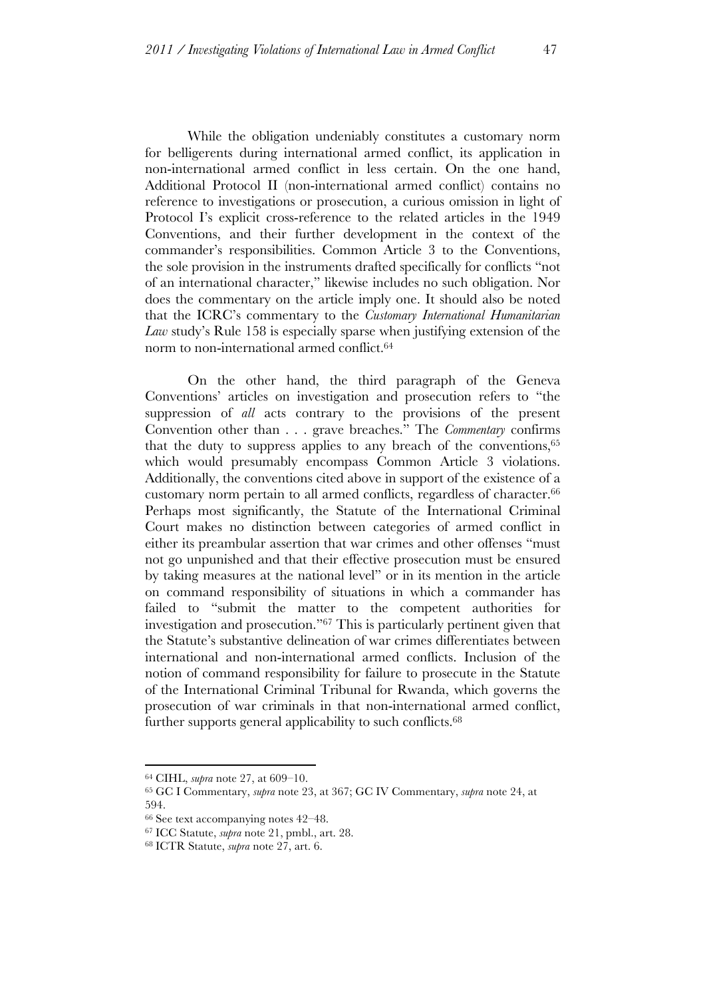While the obligation undeniably constitutes a customary norm for belligerents during international armed conflict, its application in non-international armed conflict in less certain. On the one hand, Additional Protocol II (non-international armed conflict) contains no reference to investigations or prosecution, a curious omission in light of Protocol I's explicit cross-reference to the related articles in the 1949 Conventions, and their further development in the context of the commander's responsibilities. Common Article 3 to the Conventions, the sole provision in the instruments drafted specifically for conflicts "not of an international character," likewise includes no such obligation. Nor does the commentary on the article imply one. It should also be noted that the ICRC's commentary to the *Customary International Humanitarian Law* study's Rule 158 is especially sparse when justifying extension of the norm to non-international armed conflict.<sup>64</sup>

On the other hand, the third paragraph of the Geneva Conventions' articles on investigation and prosecution refers to "the suppression of *all* acts contrary to the provisions of the present Convention other than . . . grave breaches." The *Commentary* confirms that the duty to suppress applies to any breach of the conventions,  $65$ which would presumably encompass Common Article 3 violations. Additionally, the conventions cited above in support of the existence of a customary norm pertain to all armed conflicts, regardless of character.66 Perhaps most significantly, the Statute of the International Criminal Court makes no distinction between categories of armed conflict in either its preambular assertion that war crimes and other offenses "must not go unpunished and that their effective prosecution must be ensured by taking measures at the national level" or in its mention in the article on command responsibility of situations in which a commander has failed to "submit the matter to the competent authorities for investigation and prosecution."67 This is particularly pertinent given that the Statute's substantive delineation of war crimes differentiates between international and non-international armed conflicts. Inclusion of the notion of command responsibility for failure to prosecute in the Statute of the International Criminal Tribunal for Rwanda, which governs the prosecution of war criminals in that non-international armed conflict, further supports general applicability to such conflicts.<sup>68</sup>

<sup>&</sup>lt;u> 1989 - Johann Stein, mars et al. 1989 - Anna ann an t-Anna ann an t-Anna ann an t-Anna ann an t-Anna ann an t-</u> 64 CIHL, *supra* note 27, at 609–10.

<sup>65</sup> GC I Commentary, *supra* note 23, at 367; GC IV Commentary, *supra* note 24, at 594.

<sup>66</sup> See text accompanying notes 42–48.

<sup>67</sup> ICC Statute, *supra* note 21, pmbl., art. 28.

<sup>68</sup> ICTR Statute, *supra* note 27, art. 6.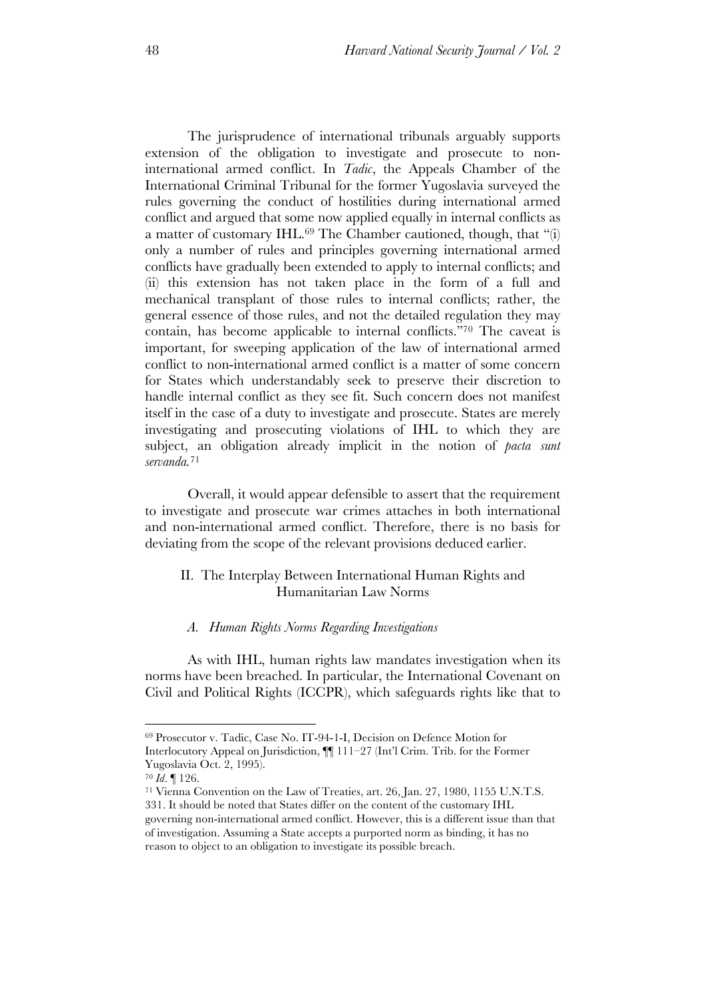The jurisprudence of international tribunals arguably supports extension of the obligation to investigate and prosecute to noninternational armed conflict. In *Tadic*, the Appeals Chamber of the International Criminal Tribunal for the former Yugoslavia surveyed the rules governing the conduct of hostilities during international armed conflict and argued that some now applied equally in internal conflicts as a matter of customary IHL.69 The Chamber cautioned, though, that "(i) only a number of rules and principles governing international armed conflicts have gradually been extended to apply to internal conflicts; and (ii) this extension has not taken place in the form of a full and mechanical transplant of those rules to internal conflicts; rather, the general essence of those rules, and not the detailed regulation they may contain, has become applicable to internal conflicts."70 The caveat is important, for sweeping application of the law of international armed conflict to non-international armed conflict is a matter of some concern for States which understandably seek to preserve their discretion to handle internal conflict as they see fit. Such concern does not manifest itself in the case of a duty to investigate and prosecute. States are merely investigating and prosecuting violations of IHL to which they are subject, an obligation already implicit in the notion of *pacta sunt servanda.*<sup>71</sup>

Overall, it would appear defensible to assert that the requirement to investigate and prosecute war crimes attaches in both international and non-international armed conflict. Therefore, there is no basis for deviating from the scope of the relevant provisions deduced earlier.

## II. The Interplay Between International Human Rights and Humanitarian Law Norms

#### *A. Human Rights Norms Regarding Investigations*

As with IHL, human rights law mandates investigation when its norms have been breached. In particular, the International Covenant on Civil and Political Rights (ICCPR), which safeguards rights like that to

<sup>69</sup> Prosecutor v. Tadic, Case No. IT-94-1-I, Decision on Defence Motion for Interlocutory Appeal on Jurisdiction, ¶¶ 111–27 (Int'l Crim. Trib. for the Former Yugoslavia Oct. 2, 1995).

<sup>70</sup> *Id*. ¶ 126.

<sup>71</sup> Vienna Convention on the Law of Treaties, art. 26, Jan. 27, 1980, 1155 U.N.T.S. 331. It should be noted that States differ on the content of the customary IHL governing non-international armed conflict. However, this is a different issue than that of investigation. Assuming a State accepts a purported norm as binding, it has no reason to object to an obligation to investigate its possible breach.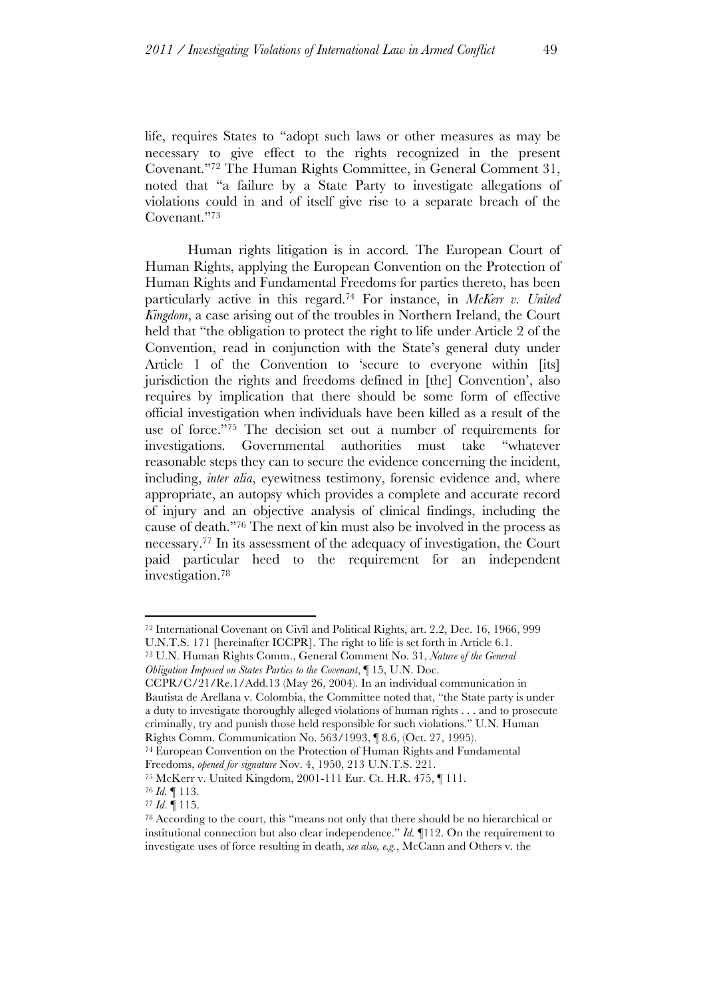life, requires States to "adopt such laws or other measures as may be necessary to give effect to the rights recognized in the present Covenant."72 The Human Rights Committee, in General Comment 31, noted that "a failure by a State Party to investigate allegations of violations could in and of itself give rise to a separate breach of the Covenant."73

Human rights litigation is in accord. The European Court of Human Rights, applying the European Convention on the Protection of Human Rights and Fundamental Freedoms for parties thereto, has been particularly active in this regard.74 For instance, in *McKerr v. United Kingdom*, a case arising out of the troubles in Northern Ireland, the Court held that "the obligation to protect the right to life under Article 2 of the Convention, read in conjunction with the State's general duty under Article 1 of the Convention to 'secure to everyone within [its] jurisdiction the rights and freedoms defined in [the] Convention', also requires by implication that there should be some form of effective official investigation when individuals have been killed as a result of the use of force."75 The decision set out a number of requirements for investigations. Governmental authorities must take "whatever reasonable steps they can to secure the evidence concerning the incident, including, *inter alia*, eyewitness testimony, forensic evidence and, where appropriate, an autopsy which provides a complete and accurate record of injury and an objective analysis of clinical findings, including the cause of death."76 The next of kin must also be involved in the process as necessary.77 In its assessment of the adequacy of investigation, the Court paid particular heed to the requirement for an independent investigation.78

<sup>72</sup> International Covenant on Civil and Political Rights, art. 2.2, Dec. 16, 1966, 999

U.N.T.S. 171 [hereinafter ICCPR]. The right to life is set forth in Article 6.1. <sup>73</sup> U.N. Human Rights Comm., General Comment No. 31, *Nature of the General* 

*Obligation Imposed on States Parties to the Covenant*, ¶ 15, U.N. Doc.

CCPR/C/21/Re.1/Add.13 (May 26, 2004). In an individual communication in Bautista de Arellana v. Colombia, the Committee noted that, "the State party is under a duty to investigate thoroughly alleged violations of human rights . . . and to prosecute criminally, try and punish those held responsible for such violations." U.N. Human Rights Comm. Communication No. 563/1993, ¶ 8.6, (Oct. 27, 1995).

<sup>74</sup> European Convention on the Protection of Human Rights and Fundamental

Freedoms, *opened for signature* Nov. 4, 1950, 213 U.N.T.S. 221.

<sup>75</sup> McKerr v. United Kingdom, 2001-111 Eur. Ct. H.R. 475, ¶ 111.

<sup>76</sup> *Id.* ¶ 113.

<sup>77</sup> *Id*. ¶ 115.

<sup>78</sup> According to the court, this "means not only that there should be no hierarchical or institutional connection but also clear independence." *Id. ¶*112. On the requirement to investigate uses of force resulting in death, *see also, e.g.*, McCann and Others v. the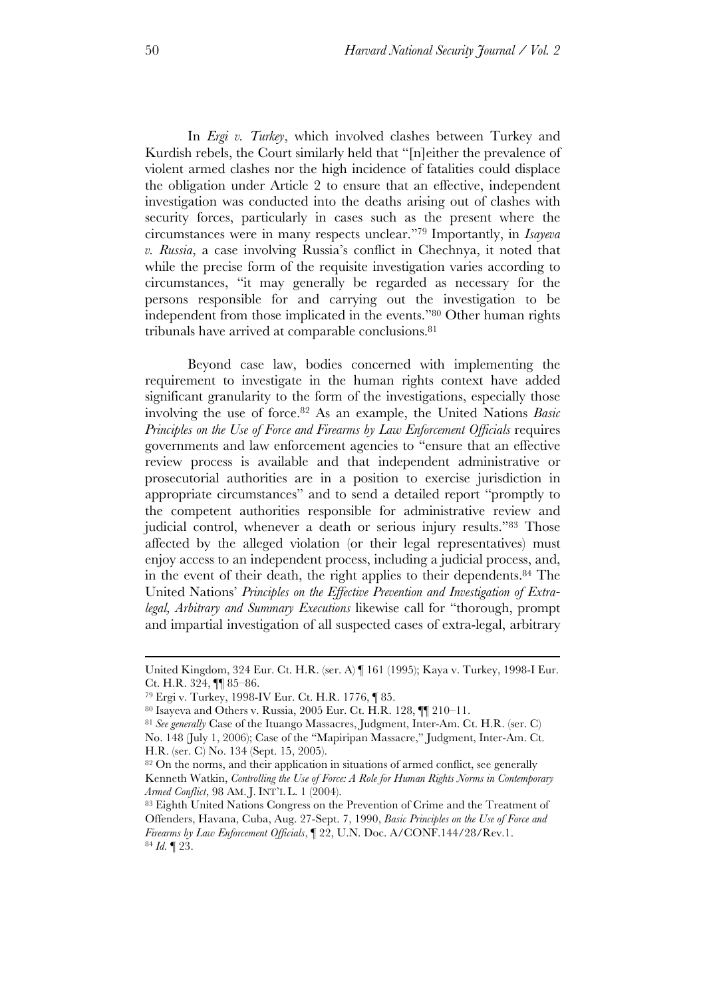In *Ergi v. Turkey*, which involved clashes between Turkey and Kurdish rebels, the Court similarly held that "[n]either the prevalence of violent armed clashes nor the high incidence of fatalities could displace the obligation under Article 2 to ensure that an effective, independent investigation was conducted into the deaths arising out of clashes with security forces, particularly in cases such as the present where the circumstances were in many respects unclear."79 Importantly, in *Isayeva v. Russia*, a case involving Russia's conflict in Chechnya, it noted that while the precise form of the requisite investigation varies according to circumstances, "it may generally be regarded as necessary for the persons responsible for and carrying out the investigation to be independent from those implicated in the events."80 Other human rights tribunals have arrived at comparable conclusions.81

Beyond case law, bodies concerned with implementing the requirement to investigate in the human rights context have added significant granularity to the form of the investigations, especially those involving the use of force.82 As an example, the United Nations *Basic Principles on the Use of Force and Firearms by Law Enforcement Officials* requires governments and law enforcement agencies to "ensure that an effective review process is available and that independent administrative or prosecutorial authorities are in a position to exercise jurisdiction in appropriate circumstances" and to send a detailed report "promptly to the competent authorities responsible for administrative review and judicial control, whenever a death or serious injury results."83 Those affected by the alleged violation (or their legal representatives) must enjoy access to an independent process, including a judicial process, and, in the event of their death, the right applies to their dependents.84 The United Nations' *Principles on the Effective Prevention and Investigation of Extralegal, Arbitrary and Summary Executions* likewise call for "thorough, prompt and impartial investigation of all suspected cases of extra-legal, arbitrary

<sup>&</sup>lt;u> 1989 - Andrea Santa Alemania, amerikana amerikana amerikana amerikana amerikana amerikana amerikana amerikana</u> United Kingdom, 324 Eur. Ct. H.R. (ser. A) ¶ 161 (1995); Kaya v. Turkey, 1998-I Eur. Ct. H.R. 324, ¶¶ 85–86.

<sup>79</sup> Ergi v. Turkey, 1998-IV Eur. Ct. H.R. 1776, ¶ 85.

<sup>80</sup> Isayeva and Others v. Russia, 2005 Eur. Ct. H.R. 128, ¶¶ 210–11.

<sup>81</sup> *See generally* Case of the Ituango Massacres, Judgment, Inter-Am. Ct. H.R. (ser. C) No. 148 (July 1, 2006); Case of the "Mapiripan Massacre," Judgment, Inter-Am. Ct. H.R. (ser. C) No. 134 (Sept. 15, 2005).

<sup>82</sup> On the norms, and their application in situations of armed conflict, see generally Kenneth Watkin, *Controlling the Use of Force: A Role for Human Rights Norms in Contemporary Armed Conflict*, 98 AM. J. INT'L L. 1 (2004).

<sup>&</sup>lt;sup>83</sup> Eighth United Nations Congress on the Prevention of Crime and the Treatment of Offenders, Havana, Cuba, Aug. 27-Sept. 7, 1990, *Basic Principles on the Use of Force and Firearms by Law Enforcement Officials*, ¶ 22, U.N. Doc. A/CONF.144/28/Rev.1. <sup>84</sup> *Id.* ¶ 23.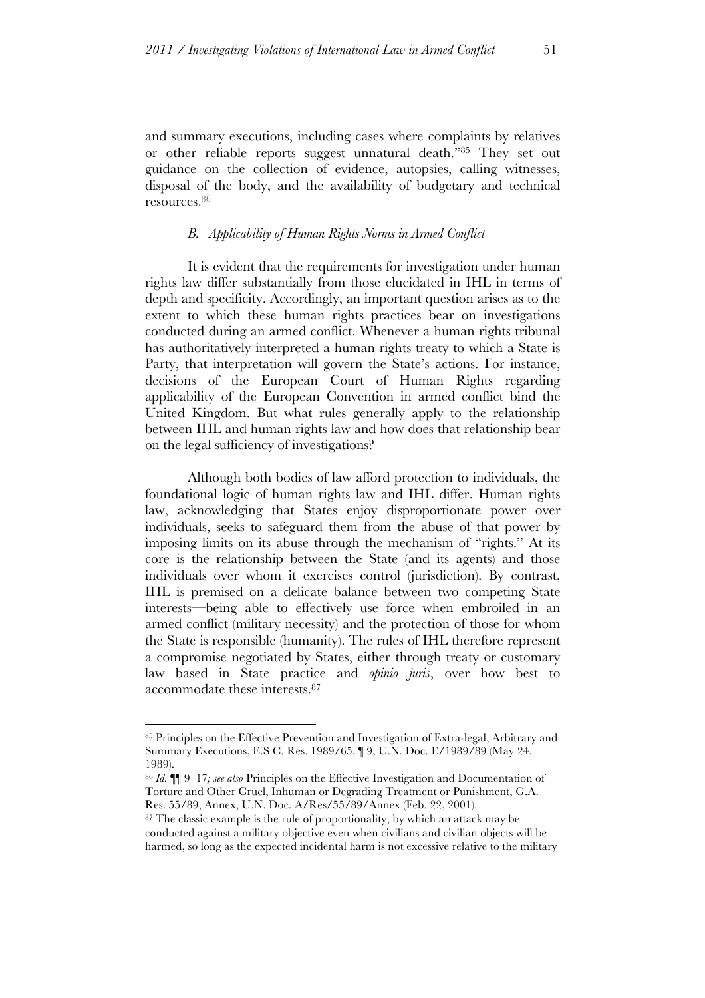and summary executions, including cases where complaints by relatives or other reliable reports suggest unnatural death."85 They set out guidance on the collection of evidence, autopsies, calling witnesses, disposal of the body, and the availability of budgetary and technical resources. 86

## *B. Applicability of Human Rights Norms in Armed Conflict*

It is evident that the requirements for investigation under human rights law differ substantially from those elucidated in IHL in terms of depth and specificity. Accordingly, an important question arises as to the extent to which these human rights practices bear on investigations conducted during an armed conflict. Whenever a human rights tribunal has authoritatively interpreted a human rights treaty to which a State is Party, that interpretation will govern the State's actions. For instance, decisions of the European Court of Human Rights regarding applicability of the European Convention in armed conflict bind the United Kingdom. But what rules generally apply to the relationship between IHL and human rights law and how does that relationship bear on the legal sufficiency of investigations?

Although both bodies of law afford protection to individuals, the foundational logic of human rights law and IHL differ. Human rights law, acknowledging that States enjoy disproportionate power over individuals, seeks to safeguard them from the abuse of that power by imposing limits on its abuse through the mechanism of "rights." At its core is the relationship between the State (and its agents) and those individuals over whom it exercises control (jurisdiction). By contrast, IHL is premised on a delicate balance between two competing State interests—being able to effectively use force when embroiled in an armed conflict (military necessity) and the protection of those for whom the State is responsible (humanity). The rules of IHL therefore represent a compromise negotiated by States, either through treaty or customary law based in State practice and *opinio juris*, over how best to accommodate these interests.87

<sup>85</sup> Principles on the Effective Prevention and Investigation of Extra-legal, Arbitrary and Summary Executions, E.S.C. Res. 1989/65, ¶ 9, U.N. Doc. E/1989/89 (May 24, 1989).

<sup>86</sup> *Id.* ¶¶ 9–17*; see also* Principles on the Effective Investigation and Documentation of Torture and Other Cruel, Inhuman or Degrading Treatment or Punishment, G.A. Res. 55/89, Annex, U.N. Doc. A/Res/55/89/Annex (Feb. 22, 2001).

<sup>&</sup>lt;sup>87</sup> The classic example is the rule of proportionality, by which an attack may be conducted against a military objective even when civilians and civilian objects will be harmed, so long as the expected incidental harm is not excessive relative to the military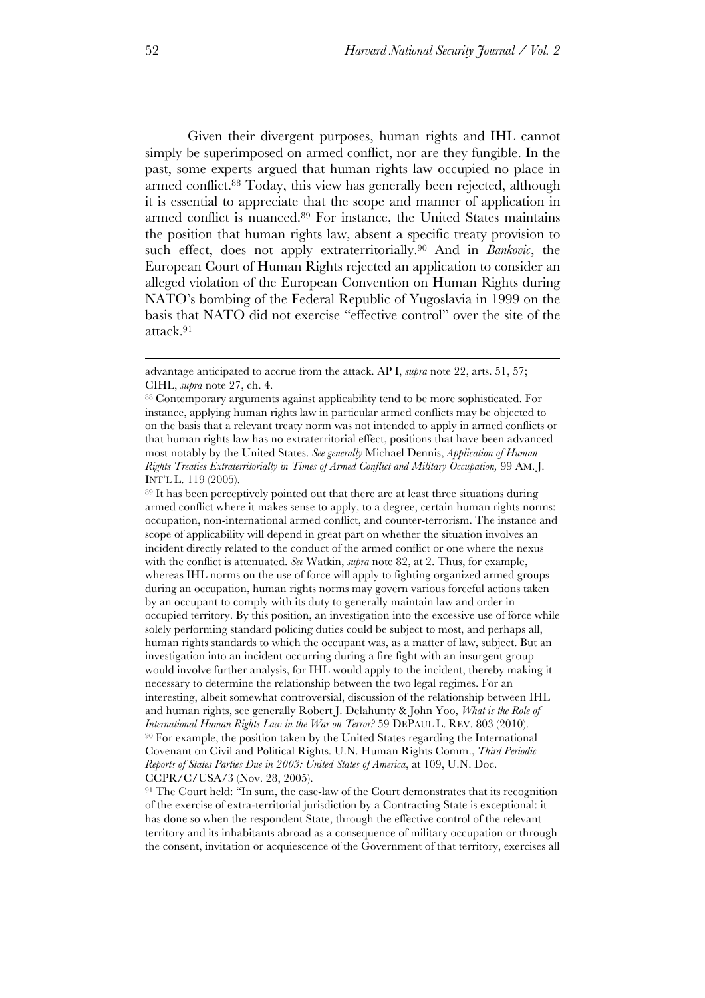Given their divergent purposes, human rights and IHL cannot simply be superimposed on armed conflict, nor are they fungible. In the past, some experts argued that human rights law occupied no place in armed conflict.88 Today, this view has generally been rejected, although it is essential to appreciate that the scope and manner of application in armed conflict is nuanced.89 For instance, the United States maintains the position that human rights law, absent a specific treaty provision to such effect, does not apply extraterritorially.90 And in *Bankovic*, the European Court of Human Rights rejected an application to consider an alleged violation of the European Convention on Human Rights during NATO's bombing of the Federal Republic of Yugoslavia in 1999 on the basis that NATO did not exercise "effective control" over the site of the attack.91

<u> 1989 - Andrea Santa Alemania, amerikana amerikana amerikana amerikana amerikana amerikana amerikana amerikana</u>

<sup>89</sup> It has been perceptively pointed out that there are at least three situations during armed conflict where it makes sense to apply, to a degree, certain human rights norms: occupation, non-international armed conflict, and counter-terrorism. The instance and scope of applicability will depend in great part on whether the situation involves an incident directly related to the conduct of the armed conflict or one where the nexus with the conflict is attenuated. *See* Watkin, *supra* note 82, at 2. Thus, for example, whereas IHL norms on the use of force will apply to fighting organized armed groups during an occupation, human rights norms may govern various forceful actions taken by an occupant to comply with its duty to generally maintain law and order in occupied territory. By this position, an investigation into the excessive use of force while solely performing standard policing duties could be subject to most, and perhaps all, human rights standards to which the occupant was, as a matter of law, subject. But an investigation into an incident occurring during a fire fight with an insurgent group would involve further analysis, for IHL would apply to the incident, thereby making it necessary to determine the relationship between the two legal regimes. For an interesting, albeit somewhat controversial, discussion of the relationship between IHL and human rights, see generally Robert J. Delahunty & John Yoo, *What is the Role of International Human Rights Law in the War on Terror?* 59 DEPAUL L. REV. 803 (2010). 90 For example, the position taken by the United States regarding the International Covenant on Civil and Political Rights. U.N. Human Rights Comm., *Third Periodic Reports of States Parties Due in 2003: United States of America*, at 109, U.N. Doc. CCPR/C/USA/3 (Nov. 28, 2005).

<sup>91</sup> The Court held: "In sum, the case-law of the Court demonstrates that its recognition of the exercise of extra-territorial jurisdiction by a Contracting State is exceptional: it has done so when the respondent State, through the effective control of the relevant territory and its inhabitants abroad as a consequence of military occupation or through the consent, invitation or acquiescence of the Government of that territory, exercises all

advantage anticipated to accrue from the attack. AP I, *supra* note 22, arts. 51, 57; CIHL, *supra* note 27, ch. 4.

<sup>88</sup> Contemporary arguments against applicability tend to be more sophisticated. For instance, applying human rights law in particular armed conflicts may be objected to on the basis that a relevant treaty norm was not intended to apply in armed conflicts or that human rights law has no extraterritorial effect, positions that have been advanced most notably by the United States. *See generally* Michael Dennis, *Application of Human Rights Treaties Extraterritorially in Times of Armed Conflict and Military Occupation,* 99 AM. J. INT'L L. 119 (2005).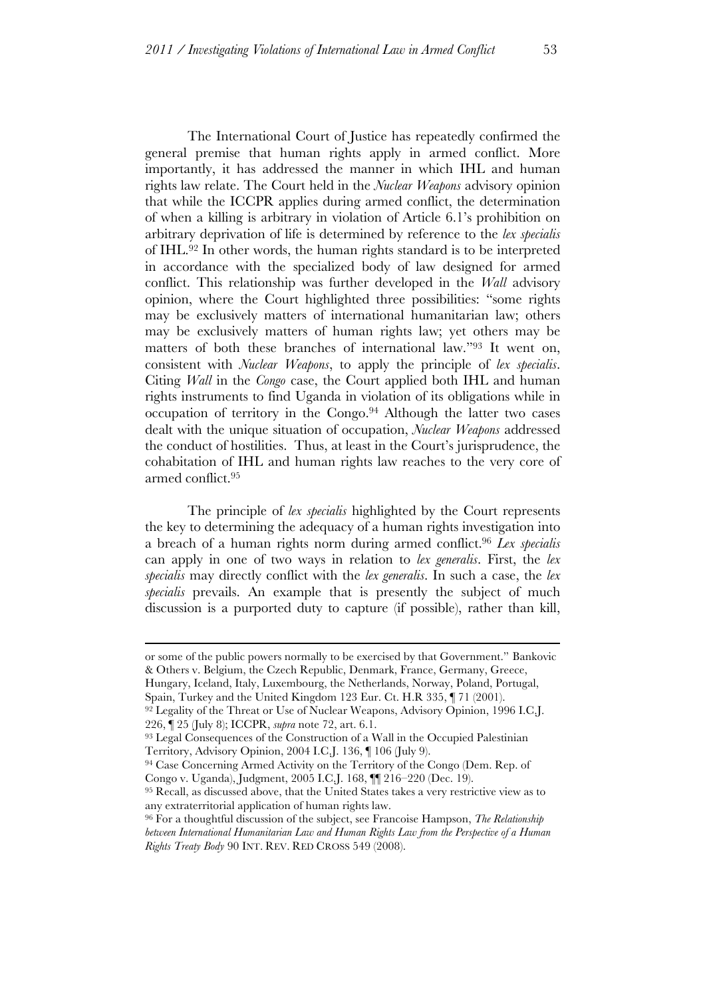The International Court of Justice has repeatedly confirmed the general premise that human rights apply in armed conflict. More importantly, it has addressed the manner in which IHL and human rights law relate. The Court held in the *Nuclear Weapons* advisory opinion that while the ICCPR applies during armed conflict, the determination of when a killing is arbitrary in violation of Article 6.1's prohibition on arbitrary deprivation of life is determined by reference to the *lex specialis* of IHL.92 In other words, the human rights standard is to be interpreted in accordance with the specialized body of law designed for armed conflict. This relationship was further developed in the *Wall* advisory opinion, where the Court highlighted three possibilities: "some rights may be exclusively matters of international humanitarian law; others may be exclusively matters of human rights law; yet others may be matters of both these branches of international law."93 It went on, consistent with *Nuclear Weapons*, to apply the principle of *lex specialis*. Citing *Wall* in the *Congo* case, the Court applied both IHL and human rights instruments to find Uganda in violation of its obligations while in occupation of territory in the Congo.94 Although the latter two cases dealt with the unique situation of occupation, *Nuclear Weapons* addressed the conduct of hostilities. Thus, at least in the Court's jurisprudence, the cohabitation of IHL and human rights law reaches to the very core of armed conflict.95

The principle of *lex specialis* highlighted by the Court represents the key to determining the adequacy of a human rights investigation into a breach of a human rights norm during armed conflict.96 *Lex specialis* can apply in one of two ways in relation to *lex generalis*. First, the *lex specialis* may directly conflict with the *lex generalis*. In such a case, the *lex specialis* prevails. An example that is presently the subject of much discussion is a purported duty to capture (if possible), rather than kill,

<u> 1989 - Andrea Santa Alemania, amerikana amerikana amerikana amerikana amerikana amerikana amerikana amerikana</u>

or some of the public powers normally to be exercised by that Government." Bankovic & Others v. Belgium, the Czech Republic, Denmark, France, Germany, Greece, Hungary, Iceland, Italy, Luxembourg, the Netherlands, Norway, Poland, Portugal,

Spain, Turkey and the United Kingdom 123 Eur. Ct. H.R 335, ¶ 71 (2001).

<sup>&</sup>lt;sup>92</sup> Legality of the Threat or Use of Nuclear Weapons, Advisory Opinion, 1996 I.C.J. 226, ¶ 25 (July 8); ICCPR, *supra* note 72, art. 6.1.

<sup>93</sup> Legal Consequences of the Construction of a Wall in the Occupied Palestinian Territory, Advisory Opinion, 2004 I.C.J. 136, ¶ 106 (July 9).

<sup>94</sup> Case Concerning Armed Activity on the Territory of the Congo (Dem. Rep. of Congo v. Uganda), Judgment, 2005 I.C.J. 168, ¶¶ 216–220 (Dec. 19).

<sup>&</sup>lt;sup>95</sup> Recall, as discussed above, that the United States takes a very restrictive view as to any extraterritorial application of human rights law.

<sup>96</sup> For a thoughtful discussion of the subject, see Francoise Hampson, *The Relationship between International Humanitarian Law and Human Rights Law from the Perspective of a Human Rights Treaty Body* 90 INT. REV. RED CROSS 549 (2008).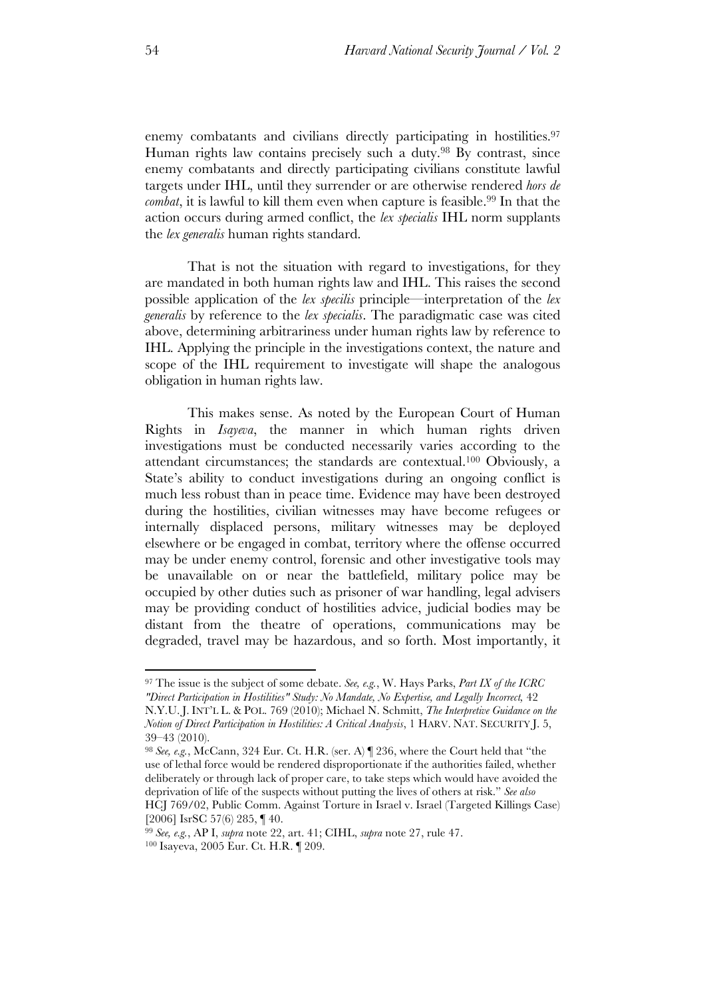enemy combatants and civilians directly participating in hostilities.<sup>97</sup> Human rights law contains precisely such a duty.98 By contrast, since enemy combatants and directly participating civilians constitute lawful targets under IHL, until they surrender or are otherwise rendered *hors de combat*, it is lawful to kill them even when capture is feasible.<sup>99</sup> In that the action occurs during armed conflict, the *lex specialis* IHL norm supplants the *lex generalis* human rights standard.

That is not the situation with regard to investigations, for they are mandated in both human rights law and IHL. This raises the second possible application of the *lex specilis* principle—interpretation of the *lex generalis* by reference to the *lex specialis*. The paradigmatic case was cited above, determining arbitrariness under human rights law by reference to IHL. Applying the principle in the investigations context, the nature and scope of the IHL requirement to investigate will shape the analogous obligation in human rights law.

This makes sense. As noted by the European Court of Human Rights in *Isayeva*, the manner in which human rights driven investigations must be conducted necessarily varies according to the attendant circumstances; the standards are contextual.100 Obviously, a State's ability to conduct investigations during an ongoing conflict is much less robust than in peace time. Evidence may have been destroyed during the hostilities, civilian witnesses may have become refugees or internally displaced persons, military witnesses may be deployed elsewhere or be engaged in combat, territory where the offense occurred may be under enemy control, forensic and other investigative tools may be unavailable on or near the battlefield, military police may be occupied by other duties such as prisoner of war handling, legal advisers may be providing conduct of hostilities advice, judicial bodies may be distant from the theatre of operations, communications may be degraded, travel may be hazardous, and so forth. Most importantly, it

<sup>97</sup> The issue is the subject of some debate. *See, e.g.*, W. Hays Parks, *Part IX of the ICRC "Direct Participation in Hostilities" Study: No Mandate, No Expertise, and Legally Incorrect,* 42 N.Y.U. J. INT'L L. & POL. 769 (2010); Michael N. Schmitt, *The Interpretive Guidance on the* 

*Notion of Direct Participation in Hostilities: A Critical Analysis*, 1 HARV. NAT. SECURITY J. 5, 39–43 (2010). <sup>98</sup> *See, e.g.*, McCann, 324 Eur. Ct. H.R. (ser. A) ¶ 236, where the Court held that "the

use of lethal force would be rendered disproportionate if the authorities failed, whether deliberately or through lack of proper care, to take steps which would have avoided the deprivation of life of the suspects without putting the lives of others at risk." *See also*  HCJ 769/02, Public Comm. Against Torture in Israel v. Israel (Targeted Killings Case) [2006] IsrSC 57(6) 285, ¶ 40.

<sup>99</sup> *See, e.g.*, AP I, *supra* note 22, art. 41; CIHL, *supra* note 27, rule 47.

<sup>100</sup> Isayeva, 2005 Eur. Ct. H.R. ¶ 209.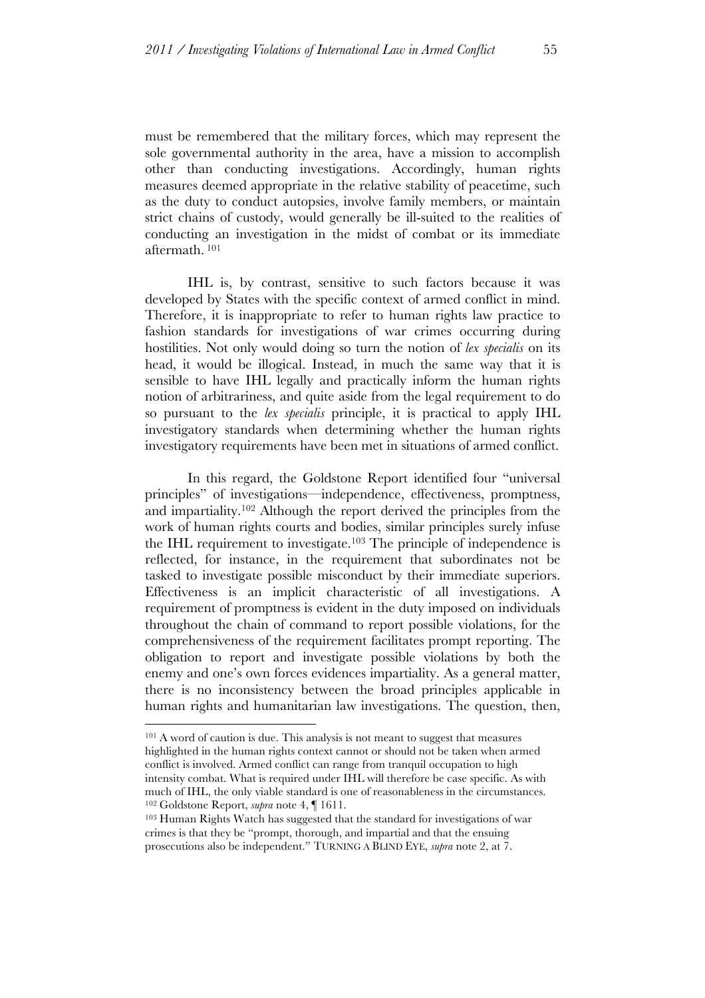must be remembered that the military forces, which may represent the sole governmental authority in the area, have a mission to accomplish other than conducting investigations. Accordingly, human rights measures deemed appropriate in the relative stability of peacetime, such as the duty to conduct autopsies, involve family members, or maintain strict chains of custody, would generally be ill-suited to the realities of conducting an investigation in the midst of combat or its immediate aftermath. <sup>101</sup>

IHL is, by contrast, sensitive to such factors because it was developed by States with the specific context of armed conflict in mind. Therefore, it is inappropriate to refer to human rights law practice to fashion standards for investigations of war crimes occurring during hostilities. Not only would doing so turn the notion of *lex specialis* on its head, it would be illogical. Instead, in much the same way that it is sensible to have IHL legally and practically inform the human rights notion of arbitrariness, and quite aside from the legal requirement to do so pursuant to the *lex specialis* principle, it is practical to apply IHL investigatory standards when determining whether the human rights investigatory requirements have been met in situations of armed conflict.

In this regard, the Goldstone Report identified four "universal principles" of investigations—independence, effectiveness, promptness, and impartiality.102 Although the report derived the principles from the work of human rights courts and bodies, similar principles surely infuse the IHL requirement to investigate.103 The principle of independence is reflected, for instance, in the requirement that subordinates not be tasked to investigate possible misconduct by their immediate superiors. Effectiveness is an implicit characteristic of all investigations. A requirement of promptness is evident in the duty imposed on individuals throughout the chain of command to report possible violations, for the comprehensiveness of the requirement facilitates prompt reporting. The obligation to report and investigate possible violations by both the enemy and one's own forces evidences impartiality. As a general matter, there is no inconsistency between the broad principles applicable in human rights and humanitarian law investigations. The question, then,

<sup>101</sup> A word of caution is due. This analysis is not meant to suggest that measures highlighted in the human rights context cannot or should not be taken when armed conflict is involved. Armed conflict can range from tranquil occupation to high intensity combat. What is required under IHL will therefore be case specific. As with much of IHL, the only viable standard is one of reasonableness in the circumstances.<br><sup>102</sup> Goldstone Report, *supra* note 4,  $\P$  1611.

<sup>&</sup>lt;sup>103</sup> Human Rights Watch has suggested that the standard for investigations of war crimes is that they be "prompt, thorough, and impartial and that the ensuing prosecutions also be independent." TURNING A BLIND EYE, *supra* note 2, at 7.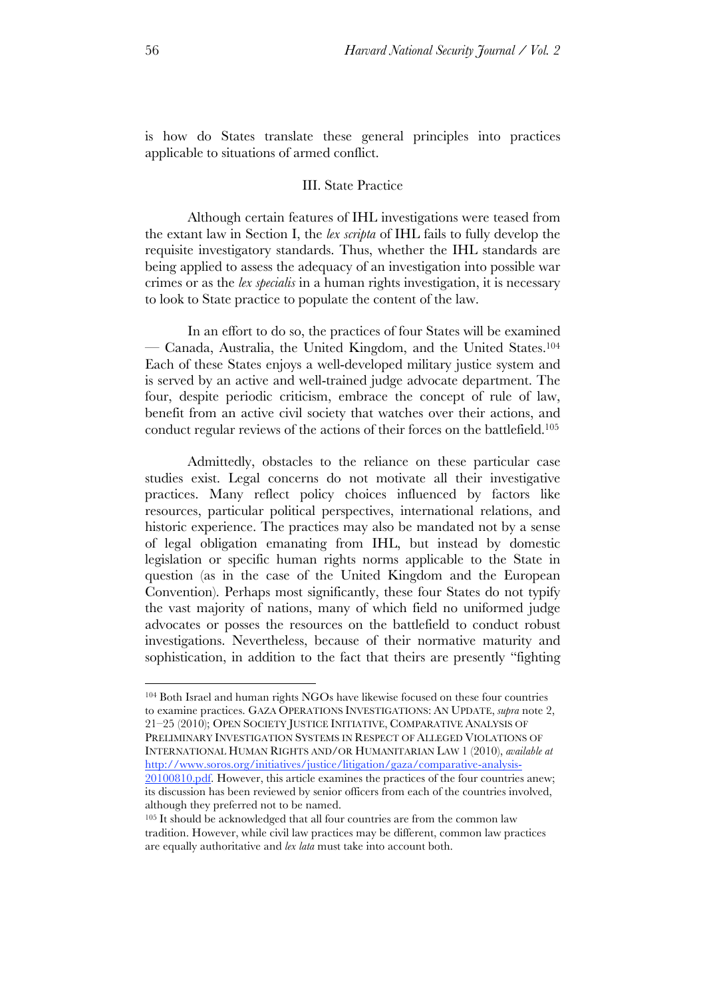is how do States translate these general principles into practices applicable to situations of armed conflict.

#### III. State Practice

Although certain features of IHL investigations were teased from the extant law in Section I, the *lex scripta* of IHL fails to fully develop the requisite investigatory standards. Thus, whether the IHL standards are being applied to assess the adequacy of an investigation into possible war crimes or as the *lex specialis* in a human rights investigation, it is necessary to look to State practice to populate the content of the law.

In an effort to do so, the practices of four States will be examined — Canada, Australia, the United Kingdom, and the United States.104 Each of these States enjoys a well-developed military justice system and is served by an active and well-trained judge advocate department. The four, despite periodic criticism, embrace the concept of rule of law, benefit from an active civil society that watches over their actions, and conduct regular reviews of the actions of their forces on the battlefield.105

Admittedly, obstacles to the reliance on these particular case studies exist. Legal concerns do not motivate all their investigative practices. Many reflect policy choices influenced by factors like resources, particular political perspectives, international relations, and historic experience. The practices may also be mandated not by a sense of legal obligation emanating from IHL, but instead by domestic legislation or specific human rights norms applicable to the State in question (as in the case of the United Kingdom and the European Convention). Perhaps most significantly, these four States do not typify the vast majority of nations, many of which field no uniformed judge advocates or posses the resources on the battlefield to conduct robust investigations. Nevertheless, because of their normative maturity and sophistication, in addition to the fact that theirs are presently "fighting

<u> 1989 - Johann Stein, mars et al. 1989 - Anna ann an t-Anna ann an t-Anna ann an t-Anna ann an t-Anna ann an t-</u>

its discussion has been reviewed by senior officers from each of the countries involved, although they preferred not to be named.

<sup>105</sup> It should be acknowledged that all four countries are from the common law tradition. However, while civil law practices may be different, common law practices are equally authoritative and *lex lata* must take into account both.

<sup>104</sup> Both Israel and human rights NGOs have likewise focused on these four countries to examine practices. GAZA OPERATIONS INVESTIGATIONS: AN UPDATE, *supra* note 2, 21–25 (2010); OPEN SOCIETY JUSTICE INITIATIVE, COMPARATIVE ANALYSIS OF PRELIMINARY INVESTIGATION SYSTEMS IN RESPECT OF ALLEGED VIOLATIONS OF INTERNATIONAL HUMAN RIGHTS AND/OR HUMANITARIAN LAW 1 (2010), *available at*  http://www.soros.org/initiatives/justice/litigation/gaza/comparative-analysis-20100810.pdf. However, this article examines the practices of the four countries anew;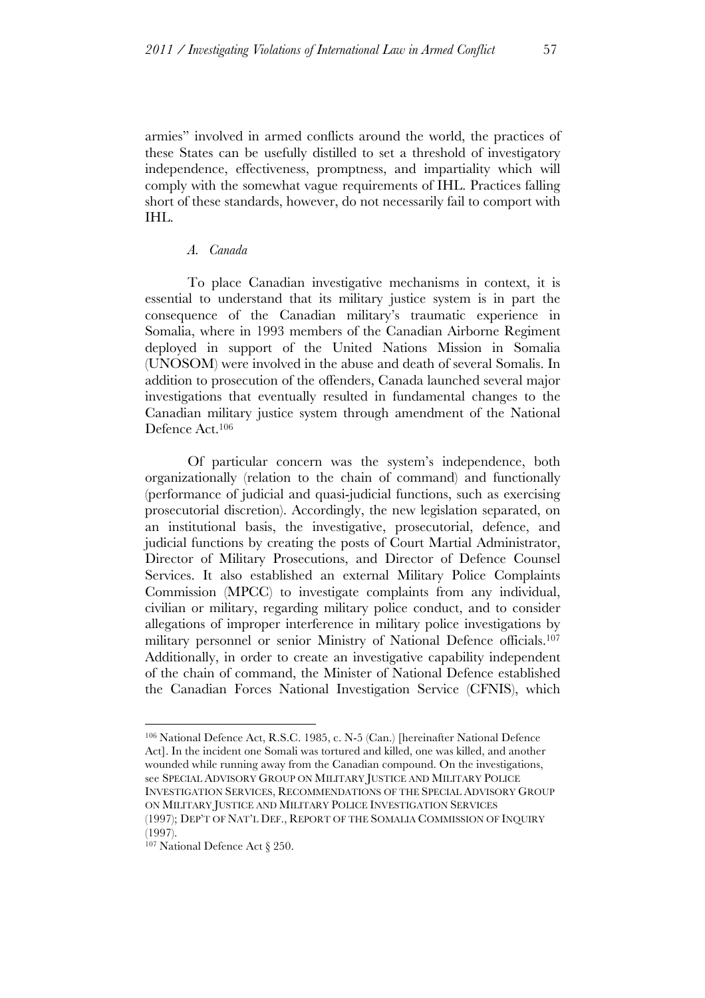armies" involved in armed conflicts around the world, the practices of these States can be usefully distilled to set a threshold of investigatory independence, effectiveness, promptness, and impartiality which will comply with the somewhat vague requirements of IHL. Practices falling short of these standards, however, do not necessarily fail to comport with IHL.

#### *A. Canada*

To place Canadian investigative mechanisms in context, it is essential to understand that its military justice system is in part the consequence of the Canadian military's traumatic experience in Somalia, where in 1993 members of the Canadian Airborne Regiment deployed in support of the United Nations Mission in Somalia (UNOSOM) were involved in the abuse and death of several Somalis. In addition to prosecution of the offenders, Canada launched several major investigations that eventually resulted in fundamental changes to the Canadian military justice system through amendment of the National Defence Act.106

Of particular concern was the system's independence, both organizationally (relation to the chain of command) and functionally (performance of judicial and quasi-judicial functions, such as exercising prosecutorial discretion). Accordingly, the new legislation separated, on an institutional basis, the investigative, prosecutorial, defence, and judicial functions by creating the posts of Court Martial Administrator, Director of Military Prosecutions, and Director of Defence Counsel Services. It also established an external Military Police Complaints Commission (MPCC) to investigate complaints from any individual, civilian or military, regarding military police conduct, and to consider allegations of improper interference in military police investigations by military personnel or senior Ministry of National Defence officials.107 Additionally, in order to create an investigative capability independent of the chain of command, the Minister of National Defence established the Canadian Forces National Investigation Service (CFNIS), which

<sup>106</sup> National Defence Act, R.S.C. 1985, c. N-5 (Can.) [hereinafter National Defence Act]. In the incident one Somali was tortured and killed, one was killed, and another wounded while running away from the Canadian compound. On the investigations, see SPECIAL ADVISORY GROUP ON MILITARY JUSTICE AND MILITARY POLICE INVESTIGATION SERVICES, RECOMMENDATIONS OF THE SPECIAL ADVISORY GROUP ON MILITARY JUSTICE AND MILITARY POLICE INVESTIGATION SERVICES (1997); DEP'T OF NAT'L DEF., REPORT OF THE SOMALIA COMMISSION OF INQUIRY (1997).

<sup>107</sup> National Defence Act § 250.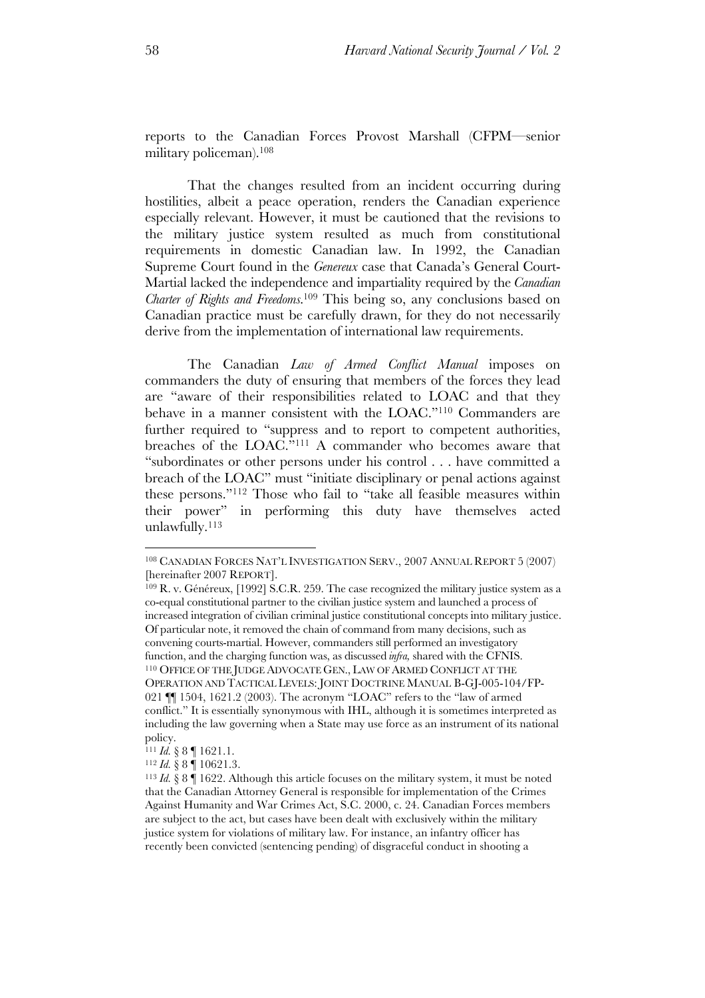reports to the Canadian Forces Provost Marshall (CFPM—senior military policeman).108

That the changes resulted from an incident occurring during hostilities, albeit a peace operation, renders the Canadian experience especially relevant. However, it must be cautioned that the revisions to the military justice system resulted as much from constitutional requirements in domestic Canadian law. In 1992, the Canadian Supreme Court found in the *Genereux* case that Canada's General Court-Martial lacked the independence and impartiality required by the *Canadian Charter of Rights and Freedoms*. 109 This being so, any conclusions based on Canadian practice must be carefully drawn, for they do not necessarily derive from the implementation of international law requirements.

The Canadian *Law of Armed Conflict Manual* imposes on commanders the duty of ensuring that members of the forces they lead are "aware of their responsibilities related to LOAC and that they behave in a manner consistent with the LOAC."110 Commanders are further required to "suppress and to report to competent authorities, breaches of the LOAC."111 A commander who becomes aware that "subordinates or other persons under his control . . . have committed a breach of the LOAC" must "initiate disciplinary or penal actions against these persons."112 Those who fail to "take all feasible measures within their power" in performing this duty have themselves acted unlawfully.113

<sup>109</sup> R. v. Généreux, [1992] S.C.R. 259. The case recognized the military justice system as a co-equal constitutional partner to the civilian justice system and launched a process of increased integration of civilian criminal justice constitutional concepts into military justice. Of particular note, it removed the chain of command from many decisions, such as convening courts-martial. However, commanders still performed an investigatory function, and the charging function was, as discussed *infra,* shared with the CFNIS. <sup>110</sup> OFFICE OF THE JUDGE ADVOCATE GEN., LAW OF ARMED CONFLICT AT THE OPERATION AND TACTICAL LEVELS: JOINT DOCTRINE MANUAL B-GJ-005-104/FP-021 ¶¶ 1504, 1621.2 (2003). The acronym "LOAC" refers to the "law of armed conflict." It is essentially synonymous with IHL, although it is sometimes interpreted as including the law governing when a State may use force as an instrument of its national policy.

<sup>108</sup> CANADIAN FORCES NAT'L INVESTIGATION SERV., 2007 ANNUAL REPORT 5 (2007) [hereinafter 2007 REPORT].

<sup>111</sup> *Id.* § 8 ¶ 1621.1.

<sup>112</sup> *Id.* § 8 ¶ 10621.3.

<sup>113</sup> *Id.* § 8 ¶ 1622. Although this article focuses on the military system, it must be noted that the Canadian Attorney General is responsible for implementation of the Crimes Against Humanity and War Crimes Act, S.C. 2000, c. 24. Canadian Forces members are subject to the act, but cases have been dealt with exclusively within the military justice system for violations of military law. For instance, an infantry officer has recently been convicted (sentencing pending) of disgraceful conduct in shooting a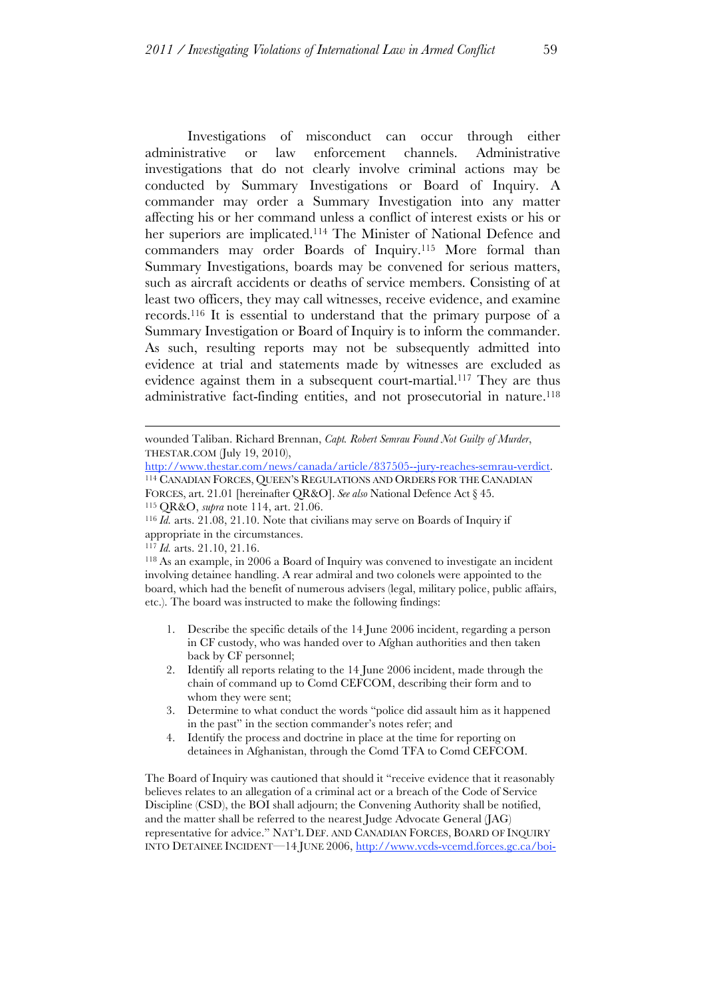Investigations of misconduct can occur through either administrative or law enforcement channels. Administrative investigations that do not clearly involve criminal actions may be conducted by Summary Investigations or Board of Inquiry. A commander may order a Summary Investigation into any matter affecting his or her command unless a conflict of interest exists or his or her superiors are implicated.<sup>114</sup> The Minister of National Defence and commanders may order Boards of Inquiry.115 More formal than Summary Investigations, boards may be convened for serious matters, such as aircraft accidents or deaths of service members. Consisting of at least two officers, they may call witnesses, receive evidence, and examine records.116 It is essential to understand that the primary purpose of a Summary Investigation or Board of Inquiry is to inform the commander. As such, resulting reports may not be subsequently admitted into evidence at trial and statements made by witnesses are excluded as evidence against them in a subsequent court-martial.<sup>117</sup> They are thus administrative fact-finding entities, and not prosecutorial in nature.<sup>118</sup>

<u> 1989 - Andrea Santa Alemania, amerikana amerikana amerikana amerikana amerikana amerikana amerikana amerikana</u>

- 1. Describe the specific details of the 14 June 2006 incident, regarding a person in CF custody, who was handed over to Afghan authorities and then taken back by CF personnel;
- 2. Identify all reports relating to the 14 June 2006 incident, made through the chain of command up to Comd CEFCOM, describing their form and to whom they were sent;
- 3. Determine to what conduct the words "police did assault him as it happened in the past" in the section commander's notes refer; and
- 4. Identify the process and doctrine in place at the time for reporting on detainees in Afghanistan, through the Comd TFA to Comd CEFCOM.

The Board of Inquiry was cautioned that should it "receive evidence that it reasonably believes relates to an allegation of a criminal act or a breach of the Code of Service Discipline (CSD), the BOI shall adjourn; the Convening Authority shall be notified, and the matter shall be referred to the nearest Judge Advocate General (JAG) representative for advice." NAT'L DEF. AND CANADIAN FORCES, BOARD OF INQUIRY INTO DETAINEE INCIDENT—14 JUNE 2006, http://www.vcds-vcemd.forces.gc.ca/boi-

wounded Taliban. Richard Brennan, *Capt. Robert Semrau Found Not Guilty of Murder*, THESTAR.COM (July 19, 2010),

http://www.thestar.com/news/canada/article/837505--jury-reaches-semrau-verdict. <sup>114</sup> CANADIAN FORCES, QUEEN'S REGULATIONS AND ORDERS FOR THE CANADIAN FORCES, art. 21.01 [hereinafter QR&O]. *See also* National Defence Act § 45.

<sup>115</sup> QR&O, *supra* note 114, art. 21.06.

<sup>116</sup> *Id.* arts. 21.08, 21.10. Note that civilians may serve on Boards of Inquiry if appropriate in the circumstances.

<sup>117</sup> *Id.* arts. 21.10, 21.16.

<sup>118</sup> As an example, in 2006 a Board of Inquiry was convened to investigate an incident involving detainee handling. A rear admiral and two colonels were appointed to the board, which had the benefit of numerous advisers (legal, military police, public affairs, etc.). The board was instructed to make the following findings: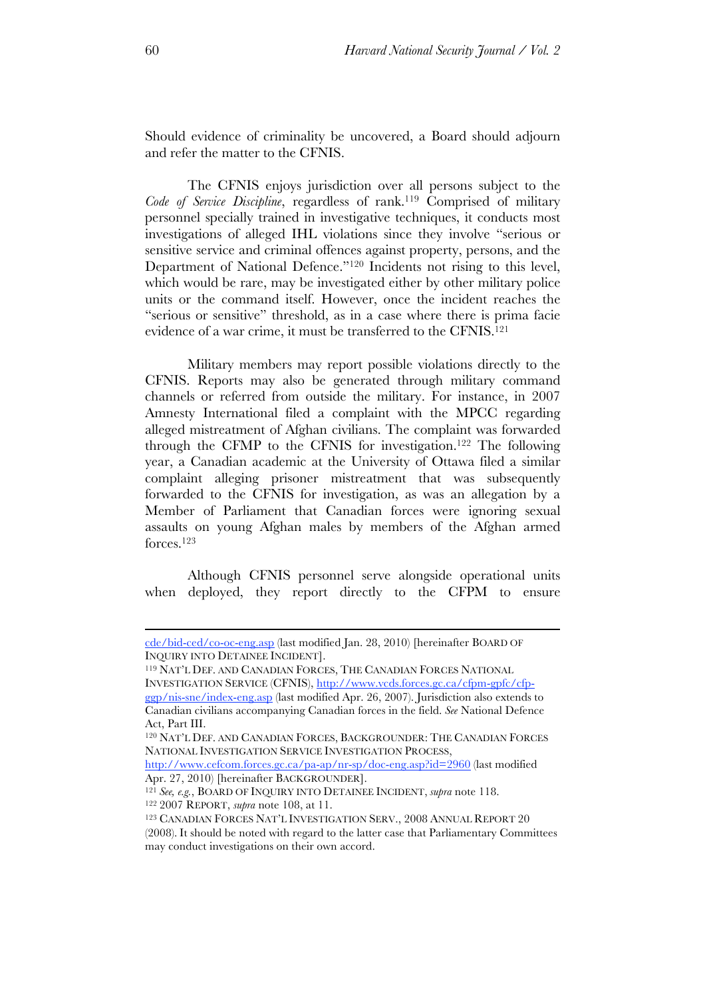Should evidence of criminality be uncovered, a Board should adjourn and refer the matter to the CFNIS.

The CFNIS enjoys jurisdiction over all persons subject to the *Code of Service Discipline*, regardless of rank.119 Comprised of military personnel specially trained in investigative techniques, it conducts most investigations of alleged IHL violations since they involve "serious or sensitive service and criminal offences against property, persons, and the Department of National Defence."120 Incidents not rising to this level, which would be rare, may be investigated either by other military police units or the command itself. However, once the incident reaches the "serious or sensitive" threshold, as in a case where there is prima facie evidence of a war crime, it must be transferred to the CFNIS.121

Military members may report possible violations directly to the CFNIS. Reports may also be generated through military command channels or referred from outside the military. For instance, in 2007 Amnesty International filed a complaint with the MPCC regarding alleged mistreatment of Afghan civilians. The complaint was forwarded through the CFMP to the CFNIS for investigation.122 The following year, a Canadian academic at the University of Ottawa filed a similar complaint alleging prisoner mistreatment that was subsequently forwarded to the CFNIS for investigation, as was an allegation by a Member of Parliament that Canadian forces were ignoring sexual assaults on young Afghan males by members of the Afghan armed forces<sup>123</sup>

Although CFNIS personnel serve alongside operational units when deployed, they report directly to the CFPM to ensure

<u> 1989 - Andrea Santa Alemania, poeta esperanto-poeta esperanto-poeta esperanto-poeta esperanto-poeta esperanto-</u>

cde/bid-ced/co-oc-eng.asp (last modified Jan. 28, 2010) [hereinafter BOARD OF INQUIRY INTO DETAINEE INCIDENT].

<sup>119</sup> NAT'L DEF. AND CANADIAN FORCES, THE CANADIAN FORCES NATIONAL INVESTIGATION SERVICE (CFNIS), http://www.vcds.forces.gc.ca/cfpm-gpfc/cfpggp/nis-sne/index-eng.asp (last modified Apr. 26, 2007). Jurisdiction also extends to Canadian civilians accompanying Canadian forces in the field. *See* National Defence Act, Part III.

<sup>120</sup> NAT'L DEF. AND CANADIAN FORCES, BACKGROUNDER: THE CANADIAN FORCES NATIONAL INVESTIGATION SERVICE INVESTIGATION PROCESS,

http://www.cefcom.forces.gc.ca/pa-ap/nr-sp/doc-eng.asp?id=2960 (last modified Apr. 27, 2010) [hereinafter BACKGROUNDER].

<sup>121</sup> *See, e.g.*, BOARD OF INQUIRY INTO DETAINEE INCIDENT, *supra* note 118. 122 2007 REPORT, *supra* note 108, at 11.

<sup>123</sup> CANADIAN FORCES NAT'L INVESTIGATION SERV., 2008 ANNUAL REPORT 20 (2008). It should be noted with regard to the latter case that Parliamentary Committees may conduct investigations on their own accord.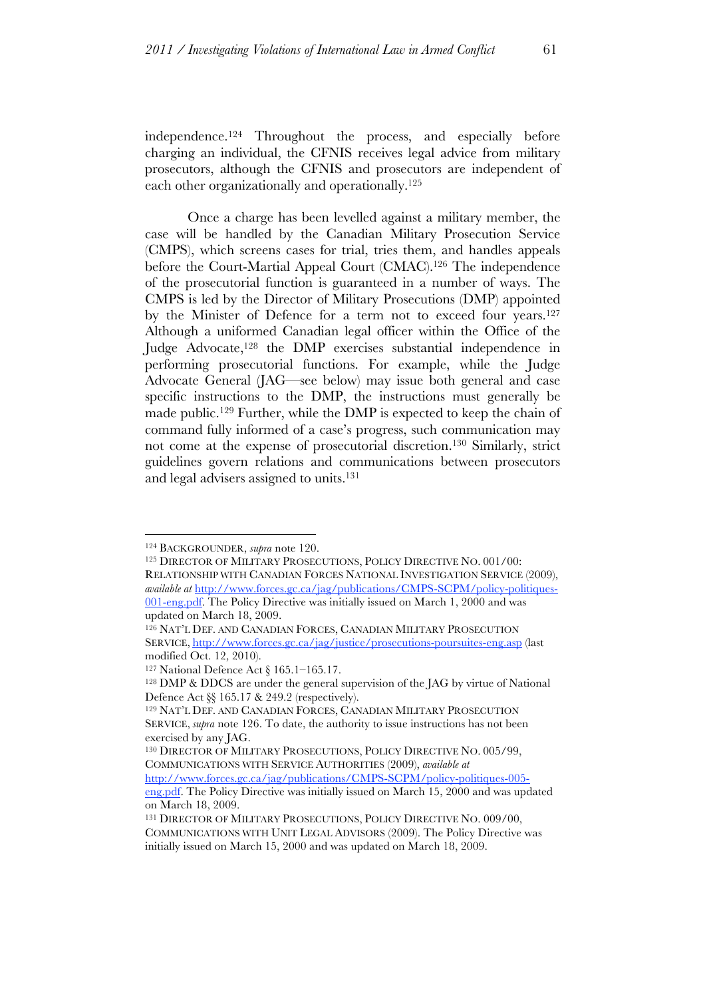independence.124 Throughout the process, and especially before charging an individual, the CFNIS receives legal advice from military prosecutors, although the CFNIS and prosecutors are independent of each other organizationally and operationally.125

Once a charge has been levelled against a military member, the case will be handled by the Canadian Military Prosecution Service (CMPS), which screens cases for trial, tries them, and handles appeals before the Court-Martial Appeal Court (CMAC).<sup>126</sup> The independence of the prosecutorial function is guaranteed in a number of ways. The CMPS is led by the Director of Military Prosecutions (DMP) appointed by the Minister of Defence for a term not to exceed four years.<sup>127</sup> Although a uniformed Canadian legal officer within the Office of the Judge Advocate,128 the DMP exercises substantial independence in performing prosecutorial functions. For example, while the Judge Advocate General (JAG—see below) may issue both general and case specific instructions to the DMP, the instructions must generally be made public.129 Further, while the DMP is expected to keep the chain of command fully informed of a case's progress, such communication may not come at the expense of prosecutorial discretion.130 Similarly, strict guidelines govern relations and communications between prosecutors and legal advisers assigned to units.131

<sup>125</sup> DIRECTOR OF MILITARY PROSECUTIONS, POLICY DIRECTIVE NO. 001/00: RELATIONSHIP WITH CANADIAN FORCES NATIONAL INVESTIGATION SERVICE (2009), *available at* http://www.forces.gc.ca/jag/publications/CMPS-SCPM/policy-politiques-001-eng.pdf. The Policy Directive was initially issued on March 1, 2000 and was updated on March 18, 2009.

<sup>&</sup>lt;u> 1989 - Johann Stein, mars et al. 1989 - Anna ann an t-Anna ann an t-Anna ann an t-Anna ann an t-Anna ann an t-</u> <sup>124</sup> BACKGROUNDER, *supra* note 120.

<sup>126</sup> NAT'L DEF. AND CANADIAN FORCES, CANADIAN MILITARY PROSECUTION SERVICE, http://www.forces.gc.ca/jag/justice/prosecutions-poursuites-eng.asp (last modified Oct. 12, 2010).

<sup>127</sup> National Defence Act § 165.1–165.17.

<sup>128</sup> DMP & DDCS are under the general supervision of the JAG by virtue of National Defence Act §§ 165.17 & 249.2 (respectively).

<sup>129</sup> NAT'L DEF. AND CANADIAN FORCES, CANADIAN MILITARY PROSECUTION SERVICE, *supra* note 126. To date, the authority to issue instructions has not been exercised by any JAG.

<sup>130</sup> DIRECTOR OF MILITARY PROSECUTIONS, POLICY DIRECTIVE NO. 005/99, COMMUNICATIONS WITH SERVICE AUTHORITIES (2009), *available at*

http://www.forces.gc.ca/jag/publications/CMPS-SCPM/policy-politiques-005 eng.pdf. The Policy Directive was initially issued on March 15, 2000 and was updated on March 18, 2009.

<sup>&</sup>lt;sup>131</sup> DIRECTOR OF MILITARY PROSECUTIONS, POLICY DIRECTIVE NO. 009/00, COMMUNICATIONS WITH UNIT LEGAL ADVISORS (2009). The Policy Directive was initially issued on March 15, 2000 and was updated on March 18, 2009.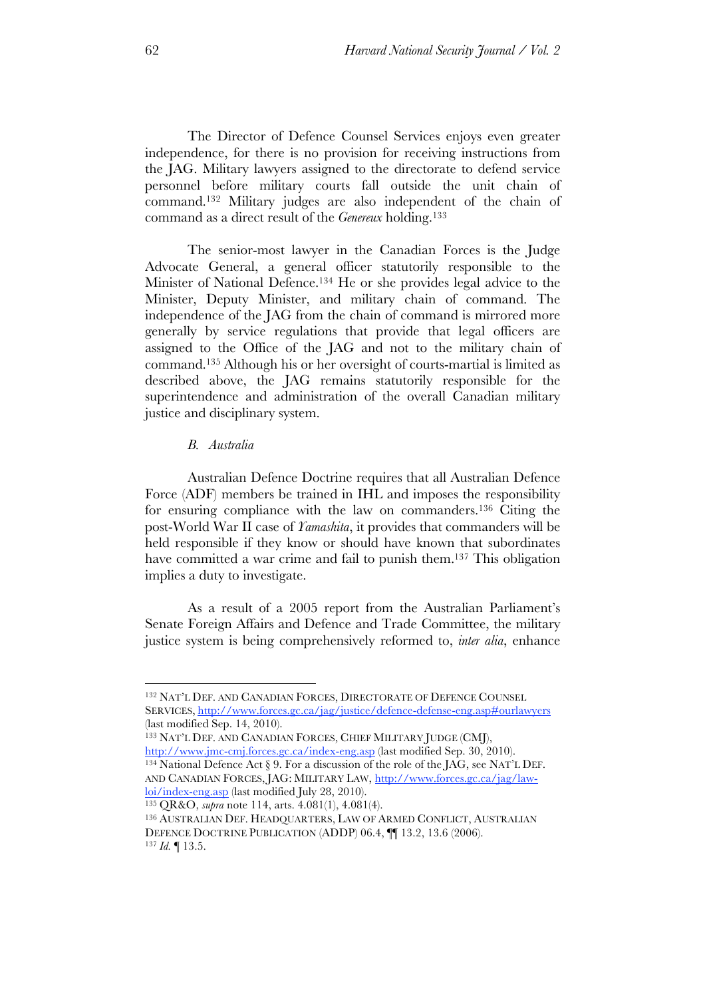The Director of Defence Counsel Services enjoys even greater independence, for there is no provision for receiving instructions from the JAG. Military lawyers assigned to the directorate to defend service personnel before military courts fall outside the unit chain of command.132 Military judges are also independent of the chain of command as a direct result of the *Genereux* holding.133

The senior-most lawyer in the Canadian Forces is the Judge Advocate General, a general officer statutorily responsible to the Minister of National Defence.<sup>134</sup> He or she provides legal advice to the Minister, Deputy Minister, and military chain of command. The independence of the JAG from the chain of command is mirrored more generally by service regulations that provide that legal officers are assigned to the Office of the JAG and not to the military chain of command.135 Although his or her oversight of courts-martial is limited as described above, the JAG remains statutorily responsible for the superintendence and administration of the overall Canadian military justice and disciplinary system.

#### *B. Australia*

Australian Defence Doctrine requires that all Australian Defence Force (ADF) members be trained in IHL and imposes the responsibility for ensuring compliance with the law on commanders.136 Citing the post-World War II case of *Yamashita*, it provides that commanders will be held responsible if they know or should have known that subordinates have committed a war crime and fail to punish them.<sup>137</sup> This obligation implies a duty to investigate.

As a result of a 2005 report from the Australian Parliament's Senate Foreign Affairs and Defence and Trade Committee, the military justice system is being comprehensively reformed to, *inter alia*, enhance

<sup>132</sup> NAT'L DEF. AND CANADIAN FORCES, DIRECTORATE OF DEFENCE COUNSEL SERVICES, http://www.forces.gc.ca/jag/justice/defence-defense-eng.asp#ourlawyers (last modified Sep. 14, 2010).

<sup>133</sup> NAT'L DEF. AND CANADIAN FORCES, CHIEF MILITARY JUDGE (CMJ), http://www.jmc-cmj.forces.gc.ca/index-eng.asp (last modified Sep. 30, 2010).

<sup>&</sup>lt;sup>134</sup> National Defence Act § 9. For a discussion of the role of the JAG, see NAT'L DEF. AND CANADIAN FORCES, JAG: MILITARY LAW, http://www.forces.gc.ca/jag/lawloi/index-eng.asp (last modified July 28, 2010).

<sup>135</sup> QR&O, *supra* note 114, arts. 4.081(1), 4.081(4).

<sup>136</sup> AUSTRALIAN DEF. HEADQUARTERS, LAW OF ARMED CONFLICT, AUSTRALIAN DEFENCE DOCTRINE PUBLICATION (ADDP) 06.4, **[[**] 13.2, 13.6 (2006). <sup>137</sup> *Id.* **[**] 13.5.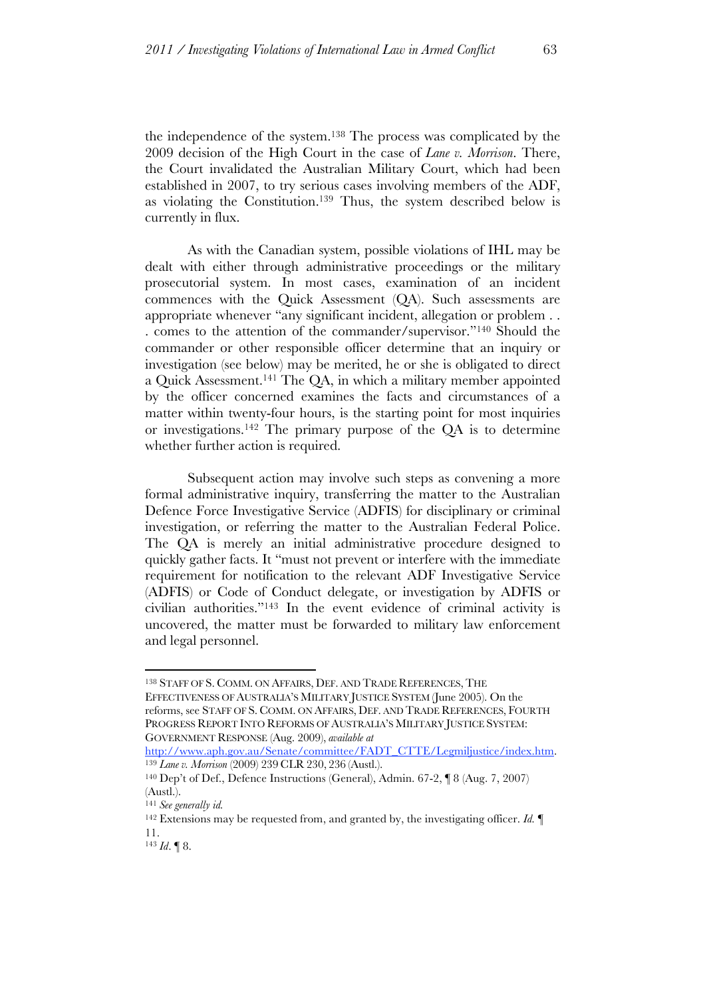the independence of the system.138 The process was complicated by the 2009 decision of the High Court in the case of *Lane v. Morrison*. There, the Court invalidated the Australian Military Court, which had been established in 2007, to try serious cases involving members of the ADF, as violating the Constitution.139 Thus, the system described below is currently in flux.

As with the Canadian system, possible violations of IHL may be dealt with either through administrative proceedings or the military prosecutorial system. In most cases, examination of an incident commences with the Quick Assessment (QA). Such assessments are appropriate whenever "any significant incident, allegation or problem . . . comes to the attention of the commander/supervisor."140 Should the commander or other responsible officer determine that an inquiry or investigation (see below) may be merited, he or she is obligated to direct a Quick Assessment.141 The QA, in which a military member appointed by the officer concerned examines the facts and circumstances of a matter within twenty-four hours, is the starting point for most inquiries or investigations.142 The primary purpose of the QA is to determine whether further action is required.

Subsequent action may involve such steps as convening a more formal administrative inquiry, transferring the matter to the Australian Defence Force Investigative Service (ADFIS) for disciplinary or criminal investigation, or referring the matter to the Australian Federal Police. The QA is merely an initial administrative procedure designed to quickly gather facts. It "must not prevent or interfere with the immediate requirement for notification to the relevant ADF Investigative Service (ADFIS) or Code of Conduct delegate, or investigation by ADFIS or civilian authorities."143 In the event evidence of criminal activity is uncovered, the matter must be forwarded to military law enforcement and legal personnel.

<sup>138</sup> STAFF OF S. COMM. ON AFFAIRS, DEF. AND TRADE REFERENCES, THE EFFECTIVENESS OF AUSTRALIA'S MILITARY JUSTICE SYSTEM (June 2005). On the reforms, see STAFF OF S. COMM. ON AFFAIRS, DEF. AND TRADE REFERENCES, FOURTH PROGRESS REPORT INTO REFORMS OF AUSTRALIA'S MILITARY JUSTICE SYSTEM: GOVERNMENT RESPONSE (Aug. 2009), *available at* 

http://www.aph.gov.au/Senate/committee/FADT\_CTTE/Legmiljustice/index.htm. <sup>139</sup> *Lane v. Morrison* (2009) 239 CLR 230, 236 (Austl.).

<sup>140</sup> Dep't of Def., Defence Instructions (General), Admin. 67-2, ¶ 8 (Aug. 7, 2007) (Austl.).

<sup>141</sup> *See generally id.* 

<sup>142</sup> Extensions may be requested from, and granted by, the investigating officer. *Id.* ¶ 11.

<sup>143</sup> *Id*. ¶ 8.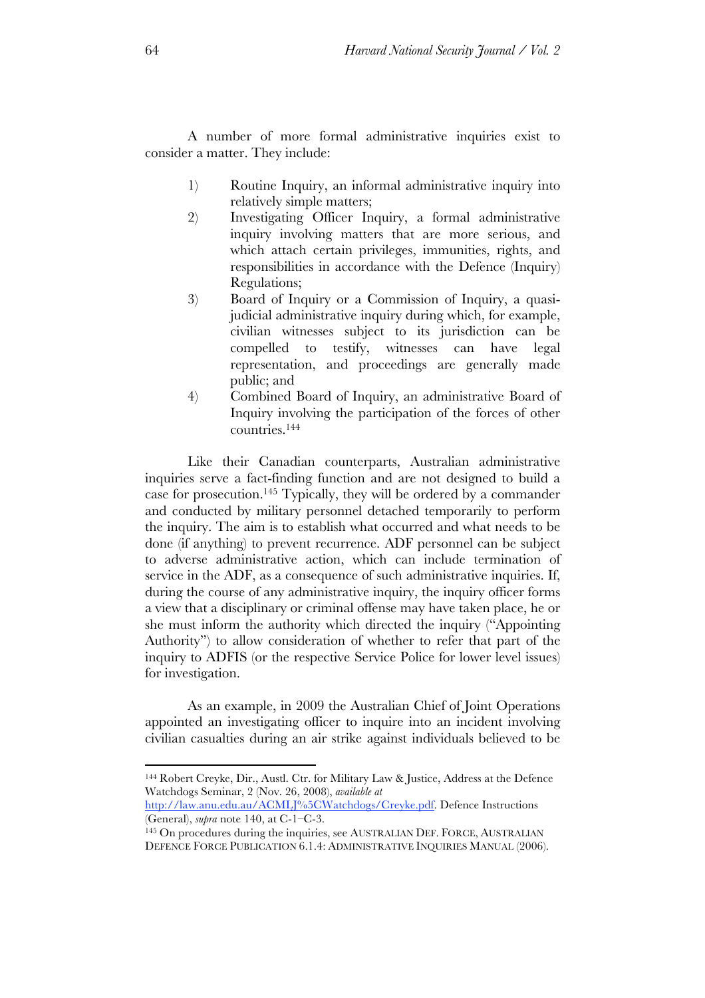A number of more formal administrative inquiries exist to consider a matter. They include:

- 1) Routine Inquiry, an informal administrative inquiry into relatively simple matters;
- 2) Investigating Officer Inquiry, a formal administrative inquiry involving matters that are more serious, and which attach certain privileges, immunities, rights, and responsibilities in accordance with the Defence (Inquiry) Regulations;
- 3) Board of Inquiry or a Commission of Inquiry, a quasijudicial administrative inquiry during which, for example, civilian witnesses subject to its jurisdiction can be compelled to testify, witnesses can have legal representation, and proceedings are generally made public; and
- 4) Combined Board of Inquiry, an administrative Board of Inquiry involving the participation of the forces of other countries.144

Like their Canadian counterparts, Australian administrative inquiries serve a fact-finding function and are not designed to build a case for prosecution.145 Typically, they will be ordered by a commander and conducted by military personnel detached temporarily to perform the inquiry. The aim is to establish what occurred and what needs to be done (if anything) to prevent recurrence. ADF personnel can be subject to adverse administrative action, which can include termination of service in the ADF, as a consequence of such administrative inquiries. If, during the course of any administrative inquiry, the inquiry officer forms a view that a disciplinary or criminal offense may have taken place, he or she must inform the authority which directed the inquiry ("Appointing Authority") to allow consideration of whether to refer that part of the inquiry to ADFIS (or the respective Service Police for lower level issues) for investigation.

As an example, in 2009 the Australian Chief of Joint Operations appointed an investigating officer to inquire into an incident involving civilian casualties during an air strike against individuals believed to be

<sup>&</sup>lt;sup>144</sup> Robert Creyke, Dir., Austl. Ctr. for Military Law & Justice, Address at the Defence Watchdogs Seminar, 2 (Nov. 26, 2008), *available at*

http://law.anu.edu.au/ACMLJ%5CWatchdogs/Creyke.pdf. Defence Instructions (General), *supra* note 140, at C-1–C-3.

<sup>145</sup> On procedures during the inquiries, see AUSTRALIAN DEF. FORCE, AUSTRALIAN DEFENCE FORCE PUBLICATION 6.1.4: ADMINISTRATIVE INQUIRIES MANUAL (2006).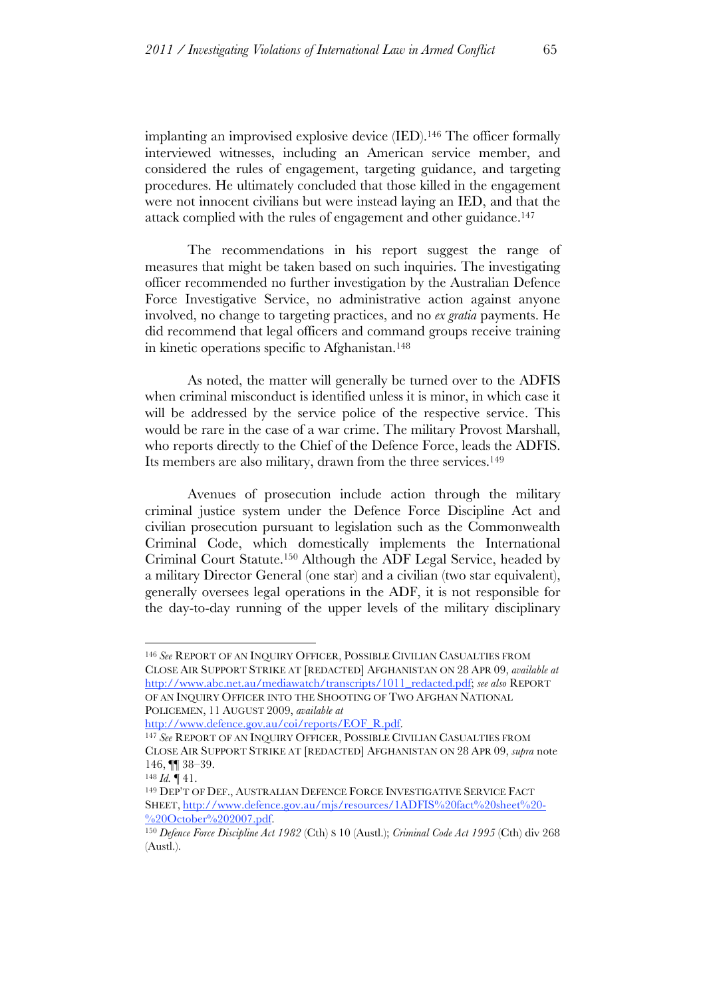implanting an improvised explosive device (IED).146 The officer formally interviewed witnesses, including an American service member, and considered the rules of engagement, targeting guidance, and targeting procedures. He ultimately concluded that those killed in the engagement were not innocent civilians but were instead laying an IED, and that the attack complied with the rules of engagement and other guidance.147

The recommendations in his report suggest the range of measures that might be taken based on such inquiries. The investigating officer recommended no further investigation by the Australian Defence Force Investigative Service, no administrative action against anyone involved, no change to targeting practices, and no *ex gratia* payments. He did recommend that legal officers and command groups receive training in kinetic operations specific to Afghanistan.148

As noted, the matter will generally be turned over to the ADFIS when criminal misconduct is identified unless it is minor, in which case it will be addressed by the service police of the respective service. This would be rare in the case of a war crime. The military Provost Marshall, who reports directly to the Chief of the Defence Force, leads the ADFIS. Its members are also military, drawn from the three services.<sup>149</sup>

Avenues of prosecution include action through the military criminal justice system under the Defence Force Discipline Act and civilian prosecution pursuant to legislation such as the Commonwealth Criminal Code, which domestically implements the International Criminal Court Statute.150 Although the ADF Legal Service, headed by a military Director General (one star) and a civilian (two star equivalent), generally oversees legal operations in the ADF, it is not responsible for the day-to-day running of the upper levels of the military disciplinary

<sup>146</sup> *See* REPORT OF AN INQUIRY OFFICER, POSSIBLE CIVILIAN CASUALTIES FROM CLOSE AIR SUPPORT STRIKE AT [REDACTED] AFGHANISTAN ON 28 APR 09, *available at* http://www.abc.net.au/mediawatch/transcripts/1011\_redacted.pdf; *see also* REPORT OF AN INQUIRY OFFICER INTO THE SHOOTING OF TWO AFGHAN NATIONAL POLICEMEN, 11 AUGUST 2009, *available at*

http://www.defence.gov.au/coi/reports/EOF\_R.pdf.

<sup>147</sup> *See* REPORT OF AN INQUIRY OFFICER, POSSIBLE CIVILIAN CASUALTIES FROM CLOSE AIR SUPPORT STRIKE AT [REDACTED] AFGHANISTAN ON 28 APR 09, *supra* note 146, ¶¶ 38–39.

<sup>148</sup> *Id.* ¶ 41.

<sup>149</sup> DEP'T OF DEF., AUSTRALIAN DEFENCE FORCE INVESTIGATIVE SERVICE FACT SHEET, http://www.defence.gov.au/mjs/resources/1ADFIS%20fact%20sheet%20- %20October%202007.pdf.

<sup>150</sup> *Defence Force Discipline Act 1982* (Cth) S 10 (Austl.); *Criminal Code Act 1995* (Cth) div 268 (Austl.).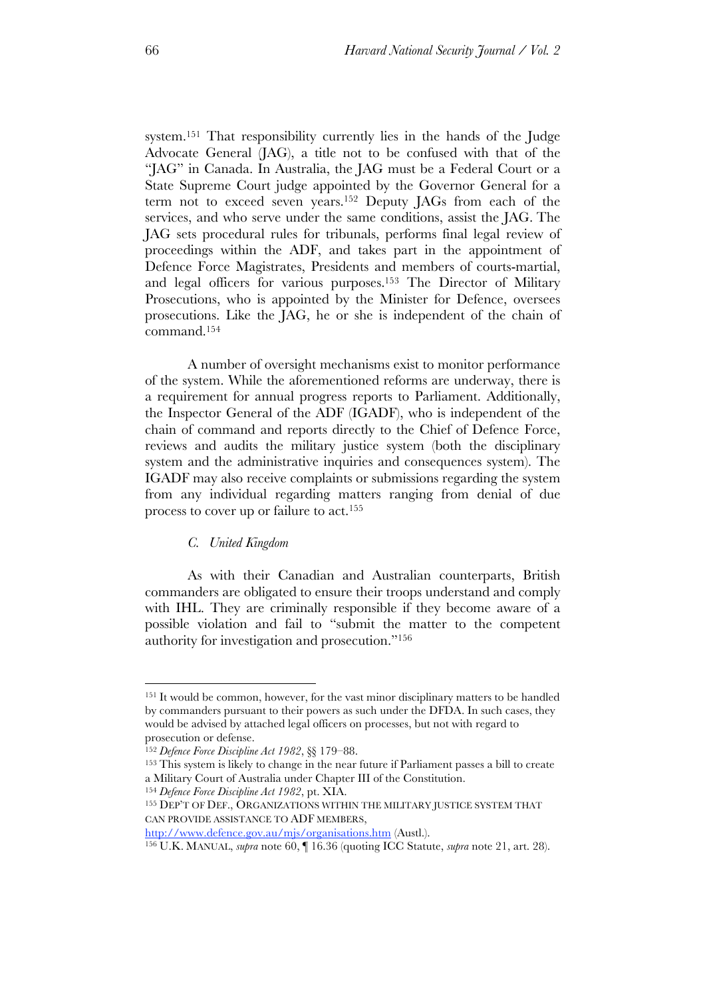system.151 That responsibility currently lies in the hands of the Judge Advocate General (JAG), a title not to be confused with that of the "JAG" in Canada. In Australia, the JAG must be a Federal Court or a State Supreme Court judge appointed by the Governor General for a term not to exceed seven years.152 Deputy JAGs from each of the services, and who serve under the same conditions, assist the JAG. The JAG sets procedural rules for tribunals, performs final legal review of proceedings within the ADF, and takes part in the appointment of Defence Force Magistrates, Presidents and members of courts-martial, and legal officers for various purposes.153 The Director of Military Prosecutions, who is appointed by the Minister for Defence, oversees prosecutions. Like the JAG, he or she is independent of the chain of command.154

A number of oversight mechanisms exist to monitor performance of the system. While the aforementioned reforms are underway, there is a requirement for annual progress reports to Parliament. Additionally, the Inspector General of the ADF (IGADF), who is independent of the chain of command and reports directly to the Chief of Defence Force, reviews and audits the military justice system (both the disciplinary system and the administrative inquiries and consequences system). The IGADF may also receive complaints or submissions regarding the system from any individual regarding matters ranging from denial of due process to cover up or failure to act.155

## *C. United Kingdom*

As with their Canadian and Australian counterparts, British commanders are obligated to ensure their troops understand and comply with IHL. They are criminally responsible if they become aware of a possible violation and fail to "submit the matter to the competent authority for investigation and prosecution."156

<u> 1989 - Johann Stein, mars et al. 1989 - Anna ann an t-Anna ann an t-Anna ann an t-Anna ann an t-Anna ann an t-</u>

http://www.defence.gov.au/mjs/organisations.htm (Austl.).

<sup>&</sup>lt;sup>151</sup> It would be common, however, for the vast minor disciplinary matters to be handled by commanders pursuant to their powers as such under the DFDA. In such cases, they would be advised by attached legal officers on processes, but not with regard to prosecution or defense.

<sup>152</sup> *Defence Force Discipline Act 1982*, §§ 179–88.

<sup>153</sup> This system is likely to change in the near future if Parliament passes a bill to create a Military Court of Australia under Chapter III of the Constitution.

<sup>&</sup>lt;sup>154</sup> *Defence Force Discipline Act 1982*, pt. XIA.<br><sup>155</sup> DEP'T OF DEF., ORGANIZATIONS WITHIN THE MILITARY JUSTICE SYSTEM THAT CAN PROVIDE ASSISTANCE TO ADF MEMBERS,

<sup>156</sup> U.K. MANUAL, *supra* note 60, ¶ 16.36 (quoting ICC Statute, *supra* note 21, art. 28).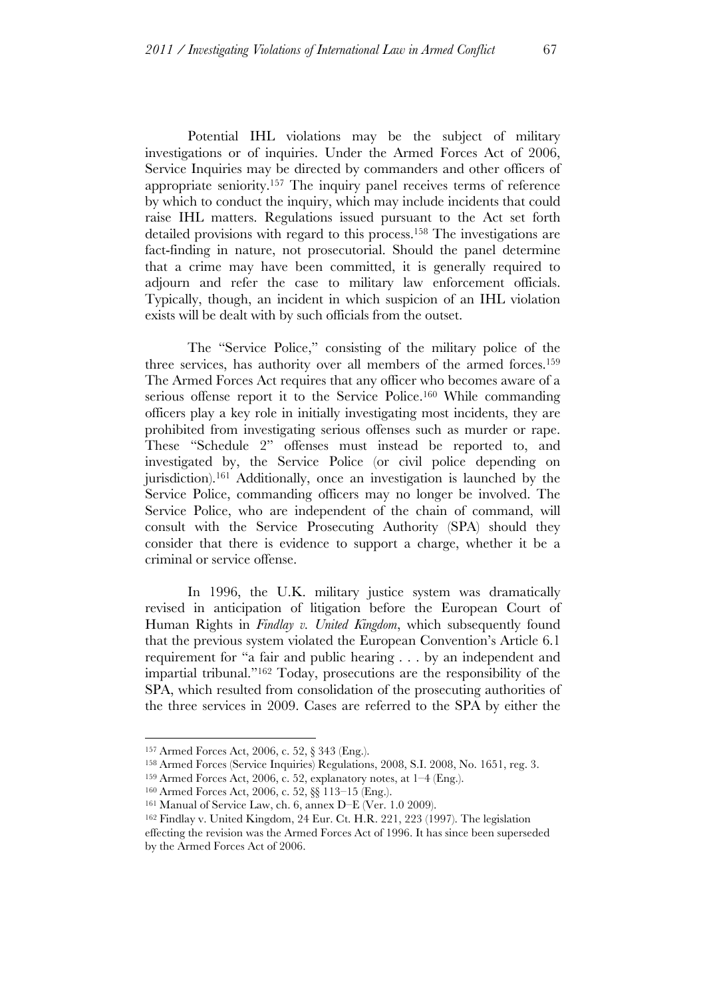Potential IHL violations may be the subject of military investigations or of inquiries. Under the Armed Forces Act of 2006, Service Inquiries may be directed by commanders and other officers of appropriate seniority.157 The inquiry panel receives terms of reference by which to conduct the inquiry, which may include incidents that could raise IHL matters. Regulations issued pursuant to the Act set forth detailed provisions with regard to this process.158 The investigations are fact-finding in nature, not prosecutorial. Should the panel determine that a crime may have been committed, it is generally required to adjourn and refer the case to military law enforcement officials. Typically, though, an incident in which suspicion of an IHL violation exists will be dealt with by such officials from the outset.

The "Service Police," consisting of the military police of the three services, has authority over all members of the armed forces.159 The Armed Forces Act requires that any officer who becomes aware of a serious offense report it to the Service Police.160 While commanding officers play a key role in initially investigating most incidents, they are prohibited from investigating serious offenses such as murder or rape. These "Schedule 2" offenses must instead be reported to, and investigated by, the Service Police (or civil police depending on jurisdiction).161 Additionally, once an investigation is launched by the Service Police, commanding officers may no longer be involved. The Service Police, who are independent of the chain of command, will consult with the Service Prosecuting Authority (SPA) should they consider that there is evidence to support a charge, whether it be a criminal or service offense.

In 1996, the U.K. military justice system was dramatically revised in anticipation of litigation before the European Court of Human Rights in *Findlay v. United Kingdom*, which subsequently found that the previous system violated the European Convention's Article 6.1 requirement for "a fair and public hearing . . . by an independent and impartial tribunal."162 Today, prosecutions are the responsibility of the SPA, which resulted from consolidation of the prosecuting authorities of the three services in 2009. Cases are referred to the SPA by either the

<sup>157</sup> Armed Forces Act, 2006, c. 52, § 343 (Eng.). 158 Armed Forces (Service Inquiries) Regulations, 2008, S.I. 2008, No. 1651, reg. 3.

<sup>&</sup>lt;sup>159</sup> Armed Forces Act, 2006, c. 52, explanatory notes, at  $1-4$  (Eng.).

<sup>160</sup> Armed Forces Act, 2006, c. 52, §§ 113–15 (Eng.).

<sup>161</sup> Manual of Service Law, ch. 6, annex D–E (Ver. 1.0 2009).

<sup>162</sup> Findlay v. United Kingdom, 24 Eur. Ct. H.R. 221, 223 (1997). The legislation

effecting the revision was the Armed Forces Act of 1996. It has since been superseded by the Armed Forces Act of 2006.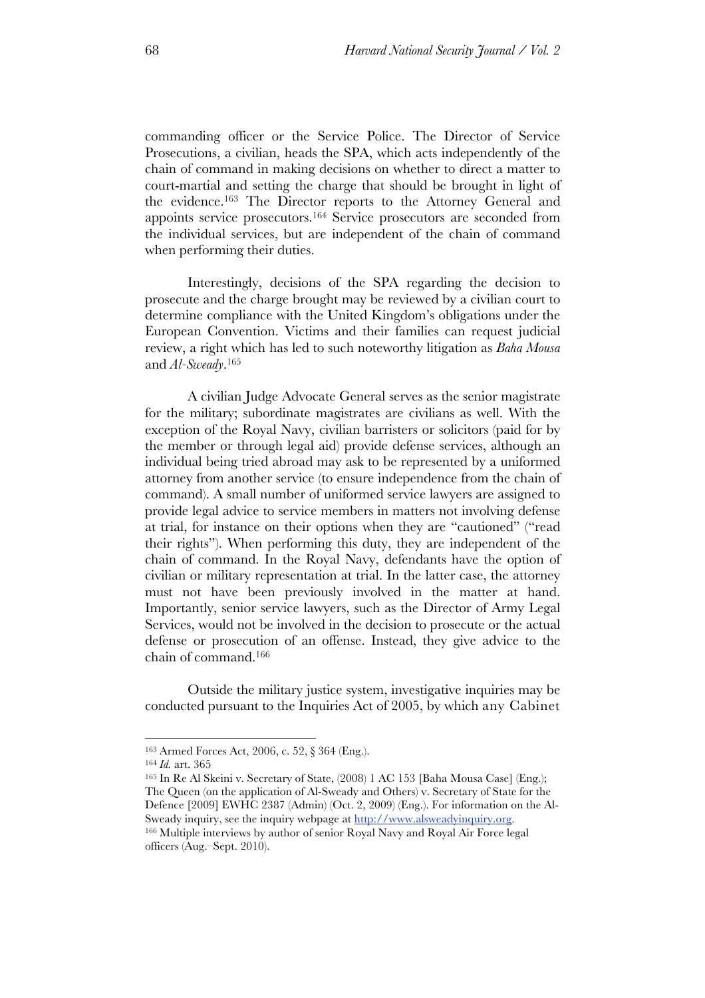commanding officer or the Service Police. The Director of Service Prosecutions, a civilian, heads the SPA, which acts independently of the chain of command in making decisions on whether to direct a matter to court-martial and setting the charge that should be brought in light of the evidence.163 The Director reports to the Attorney General and appoints service prosecutors.164 Service prosecutors are seconded from the individual services, but are independent of the chain of command when performing their duties.

Interestingly, decisions of the SPA regarding the decision to prosecute and the charge brought may be reviewed by a civilian court to determine compliance with the United Kingdom's obligations under the European Convention. Victims and their families can request judicial review, a right which has led to such noteworthy litigation as *Baha Mousa*  and *Al-Sweady*. 165

A civilian Judge Advocate General serves as the senior magistrate for the military; subordinate magistrates are civilians as well. With the exception of the Royal Navy, civilian barristers or solicitors (paid for by the member or through legal aid) provide defense services, although an individual being tried abroad may ask to be represented by a uniformed attorney from another service (to ensure independence from the chain of command). A small number of uniformed service lawyers are assigned to provide legal advice to service members in matters not involving defense at trial, for instance on their options when they are "cautioned" ("read their rights"). When performing this duty, they are independent of the chain of command. In the Royal Navy, defendants have the option of civilian or military representation at trial. In the latter case, the attorney must not have been previously involved in the matter at hand. Importantly, senior service lawyers, such as the Director of Army Legal Services, would not be involved in the decision to prosecute or the actual defense or prosecution of an offense. Instead, they give advice to the chain of command.166

Outside the military justice system, investigative inquiries may be conducted pursuant to the Inquiries Act of 2005, by which any Cabinet

<sup>163</sup> Armed Forces Act, 2006, c. 52, § 364 (Eng.).

<sup>164</sup> *Id.* art. 365

<sup>165</sup> In Re Al Skeini v. Secretary of State, (2008) 1 AC 153 [Baha Mousa Case] (Eng.); The Queen (on the application of Al-Sweady and Others) v. Secretary of State for the Defence [2009] EWHC 2387 (Admin) (Oct. 2, 2009) (Eng.). For information on the Al-Sweady inquiry, see the inquiry webpage at http://www.alsweadyinquiry.org. 166 Multiple interviews by author of senior Royal Navy and Royal Air Force legal officers (Aug.–Sept. 2010).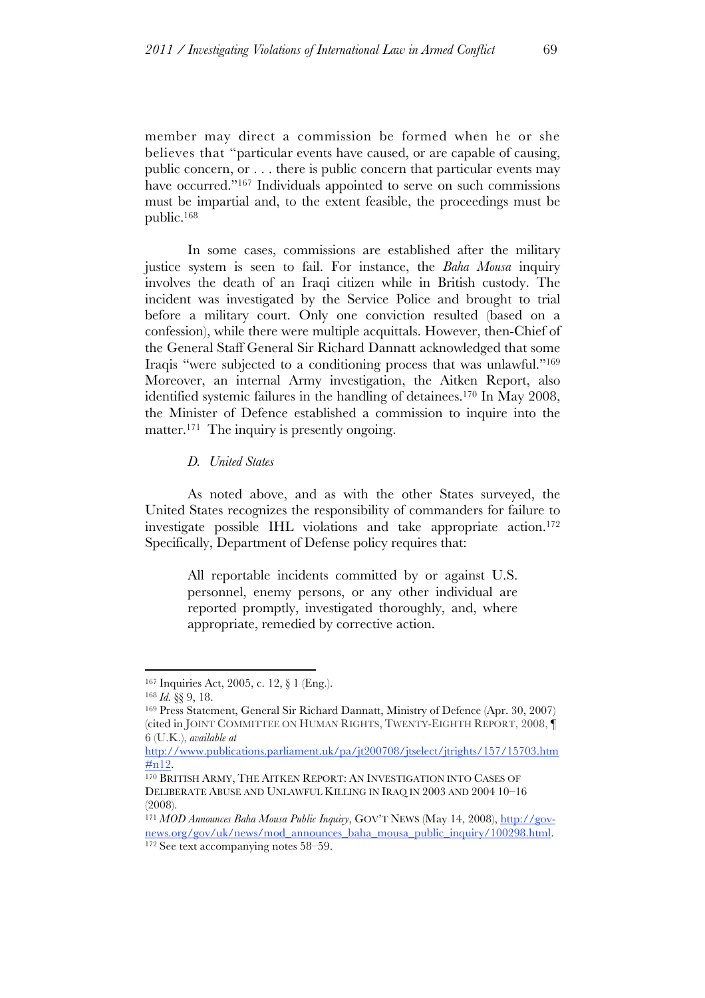member may direct a commission be formed when he or she believes that "particular events have caused, or are capable of causing, public concern, or . . . there is public concern that particular events may have occurred."<sup>167</sup> Individuals appointed to serve on such commissions must be impartial and, to the extent feasible, the proceedings must be public.168

In some cases, commissions are established after the military justice system is seen to fail. For instance, the *Baha Mousa* inquiry involves the death of an Iraqi citizen while in British custody. The incident was investigated by the Service Police and brought to trial before a military court. Only one conviction resulted (based on a confession), while there were multiple acquittals. However, then-Chief of the General Staff General Sir Richard Dannatt acknowledged that some Iraqis "were subjected to a conditioning process that was unlawful."169 Moreover, an internal Army investigation, the Aitken Report, also identified systemic failures in the handling of detainees.<sup>170</sup> In May 2008, the Minister of Defence established a commission to inquire into the matter.<sup>171</sup> The inquiry is presently ongoing.

### *D. United States*

As noted above, and as with the other States surveyed, the United States recognizes the responsibility of commanders for failure to investigate possible IHL violations and take appropriate action.172 Specifically, Department of Defense policy requires that:

> All reportable incidents committed by or against U.S. personnel, enemy persons, or any other individual are reported promptly, investigated thoroughly, and, where appropriate, remedied by corrective action.

<sup>167</sup> Inquiries Act, 2005, c. 12, § 1 (Eng.).

<sup>168</sup> *Id.* §§ 9, 18.

<sup>169</sup> Press Statement, General Sir Richard Dannatt, Ministry of Defence (Apr. 30, 2007) (cited in JOINT COMMITTEE ON HUMAN RIGHTS, TWENTY-EIGHTH REPORT, 2008, ¶ 6 (U.K.), *available at* 

http://www.publications.parliament.uk/pa/jt200708/jtselect/jtrights/157/15703.htm #n12.

<sup>170</sup> BRITISH ARMY, THE AITKEN REPORT: AN INVESTIGATION INTO CASES OF DELIBERATE ABUSE AND UNLAWFUL KILLING IN IRAQ IN 2003 AND 2004 10–16 (2008).

<sup>171</sup> *MOD Announces Baha Mousa Public Inquiry*, GOV'T NEWS (May 14, 2008), http://govnews.org/gov/uk/news/mod\_announces\_baha\_mousa\_public\_inquiry/100298.html. 172 See text accompanying notes 58–59.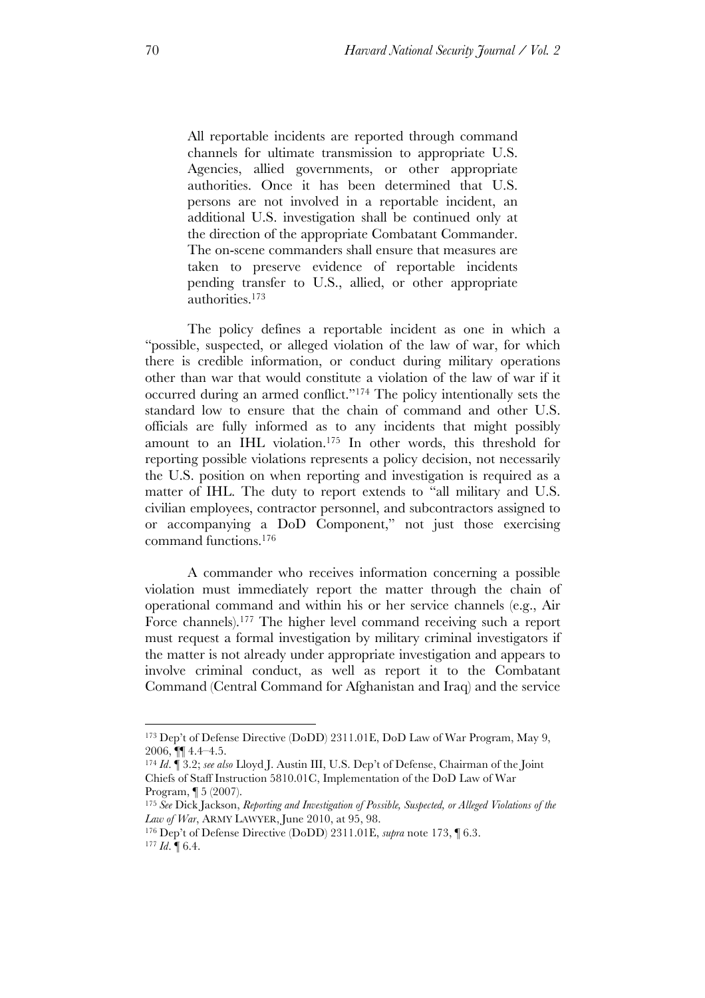All reportable incidents are reported through command channels for ultimate transmission to appropriate U.S. Agencies, allied governments, or other appropriate authorities. Once it has been determined that U.S. persons are not involved in a reportable incident, an additional U.S. investigation shall be continued only at the direction of the appropriate Combatant Commander. The on-scene commanders shall ensure that measures are taken to preserve evidence of reportable incidents pending transfer to U.S., allied, or other appropriate authorities.173

The policy defines a reportable incident as one in which a "possible, suspected, or alleged violation of the law of war, for which there is credible information, or conduct during military operations other than war that would constitute a violation of the law of war if it occurred during an armed conflict."174 The policy intentionally sets the standard low to ensure that the chain of command and other U.S. officials are fully informed as to any incidents that might possibly amount to an IHL violation.175 In other words, this threshold for reporting possible violations represents a policy decision, not necessarily the U.S. position on when reporting and investigation is required as a matter of IHL. The duty to report extends to "all military and U.S. civilian employees, contractor personnel, and subcontractors assigned to or accompanying a DoD Component," not just those exercising command functions.176

A commander who receives information concerning a possible violation must immediately report the matter through the chain of operational command and within his or her service channels (e.g., Air Force channels).177 The higher level command receiving such a report must request a formal investigation by military criminal investigators if the matter is not already under appropriate investigation and appears to involve criminal conduct, as well as report it to the Combatant Command (Central Command for Afghanistan and Iraq) and the service

<sup>173</sup> Dep't of Defense Directive (DoDD) 2311.01E, DoD Law of War Program, May 9, 2006, ¶¶ 4.4–4.5.

<sup>174</sup> *Id*. ¶ 3.2; *see also* Lloyd J. Austin III, U.S. Dep't of Defense, Chairman of the Joint Chiefs of Staff Instruction 5810.01C, Implementation of the DoD Law of War Program, ¶ 5 (2007).

<sup>175</sup> *See* Dick Jackson, *Reporting and Investigation of Possible, Suspected, or Alleged Violations of the Law of War*, ARMY LAWYER, June 2010, at 95, 98.

<sup>176</sup> Dep't of Defense Directive (DoDD) 2311.01E, *supra* note 173, ¶ 6.3.  $177$  *Id*.  $\P$  6.4.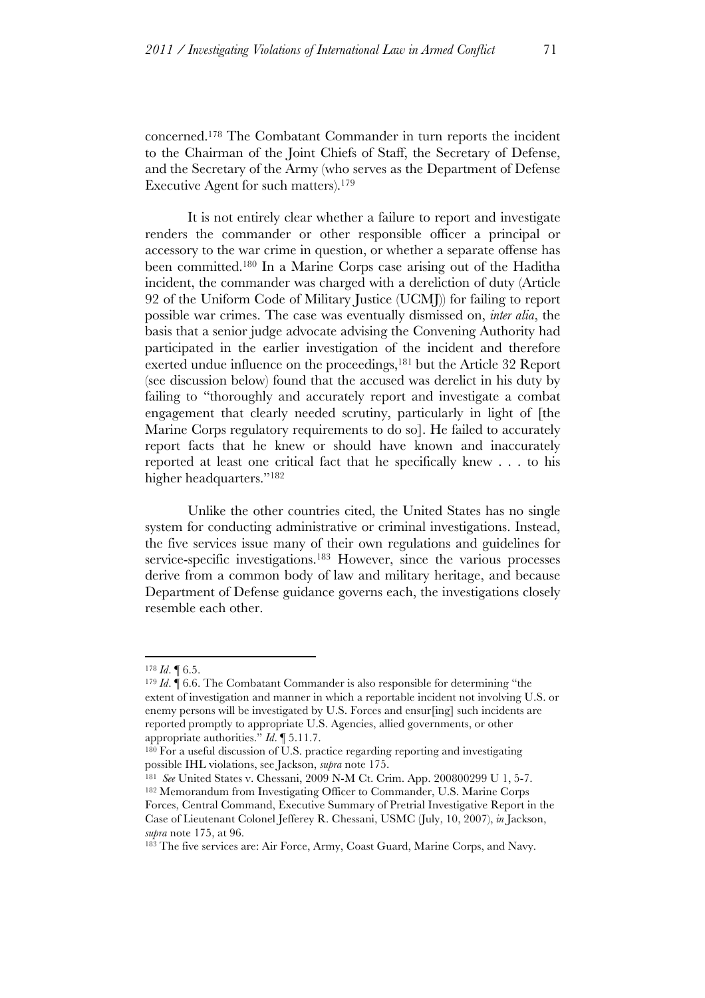concerned.178 The Combatant Commander in turn reports the incident to the Chairman of the Joint Chiefs of Staff, the Secretary of Defense, and the Secretary of the Army (who serves as the Department of Defense Executive Agent for such matters).179

It is not entirely clear whether a failure to report and investigate renders the commander or other responsible officer a principal or accessory to the war crime in question, or whether a separate offense has been committed.180 In a Marine Corps case arising out of the Haditha incident, the commander was charged with a dereliction of duty (Article 92 of the Uniform Code of Military Justice (UCMJ)) for failing to report possible war crimes. The case was eventually dismissed on, *inter alia*, the basis that a senior judge advocate advising the Convening Authority had participated in the earlier investigation of the incident and therefore exerted undue influence on the proceedings,<sup>181</sup> but the Article 32 Report (see discussion below) found that the accused was derelict in his duty by failing to "thoroughly and accurately report and investigate a combat engagement that clearly needed scrutiny, particularly in light of [the Marine Corps regulatory requirements to do so]. He failed to accurately report facts that he knew or should have known and inaccurately reported at least one critical fact that he specifically knew . . . to his higher headquarters."182

Unlike the other countries cited, the United States has no single system for conducting administrative or criminal investigations. Instead, the five services issue many of their own regulations and guidelines for service-specific investigations.<sup>183</sup> However, since the various processes derive from a common body of law and military heritage, and because Department of Defense guidance governs each, the investigations closely resemble each other.

<sup>178</sup> *Id*. ¶ 6.5.

<sup>179</sup> *Id*. ¶ 6.6. The Combatant Commander is also responsible for determining "the extent of investigation and manner in which a reportable incident not involving U.S. or enemy persons will be investigated by U.S. Forces and ensur[ing] such incidents are reported promptly to appropriate U.S. Agencies, allied governments, or other appropriate authorities." *Id*. ¶ 5.11.7.

<sup>&</sup>lt;sup>180</sup> For a useful discussion of U.S. practice regarding reporting and investigating possible IHL violations, see Jackson, *supra* note 175.

<sup>181</sup> *See* United States v. Chessani, 2009 N-M Ct. Crim. App. 200800299 U 1, 5-7. 182 Memorandum from Investigating Officer to Commander, U.S. Marine Corps Forces, Central Command, Executive Summary of Pretrial Investigative Report in the Case of Lieutenant Colonel Jefferey R. Chessani, USMC (July, 10, 2007), *in* Jackson, *supra* note 175, at 96.

<sup>183</sup> The five services are: Air Force, Army, Coast Guard, Marine Corps, and Navy.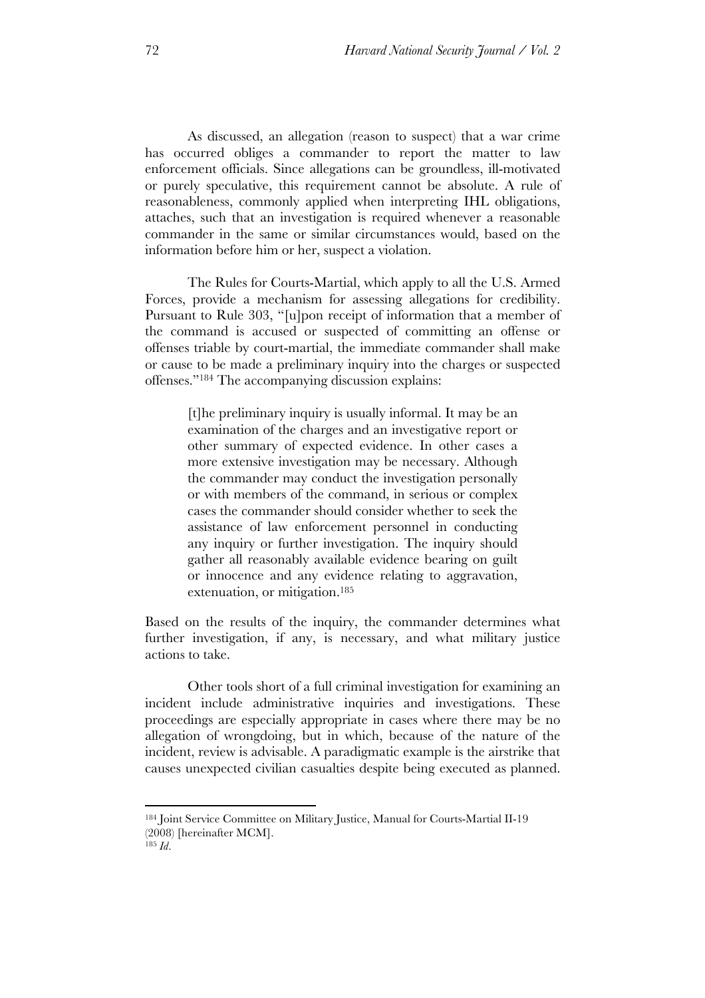As discussed, an allegation (reason to suspect) that a war crime has occurred obliges a commander to report the matter to law enforcement officials. Since allegations can be groundless, ill-motivated or purely speculative, this requirement cannot be absolute. A rule of reasonableness, commonly applied when interpreting IHL obligations, attaches, such that an investigation is required whenever a reasonable commander in the same or similar circumstances would, based on the information before him or her, suspect a violation.

The Rules for Courts-Martial, which apply to all the U.S. Armed Forces, provide a mechanism for assessing allegations for credibility. Pursuant to Rule 303, "[u]pon receipt of information that a member of the command is accused or suspected of committing an offense or offenses triable by court-martial, the immediate commander shall make or cause to be made a preliminary inquiry into the charges or suspected offenses."184 The accompanying discussion explains:

> [t]he preliminary inquiry is usually informal. It may be an examination of the charges and an investigative report or other summary of expected evidence. In other cases a more extensive investigation may be necessary. Although the commander may conduct the investigation personally or with members of the command, in serious or complex cases the commander should consider whether to seek the assistance of law enforcement personnel in conducting any inquiry or further investigation. The inquiry should gather all reasonably available evidence bearing on guilt or innocence and any evidence relating to aggravation, extenuation, or mitigation.185

Based on the results of the inquiry, the commander determines what further investigation, if any, is necessary, and what military justice actions to take.

Other tools short of a full criminal investigation for examining an incident include administrative inquiries and investigations. These proceedings are especially appropriate in cases where there may be no allegation of wrongdoing, but in which, because of the nature of the incident, review is advisable. A paradigmatic example is the airstrike that causes unexpected civilian casualties despite being executed as planned.

<sup>184</sup> Joint Service Committee on Military Justice, Manual for Courts-Martial II-19 (2008) [hereinafter MCM].

<sup>185</sup> *Id*.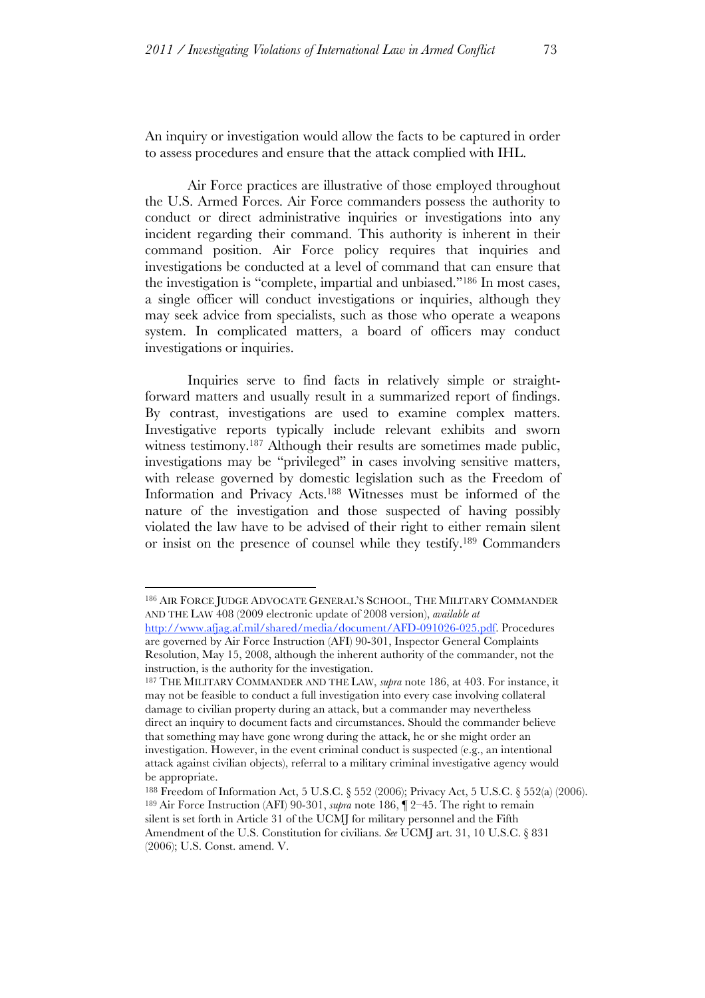An inquiry or investigation would allow the facts to be captured in order to assess procedures and ensure that the attack complied with IHL.

Air Force practices are illustrative of those employed throughout the U.S. Armed Forces. Air Force commanders possess the authority to conduct or direct administrative inquiries or investigations into any incident regarding their command. This authority is inherent in their command position. Air Force policy requires that inquiries and investigations be conducted at a level of command that can ensure that the investigation is "complete, impartial and unbiased."186 In most cases, a single officer will conduct investigations or inquiries, although they may seek advice from specialists, such as those who operate a weapons system. In complicated matters, a board of officers may conduct investigations or inquiries.

Inquiries serve to find facts in relatively simple or straightforward matters and usually result in a summarized report of findings. By contrast, investigations are used to examine complex matters. Investigative reports typically include relevant exhibits and sworn witness testimony.<sup>187</sup> Although their results are sometimes made public, investigations may be "privileged" in cases involving sensitive matters, with release governed by domestic legislation such as the Freedom of Information and Privacy Acts.188 Witnesses must be informed of the nature of the investigation and those suspected of having possibly violated the law have to be advised of their right to either remain silent or insist on the presence of counsel while they testify.189 Commanders

<sup>186</sup> AIR FORCE JUDGE ADVOCATE GENERAL'S SCHOOL, THE MILITARY COMMANDER AND THE LAW 408 (2009 electronic update of 2008 version), *available at*

http://www.afjag.af.mil/shared/media/document/AFD-091026-025.pdf. Procedures are governed by Air Force Instruction (AFI) 90-301, Inspector General Complaints Resolution, May 15, 2008, although the inherent authority of the commander, not the instruction, is the authority for the investigation.

<sup>187</sup> THE MILITARY COMMANDER AND THE LAW, *supra* note 186, at 403. For instance, it may not be feasible to conduct a full investigation into every case involving collateral damage to civilian property during an attack, but a commander may nevertheless direct an inquiry to document facts and circumstances. Should the commander believe that something may have gone wrong during the attack, he or she might order an investigation. However, in the event criminal conduct is suspected (e.g., an intentional attack against civilian objects), referral to a military criminal investigative agency would be appropriate.

<sup>188</sup> Freedom of Information Act, 5 U.S.C. § 552 (2006); Privacy Act, 5 U.S.C. § 552(a) (2006). 189 Air Force Instruction (AFI) 90-301, *supra* note 186, ¶ 2–45. The right to remain silent is set forth in Article 31 of the UCMJ for military personnel and the Fifth Amendment of the U.S. Constitution for civilians. *See* UCMJ art. 31, 10 U.S.C. § 831 (2006); U.S. Const. amend. V.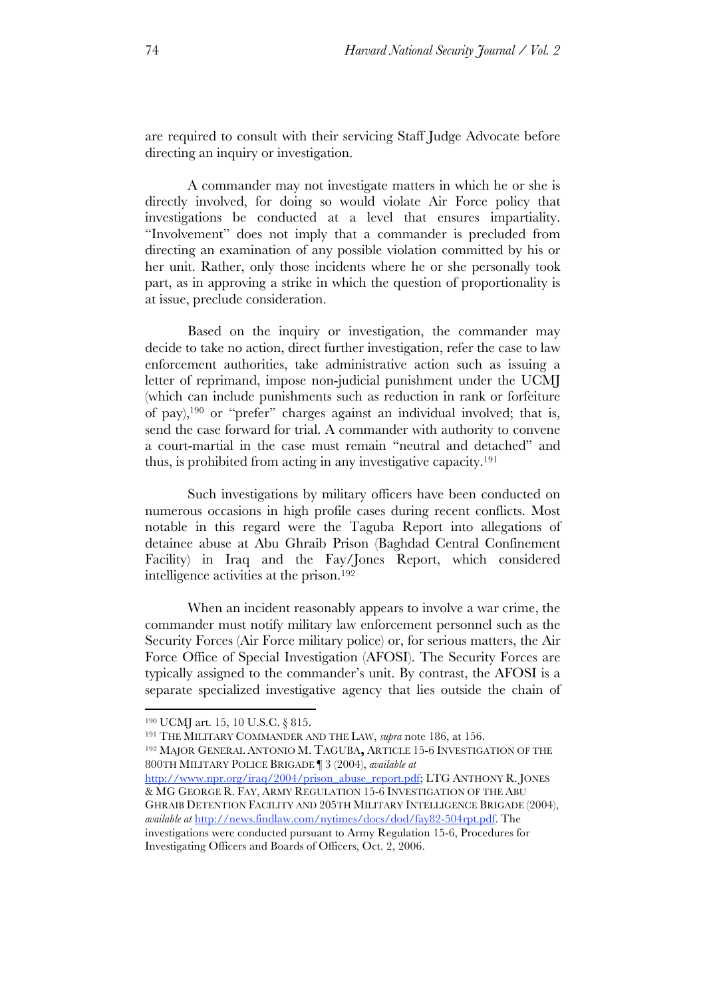are required to consult with their servicing Staff Judge Advocate before directing an inquiry or investigation.

A commander may not investigate matters in which he or she is directly involved, for doing so would violate Air Force policy that investigations be conducted at a level that ensures impartiality. "Involvement" does not imply that a commander is precluded from directing an examination of any possible violation committed by his or her unit. Rather, only those incidents where he or she personally took part, as in approving a strike in which the question of proportionality is at issue, preclude consideration.

Based on the inquiry or investigation, the commander may decide to take no action, direct further investigation, refer the case to law enforcement authorities, take administrative action such as issuing a letter of reprimand, impose non-judicial punishment under the UCMJ (which can include punishments such as reduction in rank or forfeiture of pay), 190 or "prefer" charges against an individual involved; that is, send the case forward for trial. A commander with authority to convene a court-martial in the case must remain "neutral and detached" and thus, is prohibited from acting in any investigative capacity.191

Such investigations by military officers have been conducted on numerous occasions in high profile cases during recent conflicts. Most notable in this regard were the Taguba Report into allegations of detainee abuse at Abu Ghraib Prison (Baghdad Central Confinement Facility) in Iraq and the Fay/Jones Report, which considered intelligence activities at the prison.192

When an incident reasonably appears to involve a war crime, the commander must notify military law enforcement personnel such as the Security Forces (Air Force military police) or, for serious matters, the Air Force Office of Special Investigation (AFOSI). The Security Forces are typically assigned to the commander's unit. By contrast, the AFOSI is a separate specialized investigative agency that lies outside the chain of

http://www.npr.org/iraq/2004/prison\_abuse\_report.pdf; LTG ANTHONY R. JONES & MG GEORGE R. FAY, ARMY REGULATION 15-6 INVESTIGATION OF THE ABU GHRAIB DETENTION FACILITY AND 205TH MILITARY INTELLIGENCE BRIGADE (2004), *available at* http://news.findlaw.com/nytimes/docs/dod/fay82-504rpt.pdf. The investigations were conducted pursuant to Army Regulation 15-6, Procedures for Investigating Officers and Boards of Officers, Oct. 2, 2006.

<sup>&</sup>lt;u> 1989 - Johann Stein, fransk politik (d. 1989)</u> 190 UCMJ art. 15, 10 U.S.C. § 815.

<sup>191</sup> THE MILITARY COMMANDER AND THE LAW, *supra* note 186, at 156.

<sup>192</sup> MAJOR GENERAL ANTONIO M. TAGUBA**,** ARTICLE 15-6 INVESTIGATION OF THE 800TH MILITARY POLICE BRIGADE ¶ 3 (2004), *available at*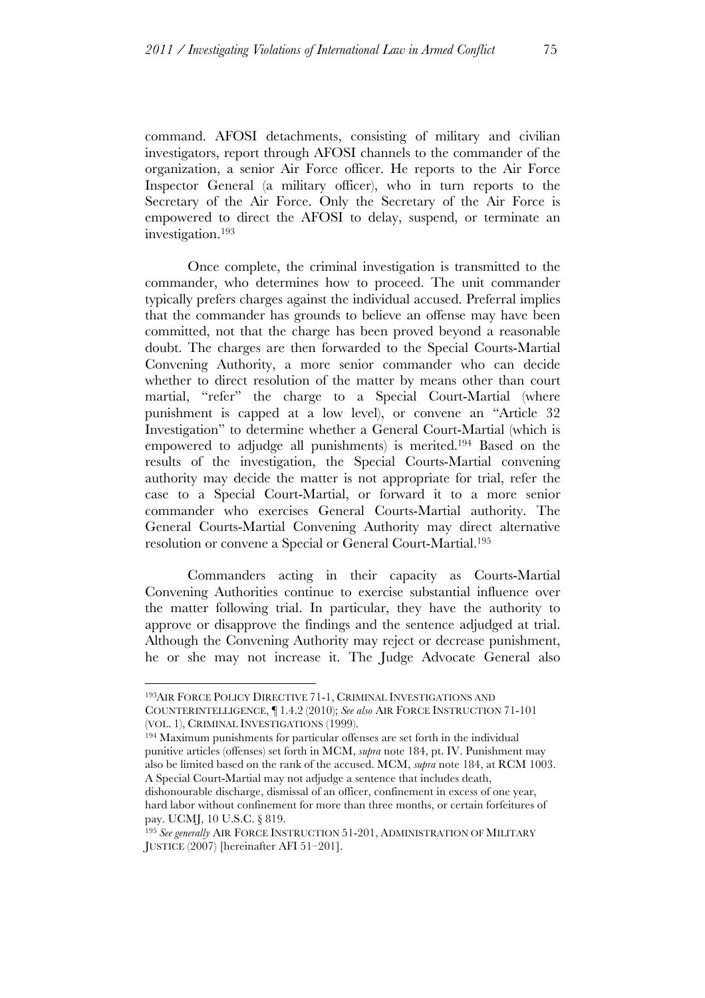command. AFOSI detachments, consisting of military and civilian investigators, report through AFOSI channels to the commander of the organization, a senior Air Force officer. He reports to the Air Force Inspector General (a military officer), who in turn reports to the Secretary of the Air Force. Only the Secretary of the Air Force is empowered to direct the AFOSI to delay, suspend, or terminate an investigation.193

Once complete, the criminal investigation is transmitted to the commander, who determines how to proceed. The unit commander typically prefers charges against the individual accused. Preferral implies that the commander has grounds to believe an offense may have been committed, not that the charge has been proved beyond a reasonable doubt. The charges are then forwarded to the Special Courts-Martial Convening Authority, a more senior commander who can decide whether to direct resolution of the matter by means other than court martial, "refer" the charge to a Special Court-Martial (where punishment is capped at a low level), or convene an "Article 32 Investigation" to determine whether a General Court-Martial (which is empowered to adjudge all punishments) is merited.194 Based on the results of the investigation, the Special Courts-Martial convening authority may decide the matter is not appropriate for trial, refer the case to a Special Court-Martial, or forward it to a more senior commander who exercises General Courts-Martial authority. The General Courts-Martial Convening Authority may direct alternative resolution or convene a Special or General Court-Martial.195

Commanders acting in their capacity as Courts-Martial Convening Authorities continue to exercise substantial influence over the matter following trial. In particular, they have the authority to approve or disapprove the findings and the sentence adjudged at trial. Although the Convening Authority may reject or decrease punishment, he or she may not increase it. The Judge Advocate General also

<sup>193</sup>AIR FORCE POLICY DIRECTIVE 71-1, CRIMINAL INVESTIGATIONS AND COUNTERINTELLIGENCE, ¶ 1.4.2 (2010); *See also* AIR FORCE INSTRUCTION 71-101 (VOL. 1), CRIMINAL INVESTIGATIONS (1999).

<sup>194</sup> Maximum punishments for particular offenses are set forth in the individual punitive articles (offenses) set forth in MCM, *supra* note 184, pt. IV. Punishment may also be limited based on the rank of the accused. MCM, *supra* note 184, at RCM 1003. A Special Court-Martial may not adjudge a sentence that includes death,

dishonourable discharge, dismissal of an officer, confinement in excess of one year, hard labor without confinement for more than three months, or certain forfeitures of pay. UCMJ, 10 U.S.C. § 819.

<sup>195</sup> *See generally* AIR FORCE INSTRUCTION 51-201, ADMINISTRATION OF MILITARY JUSTICE (2007) [hereinafter AFI 51–201].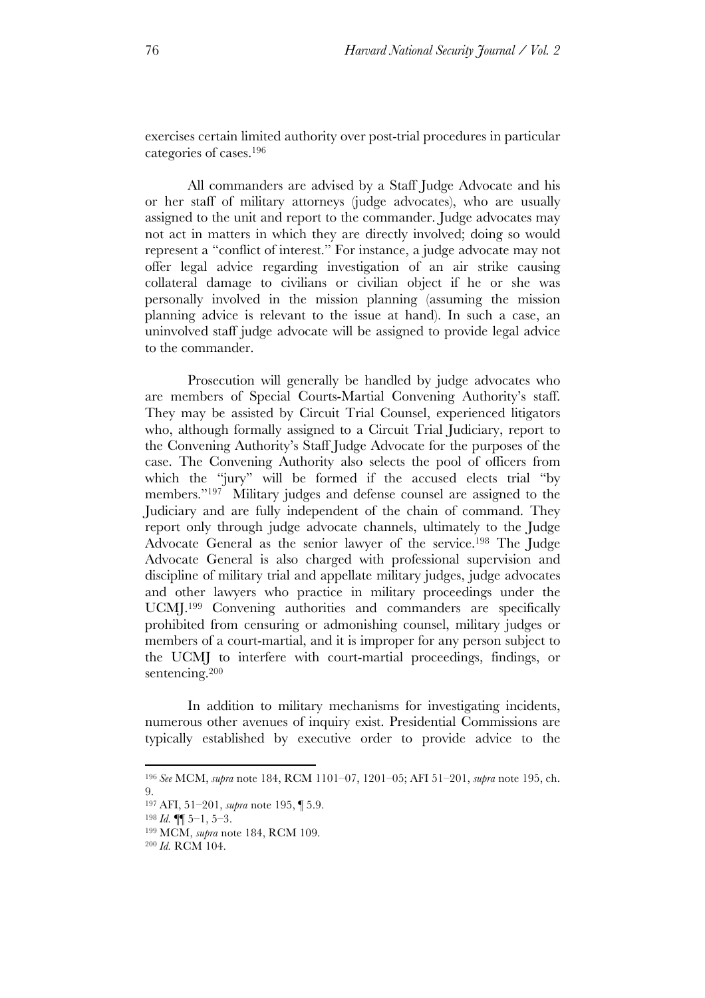exercises certain limited authority over post-trial procedures in particular categories of cases.196

All commanders are advised by a Staff Judge Advocate and his or her staff of military attorneys (judge advocates), who are usually assigned to the unit and report to the commander. Judge advocates may not act in matters in which they are directly involved; doing so would represent a "conflict of interest." For instance, a judge advocate may not offer legal advice regarding investigation of an air strike causing collateral damage to civilians or civilian object if he or she was personally involved in the mission planning (assuming the mission planning advice is relevant to the issue at hand). In such a case, an uninvolved staff judge advocate will be assigned to provide legal advice to the commander.

Prosecution will generally be handled by judge advocates who are members of Special Courts-Martial Convening Authority's staff. They may be assisted by Circuit Trial Counsel, experienced litigators who, although formally assigned to a Circuit Trial Judiciary, report to the Convening Authority's Staff Judge Advocate for the purposes of the case. The Convening Authority also selects the pool of officers from which the "jury" will be formed if the accused elects trial "by members."<sup>197</sup> Military judges and defense counsel are assigned to the Judiciary and are fully independent of the chain of command. They report only through judge advocate channels, ultimately to the Judge Advocate General as the senior lawyer of the service.198 The Judge Advocate General is also charged with professional supervision and discipline of military trial and appellate military judges, judge advocates and other lawyers who practice in military proceedings under the UCMJ.199 Convening authorities and commanders are specifically prohibited from censuring or admonishing counsel, military judges or members of a court-martial, and it is improper for any person subject to the UCMJ to interfere with court-martial proceedings, findings, or sentencing. 200

In addition to military mechanisms for investigating incidents, numerous other avenues of inquiry exist. Presidential Commissions are typically established by executive order to provide advice to the

<sup>196</sup> *See* MCM, *supra* note 184, RCM 1101–07, 1201–05; AFI 51–201, *supra* note 195, ch. 9.

<sup>197</sup> AFI, 51–201, *supra* note 195, ¶ 5.9.

<sup>198</sup> *Id.* ¶¶ 5–1, 5–3. 199 MCM, *supra* note 184, RCM 109.

<sup>200</sup> *Id.* RCM 104.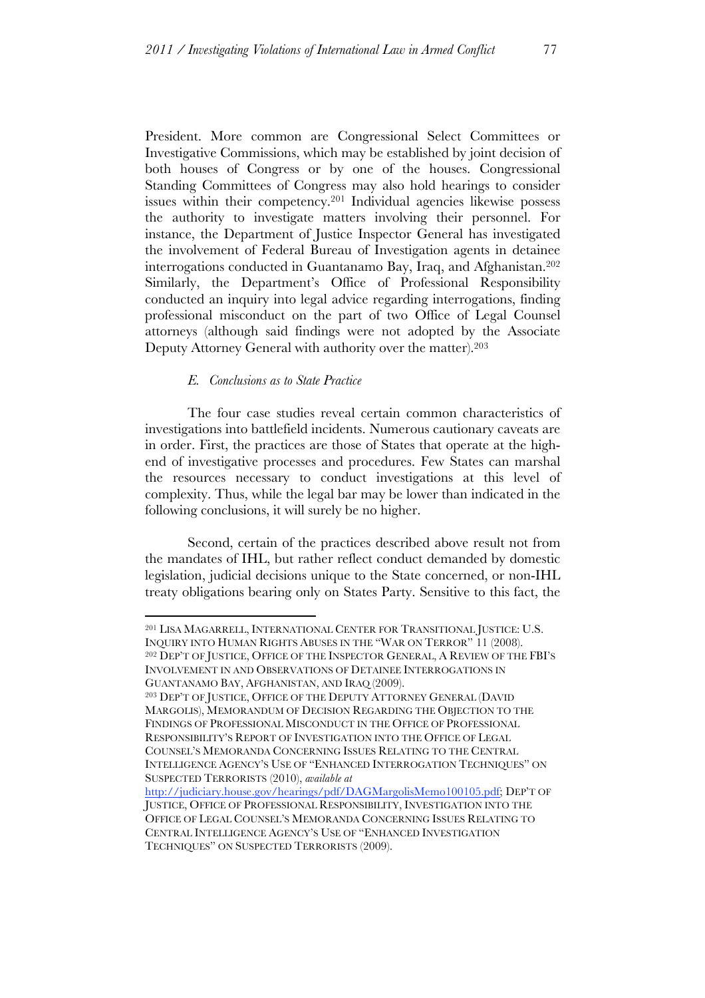President. More common are Congressional Select Committees or Investigative Commissions, which may be established by joint decision of both houses of Congress or by one of the houses. Congressional Standing Committees of Congress may also hold hearings to consider issues within their competency.201 Individual agencies likewise possess the authority to investigate matters involving their personnel. For instance, the Department of Justice Inspector General has investigated the involvement of Federal Bureau of Investigation agents in detainee interrogations conducted in Guantanamo Bay, Iraq, and Afghanistan.202 Similarly, the Department's Office of Professional Responsibility conducted an inquiry into legal advice regarding interrogations, finding professional misconduct on the part of two Office of Legal Counsel attorneys (although said findings were not adopted by the Associate Deputy Attorney General with authority over the matter).203

## *E. Conclusions as to State Practice*

The four case studies reveal certain common characteristics of investigations into battlefield incidents. Numerous cautionary caveats are in order. First, the practices are those of States that operate at the highend of investigative processes and procedures. Few States can marshal the resources necessary to conduct investigations at this level of complexity. Thus, while the legal bar may be lower than indicated in the following conclusions, it will surely be no higher.

Second, certain of the practices described above result not from the mandates of IHL, but rather reflect conduct demanded by domestic legislation, judicial decisions unique to the State concerned, or non-IHL treaty obligations bearing only on States Party. Sensitive to this fact, the

<sup>201</sup> LISA MAGARRELL, INTERNATIONAL CENTER FOR TRANSITIONAL JUSTICE: U.S. INQUIRY INTO HUMAN RIGHTS ABUSES IN THE "WAR ON TERROR" 11 (2008). <sup>202</sup> DEP'T OF JUSTICE, OFFICE OF THE INSPECTOR GENERAL, A REVIEW OF THE FBI'S INVOLVEMENT IN AND OBSERVATIONS OF DETAINEE INTERROGATIONS IN

GUANTANAMO BAY, AFGHANISTAN, AND IRAQ (2009).

<sup>203</sup> DEP'T OF JUSTICE, OFFICE OF THE DEPUTY ATTORNEY GENERAL (DAVID MARGOLIS), MEMORANDUM OF DECISION REGARDING THE OBJECTION TO THE FINDINGS OF PROFESSIONAL MISCONDUCT IN THE OFFICE OF PROFESSIONAL RESPONSIBILITY'S REPORT OF INVESTIGATION INTO THE OFFICE OF LEGAL COUNSEL'S MEMORANDA CONCERNING ISSUES RELATING TO THE CENTRAL INTELLIGENCE AGENCY'S USE OF "ENHANCED INTERROGATION TECHNIQUES" ON SUSPECTED TERRORISTS (2010), *available at* 

http://judiciary.house.gov/hearings/pdf/DAGMargolisMemo100105.pdf; DEP'T OF JUSTICE, OFFICE OF PROFESSIONAL RESPONSIBILITY, INVESTIGATION INTO THE OFFICE OF LEGAL COUNSEL'S MEMORANDA CONCERNING ISSUES RELATING TO CENTRAL INTELLIGENCE AGENCY'S USE OF "ENHANCED INVESTIGATION TECHNIQUES" ON SUSPECTED TERRORISTS (2009).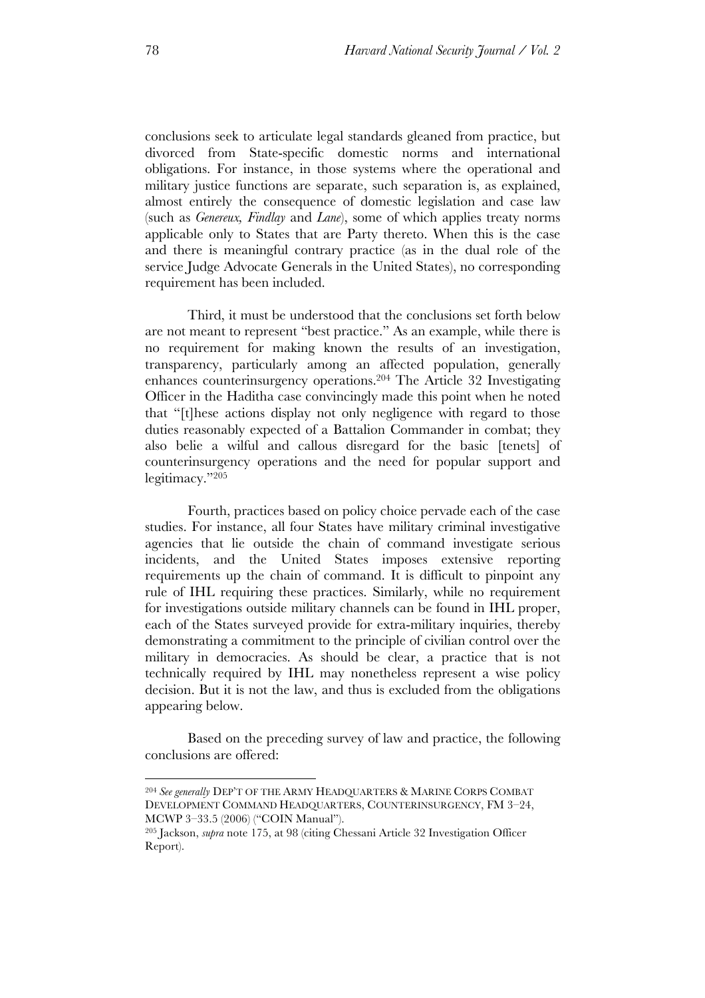conclusions seek to articulate legal standards gleaned from practice, but divorced from State-specific domestic norms and international obligations. For instance, in those systems where the operational and military justice functions are separate, such separation is, as explained, almost entirely the consequence of domestic legislation and case law (such as *Genereux, Findlay* and *Lane*), some of which applies treaty norms applicable only to States that are Party thereto. When this is the case and there is meaningful contrary practice (as in the dual role of the service Judge Advocate Generals in the United States), no corresponding requirement has been included.

Third, it must be understood that the conclusions set forth below are not meant to represent "best practice." As an example, while there is no requirement for making known the results of an investigation, transparency, particularly among an affected population, generally enhances counterinsurgency operations.204 The Article 32 Investigating Officer in the Haditha case convincingly made this point when he noted that "[t]hese actions display not only negligence with regard to those duties reasonably expected of a Battalion Commander in combat; they also belie a wilful and callous disregard for the basic [tenets] of counterinsurgency operations and the need for popular support and legitimacy."205

Fourth, practices based on policy choice pervade each of the case studies. For instance, all four States have military criminal investigative agencies that lie outside the chain of command investigate serious incidents, and the United States imposes extensive reporting requirements up the chain of command. It is difficult to pinpoint any rule of IHL requiring these practices. Similarly, while no requirement for investigations outside military channels can be found in IHL proper, each of the States surveyed provide for extra-military inquiries, thereby demonstrating a commitment to the principle of civilian control over the military in democracies. As should be clear, a practice that is not technically required by IHL may nonetheless represent a wise policy decision. But it is not the law, and thus is excluded from the obligations appearing below.

Based on the preceding survey of law and practice, the following conclusions are offered:

<sup>204</sup> *See generally* DEP'T OF THE ARMY HEADQUARTERS & MARINE CORPS COMBAT DEVELOPMENT COMMAND HEADQUARTERS, COUNTERINSURGENCY, FM 3–24, MCWP 3–33.5 (2006) ("COIN Manual").

<sup>205</sup> Jackson, *supra* note 175, at 98 (citing Chessani Article 32 Investigation Officer Report).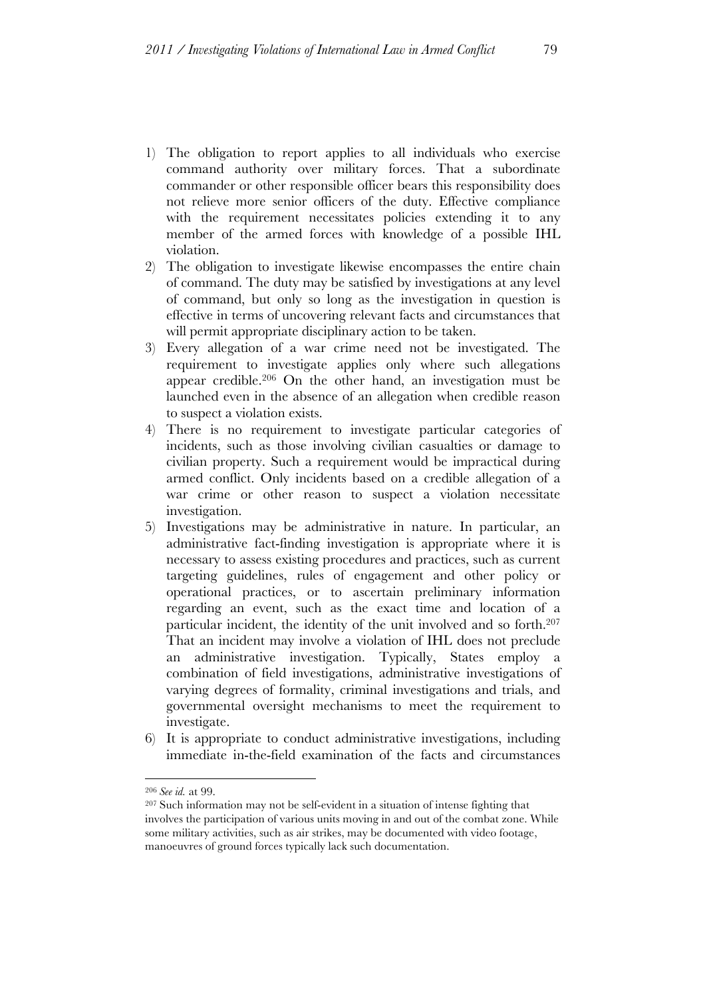- 1) The obligation to report applies to all individuals who exercise command authority over military forces. That a subordinate commander or other responsible officer bears this responsibility does not relieve more senior officers of the duty. Effective compliance with the requirement necessitates policies extending it to any member of the armed forces with knowledge of a possible IHL violation.
- 2) The obligation to investigate likewise encompasses the entire chain of command. The duty may be satisfied by investigations at any level of command, but only so long as the investigation in question is effective in terms of uncovering relevant facts and circumstances that will permit appropriate disciplinary action to be taken.
- 3) Every allegation of a war crime need not be investigated. The requirement to investigate applies only where such allegations appear credible.206 On the other hand, an investigation must be launched even in the absence of an allegation when credible reason to suspect a violation exists.
- 4) There is no requirement to investigate particular categories of incidents, such as those involving civilian casualties or damage to civilian property. Such a requirement would be impractical during armed conflict. Only incidents based on a credible allegation of a war crime or other reason to suspect a violation necessitate investigation.
- 5) Investigations may be administrative in nature. In particular, an administrative fact-finding investigation is appropriate where it is necessary to assess existing procedures and practices, such as current targeting guidelines, rules of engagement and other policy or operational practices, or to ascertain preliminary information regarding an event, such as the exact time and location of a particular incident, the identity of the unit involved and so forth.207 That an incident may involve a violation of IHL does not preclude an administrative investigation. Typically, States employ a combination of field investigations, administrative investigations of varying degrees of formality, criminal investigations and trials, and governmental oversight mechanisms to meet the requirement to investigate.
- 6) It is appropriate to conduct administrative investigations, including immediate in-the-field examination of the facts and circumstances

<sup>206</sup> *See id.* at 99.

<sup>207</sup> Such information may not be self-evident in a situation of intense fighting that involves the participation of various units moving in and out of the combat zone. While some military activities, such as air strikes, may be documented with video footage, manoeuvres of ground forces typically lack such documentation.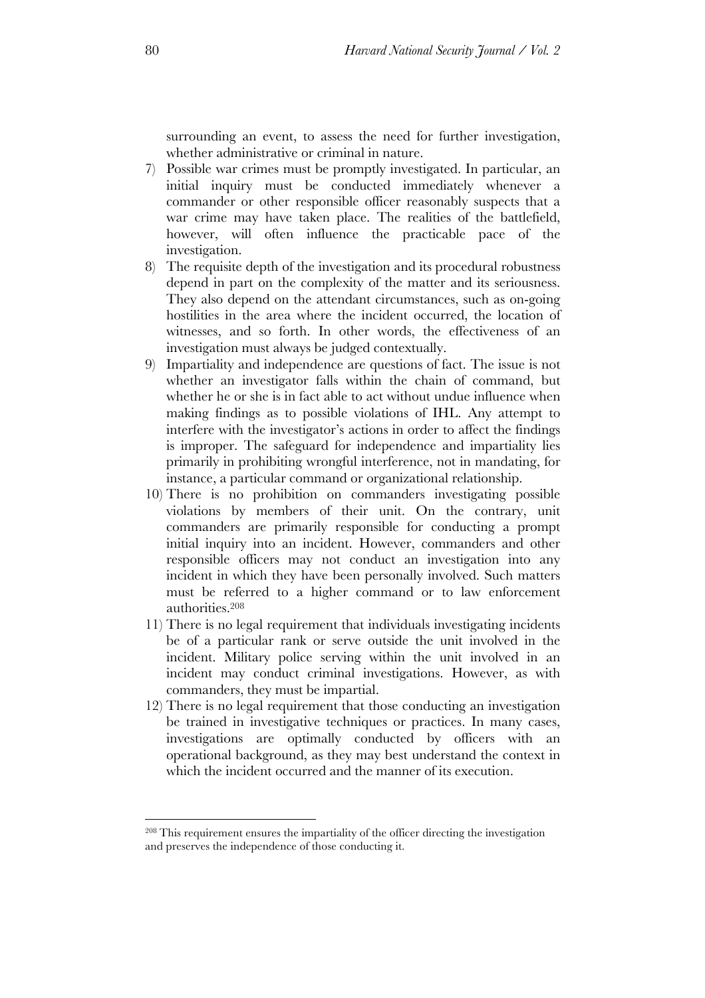surrounding an event, to assess the need for further investigation, whether administrative or criminal in nature.

- 7) Possible war crimes must be promptly investigated. In particular, an initial inquiry must be conducted immediately whenever a commander or other responsible officer reasonably suspects that a war crime may have taken place. The realities of the battlefield, however, will often influence the practicable pace of the investigation.
- 8) The requisite depth of the investigation and its procedural robustness depend in part on the complexity of the matter and its seriousness. They also depend on the attendant circumstances, such as on-going hostilities in the area where the incident occurred, the location of witnesses, and so forth. In other words, the effectiveness of an investigation must always be judged contextually.
- 9) Impartiality and independence are questions of fact. The issue is not whether an investigator falls within the chain of command, but whether he or she is in fact able to act without undue influence when making findings as to possible violations of IHL. Any attempt to interfere with the investigator's actions in order to affect the findings is improper. The safeguard for independence and impartiality lies primarily in prohibiting wrongful interference, not in mandating, for instance, a particular command or organizational relationship.
- 10) There is no prohibition on commanders investigating possible violations by members of their unit. On the contrary, unit commanders are primarily responsible for conducting a prompt initial inquiry into an incident. However, commanders and other responsible officers may not conduct an investigation into any incident in which they have been personally involved. Such matters must be referred to a higher command or to law enforcement authorities.208
- 11) There is no legal requirement that individuals investigating incidents be of a particular rank or serve outside the unit involved in the incident. Military police serving within the unit involved in an incident may conduct criminal investigations. However, as with commanders, they must be impartial.
- 12) There is no legal requirement that those conducting an investigation be trained in investigative techniques or practices. In many cases, investigations are optimally conducted by officers with an operational background, as they may best understand the context in which the incident occurred and the manner of its execution.

<sup>208</sup> This requirement ensures the impartiality of the officer directing the investigation and preserves the independence of those conducting it.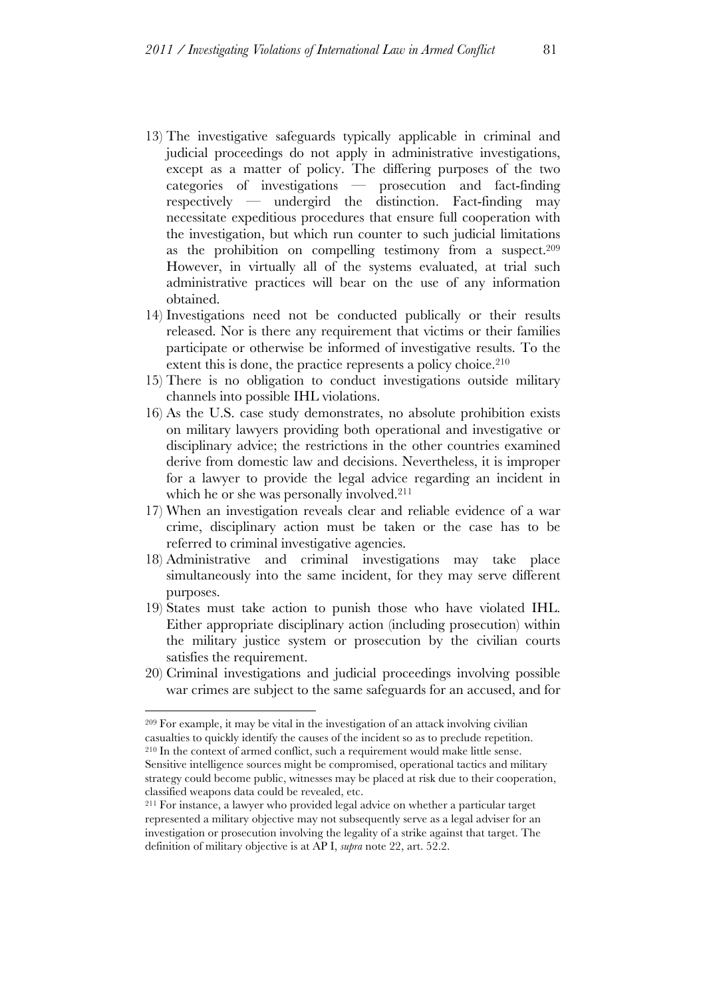- 13) The investigative safeguards typically applicable in criminal and judicial proceedings do not apply in administrative investigations, except as a matter of policy. The differing purposes of the two categories of investigations — prosecution and fact-finding respectively — undergird the distinction. Fact-finding may necessitate expeditious procedures that ensure full cooperation with the investigation, but which run counter to such judicial limitations as the prohibition on compelling testimony from a suspect.209 However, in virtually all of the systems evaluated, at trial such administrative practices will bear on the use of any information obtained.
- 14) Investigations need not be conducted publically or their results released. Nor is there any requirement that victims or their families participate or otherwise be informed of investigative results. To the extent this is done, the practice represents a policy choice.<sup>210</sup>
- 15) There is no obligation to conduct investigations outside military channels into possible IHL violations.
- 16) As the U.S. case study demonstrates, no absolute prohibition exists on military lawyers providing both operational and investigative or disciplinary advice; the restrictions in the other countries examined derive from domestic law and decisions. Nevertheless, it is improper for a lawyer to provide the legal advice regarding an incident in which he or she was personally involved.<sup>211</sup>
- 17) When an investigation reveals clear and reliable evidence of a war crime, disciplinary action must be taken or the case has to be referred to criminal investigative agencies.
- 18) Administrative and criminal investigations may take place simultaneously into the same incident, for they may serve different purposes.
- 19) States must take action to punish those who have violated IHL. Either appropriate disciplinary action (including prosecution) within the military justice system or prosecution by the civilian courts satisfies the requirement.
- 20) Criminal investigations and judicial proceedings involving possible war crimes are subject to the same safeguards for an accused, and for

<sup>209</sup> For example, it may be vital in the investigation of an attack involving civilian casualties to quickly identify the causes of the incident so as to preclude repetition. 210 In the context of armed conflict, such a requirement would make little sense. Sensitive intelligence sources might be compromised, operational tactics and military strategy could become public, witnesses may be placed at risk due to their cooperation, classified weapons data could be revealed, etc.

<sup>211</sup> For instance, a lawyer who provided legal advice on whether a particular target represented a military objective may not subsequently serve as a legal adviser for an investigation or prosecution involving the legality of a strike against that target. The definition of military objective is at AP I, *supra* note 22, art. 52.2.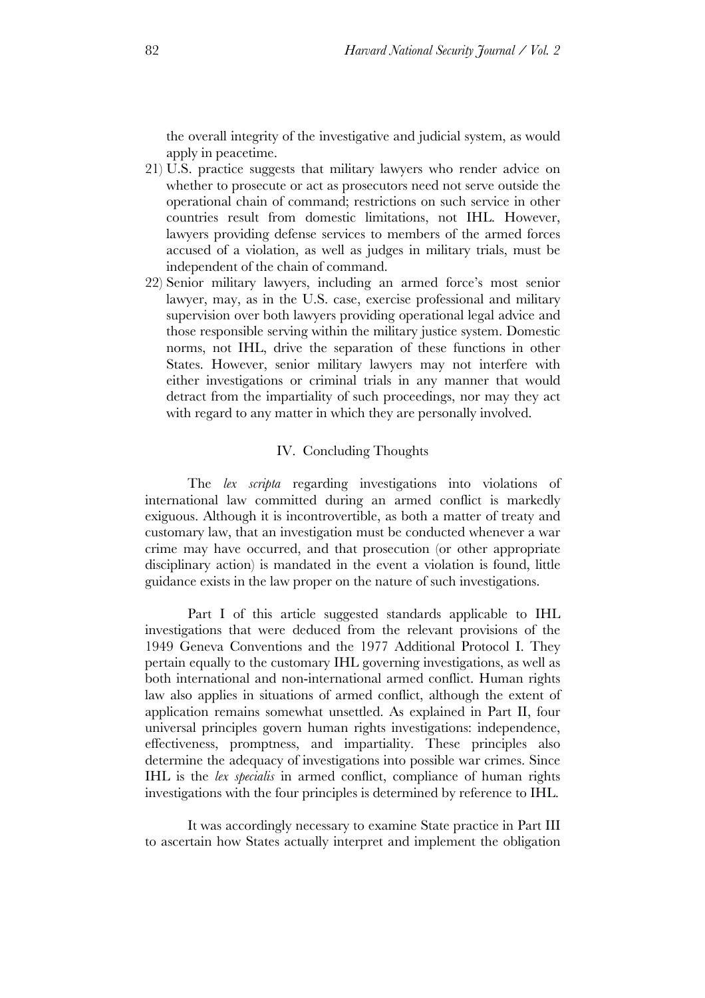the overall integrity of the investigative and judicial system, as would apply in peacetime.

- 21) U.S. practice suggests that military lawyers who render advice on whether to prosecute or act as prosecutors need not serve outside the operational chain of command; restrictions on such service in other countries result from domestic limitations, not IHL. However, lawyers providing defense services to members of the armed forces accused of a violation, as well as judges in military trials, must be independent of the chain of command.
- 22) Senior military lawyers, including an armed force's most senior lawyer, may, as in the U.S. case, exercise professional and military supervision over both lawyers providing operational legal advice and those responsible serving within the military justice system. Domestic norms, not IHL, drive the separation of these functions in other States. However, senior military lawyers may not interfere with either investigations or criminal trials in any manner that would detract from the impartiality of such proceedings, nor may they act with regard to any matter in which they are personally involved.

## IV. Concluding Thoughts

The *lex scripta* regarding investigations into violations of international law committed during an armed conflict is markedly exiguous. Although it is incontrovertible, as both a matter of treaty and customary law, that an investigation must be conducted whenever a war crime may have occurred, and that prosecution (or other appropriate disciplinary action) is mandated in the event a violation is found, little guidance exists in the law proper on the nature of such investigations.

Part I of this article suggested standards applicable to IHL investigations that were deduced from the relevant provisions of the 1949 Geneva Conventions and the 1977 Additional Protocol I. They pertain equally to the customary IHL governing investigations, as well as both international and non-international armed conflict. Human rights law also applies in situations of armed conflict, although the extent of application remains somewhat unsettled. As explained in Part II, four universal principles govern human rights investigations: independence, effectiveness, promptness, and impartiality. These principles also determine the adequacy of investigations into possible war crimes. Since IHL is the *lex specialis* in armed conflict, compliance of human rights investigations with the four principles is determined by reference to IHL.

It was accordingly necessary to examine State practice in Part III to ascertain how States actually interpret and implement the obligation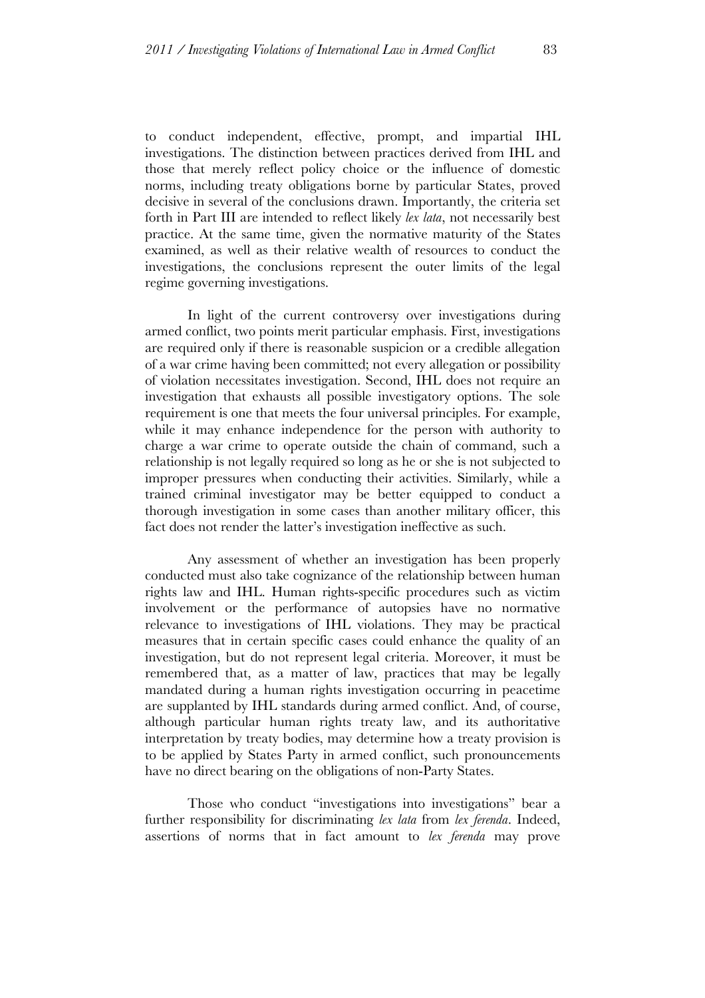to conduct independent, effective, prompt, and impartial IHL investigations. The distinction between practices derived from IHL and those that merely reflect policy choice or the influence of domestic norms, including treaty obligations borne by particular States, proved decisive in several of the conclusions drawn. Importantly, the criteria set forth in Part III are intended to reflect likely *lex lata*, not necessarily best practice. At the same time, given the normative maturity of the States examined, as well as their relative wealth of resources to conduct the investigations, the conclusions represent the outer limits of the legal regime governing investigations.

In light of the current controversy over investigations during armed conflict, two points merit particular emphasis. First, investigations are required only if there is reasonable suspicion or a credible allegation of a war crime having been committed; not every allegation or possibility of violation necessitates investigation. Second, IHL does not require an investigation that exhausts all possible investigatory options. The sole requirement is one that meets the four universal principles. For example, while it may enhance independence for the person with authority to charge a war crime to operate outside the chain of command, such a relationship is not legally required so long as he or she is not subjected to improper pressures when conducting their activities. Similarly, while a trained criminal investigator may be better equipped to conduct a thorough investigation in some cases than another military officer, this fact does not render the latter's investigation ineffective as such.

Any assessment of whether an investigation has been properly conducted must also take cognizance of the relationship between human rights law and IHL. Human rights-specific procedures such as victim involvement or the performance of autopsies have no normative relevance to investigations of IHL violations. They may be practical measures that in certain specific cases could enhance the quality of an investigation, but do not represent legal criteria. Moreover, it must be remembered that, as a matter of law, practices that may be legally mandated during a human rights investigation occurring in peacetime are supplanted by IHL standards during armed conflict. And, of course, although particular human rights treaty law, and its authoritative interpretation by treaty bodies, may determine how a treaty provision is to be applied by States Party in armed conflict, such pronouncements have no direct bearing on the obligations of non-Party States.

Those who conduct "investigations into investigations" bear a further responsibility for discriminating *lex lata* from *lex ferenda*. Indeed, assertions of norms that in fact amount to *lex ferenda* may prove